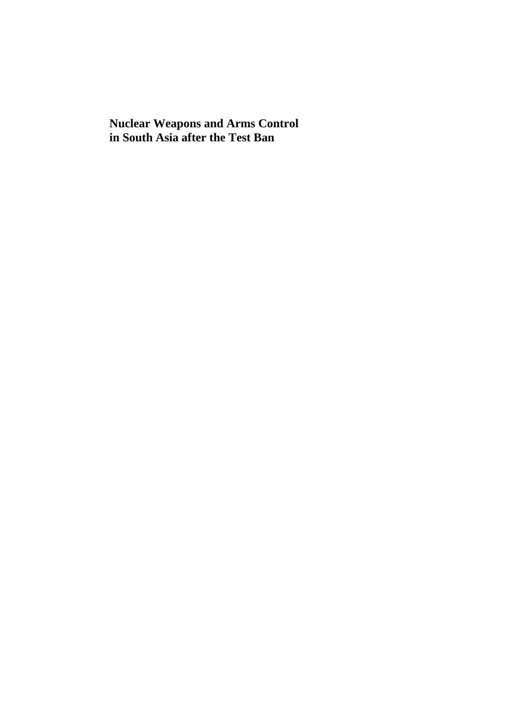**Nuclear Weapons and Arms Control in South Asia after the Test Ban**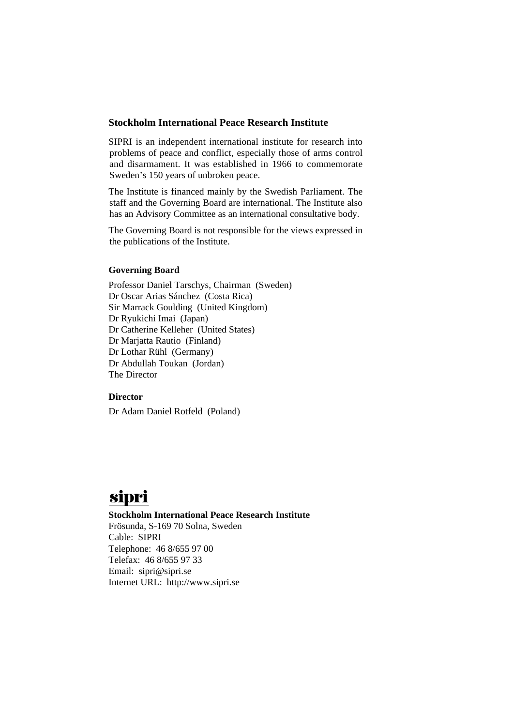#### **Stockholm International Peace Research Institute**

SIPRI is an independent international institute for research into problems of peace and conflict, especially those of arms control and disarmament. It was established in 1966 to commemorate Sweden's 150 years of unbroken peace.

The Institute is financed mainly by the Swedish Parliament. The staff and the Governing Board are international. The Institute also has an Advisory Committee as an international consultative body.

The Governing Board is not responsible for the views expressed in the publications of the Institute.

#### **Governing Board**

Professor Daniel Tarschys, Chairman (Sweden) Dr Oscar Arias Sánchez (Costa Rica) Sir Marrack Goulding (United Kingdom) Dr Ryukichi Imai (Japan) Dr Catherine Kelleher (United States) Dr Marjatta Rautio (Finland) Dr Lothar Rühl (Germany) Dr Abdullah Toukan (Jordan) The Director

#### **Director**

Dr Adam Daniel Rotfeld (Poland)

# sipri

#### **Stockholm International Peace Research Institute**

Frösunda, S-169 70 Solna, Sweden Cable: SIPRI Telephone: 46 8/655 97 00 Telefax: 46 8/655 97 33 Email: sipri@sipri.se Internet URL: http://www.sipri.se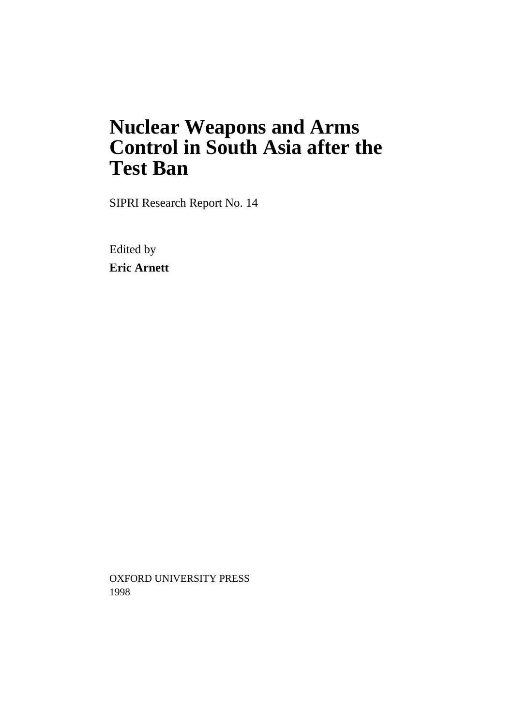# **Nuclear Weapons and Arms Control in South Asia after the Test Ban**

SIPRI Research Report No. 14

Edited by **Eric Arnett**

OXFORD UNIVERSITY PRESS 1998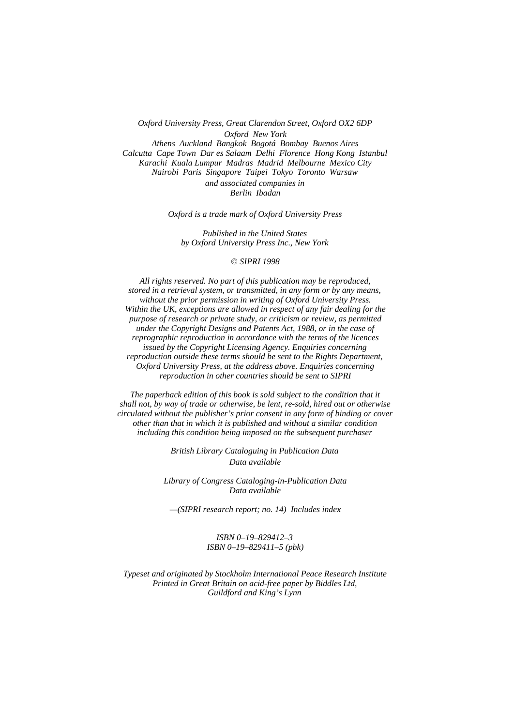*Oxford University Press, Great Clarendon Street, Oxford OX2 6DP Oxford New York Athens Auckland Bangkok Bogotá Bombay Buenos Aires Calcutta Cape Town Dar es Salaam Delhi Florence Hong Kong Istanbul Karachi Kuala Lumpur Madras Madrid Melbourne Mexico City Nairobi Paris Singapore Taipei Tokyo Toronto Warsaw and associated companies in*

*Berlin Ibadan*

*Oxford is a trade mark of Oxford University Press*

*Published in the United States by Oxford University Press Inc., New York*

#### © *SIPRI 1998*

*All rights reserved. No part of this publication may be reproduced, stored in a retrieval system, or transmitted, in any form or by any means, without the prior permission in writing of Oxford University Press. Within the UK, exceptions are allowed in respect of any fair dealing for the purpose of research or private study, or criticism or review, as permitted under the Copyright Designs and Patents Act, 1988, or in the case of reprographic reproduction in accordance with the terms of the licences issued by the Copyright Licensing Agency. Enquiries concerning reproduction outside these terms should be sent to the Rights Department, Oxford University Press, at the address above. Enquiries concerning reproduction in other countries should be sent to SIPRI*

*The paperback edition of this book is sold subject to the condition that it shall not, by way of trade or otherwise, be lent, re-sold, hired out or otherwise circulated without the publisher's prior consent in any form of binding or cover other than that in which it is published and without a similar condition including this condition being imposed on the subsequent purchaser*

> *British Library Cataloguing in Publication Data Data available*

*Library of Congress Cataloging-in-Publication Data Data available*

*—(SIPRI research report; no. 14) Includes index*

*ISBN 0–19–829412–3 ISBN 0–19–829411–5 (pbk)*

*Typeset and originated by Stockholm International Peace Research Institute Printed in Great Britain on acid-free paper by Biddles Ltd, Guildford and King's Lynn*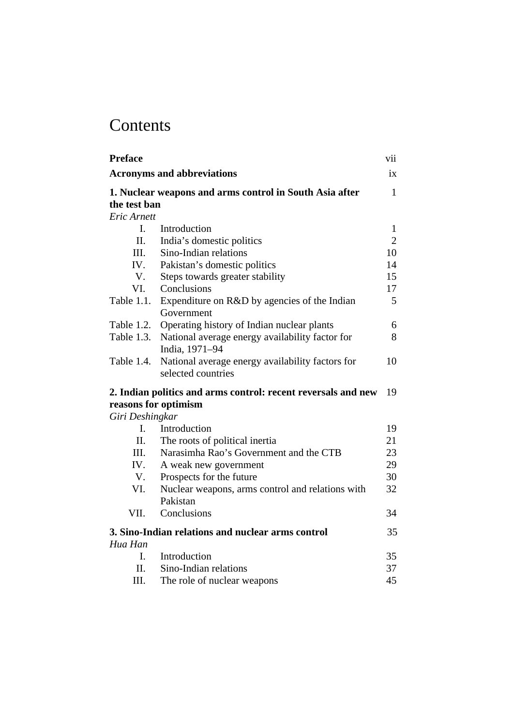# **Contents**

| <b>Preface</b>  |                                                                                       | vii            |
|-----------------|---------------------------------------------------------------------------------------|----------------|
|                 | <b>Acronyms and abbreviations</b>                                                     | ix             |
| the test ban    | 1. Nuclear weapons and arms control in South Asia after                               | $\mathbf{1}$   |
| Eric Arnett     |                                                                                       |                |
| $\mathbf{I}$ .  | Introduction                                                                          | $\mathbf{1}$   |
| II.             | India's domestic politics                                                             | $\overline{2}$ |
| III.            | Sino-Indian relations                                                                 | 10             |
| IV.             | Pakistan's domestic politics                                                          | 14             |
| V.              | Steps towards greater stability                                                       | 15             |
| VI.             | Conclusions                                                                           | 17             |
| Table 1.1.      | Expenditure on R&D by agencies of the Indian<br>Government                            | 5              |
| Table 1.2.      | Operating history of Indian nuclear plants                                            | 6              |
| Table 1.3.      | National average energy availability factor for<br>India, 1971-94                     | 8              |
| Table 1.4.      | National average energy availability factors for<br>selected countries                | 10             |
|                 | 2. Indian politics and arms control: recent reversals and new<br>reasons for optimism | 19             |
| Giri Deshingkar |                                                                                       |                |
| $\mathbf{I}$ .  | Introduction                                                                          | 19             |
| II.             | The roots of political inertia                                                        | 21             |
| III.            | Narasimha Rao's Government and the CTB                                                | 23             |
| IV.             | A weak new government                                                                 | 29             |
| V.              | Prospects for the future                                                              | 30             |
| VI.             | Nuclear weapons, arms control and relations with<br>Pakistan                          | 32             |
| VII.            | Conclusions                                                                           | 34             |
|                 | 3. Sino-Indian relations and nuclear arms control                                     | 35             |
| Hua Han         |                                                                                       |                |
| L.              | Introduction                                                                          | 35             |
| H.              | Sino-Indian relations                                                                 | 37             |
| III.            | The role of nuclear weapons                                                           | 45             |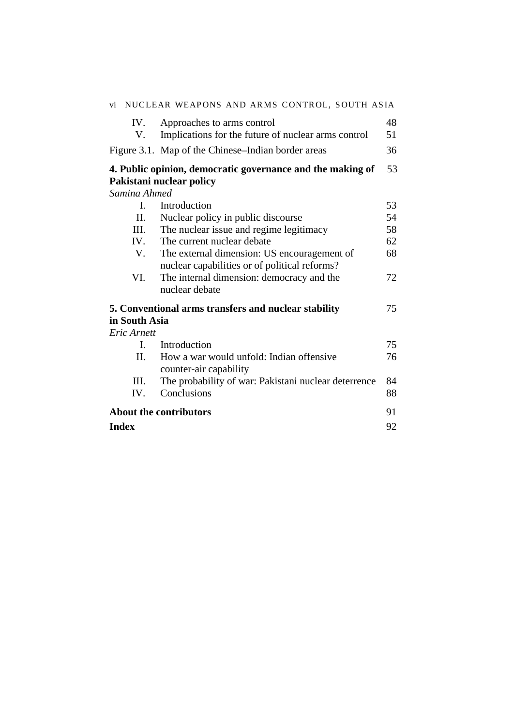| vi             | NUCLEAR WEAPONS AND ARMS CONTROL, SOUTH ASIA                                                 |          |
|----------------|----------------------------------------------------------------------------------------------|----------|
| IV.<br>V.      | Approaches to arms control<br>Implications for the future of nuclear arms control            | 48<br>51 |
|                | Figure 3.1. Map of the Chinese–Indian border areas                                           | 36       |
|                |                                                                                              |          |
|                | 4. Public opinion, democratic governance and the making of                                   | 53       |
|                | Pakistani nuclear policy                                                                     |          |
| Samina Ahmed   |                                                                                              |          |
| $\mathbf{I}$ . | Introduction                                                                                 | 53       |
| П.             | Nuclear policy in public discourse                                                           | 54       |
| III.           | The nuclear issue and regime legitimacy                                                      | 58       |
| IV.            | The current nuclear debate                                                                   | 62       |
| V.             | The external dimension: US encouragement of<br>nuclear capabilities or of political reforms? | 68       |
| VI.            | The internal dimension: democracy and the<br>nuclear debate                                  | 72       |
|                | 5. Conventional arms transfers and nuclear stability                                         | 75       |
| in South Asia  |                                                                                              |          |
| Eric Arnett    |                                                                                              |          |
| $\mathbf{I}$ . | Introduction                                                                                 | 75       |
| П.             | How a war would unfold: Indian offensive<br>counter-air capability                           | 76       |
| Ш.             | The probability of war: Pakistani nuclear deterrence                                         | 84       |
| IV.            | Conclusions                                                                                  | 88       |
|                | <b>About the contributors</b>                                                                | 91       |
| <b>Index</b>   |                                                                                              | 92       |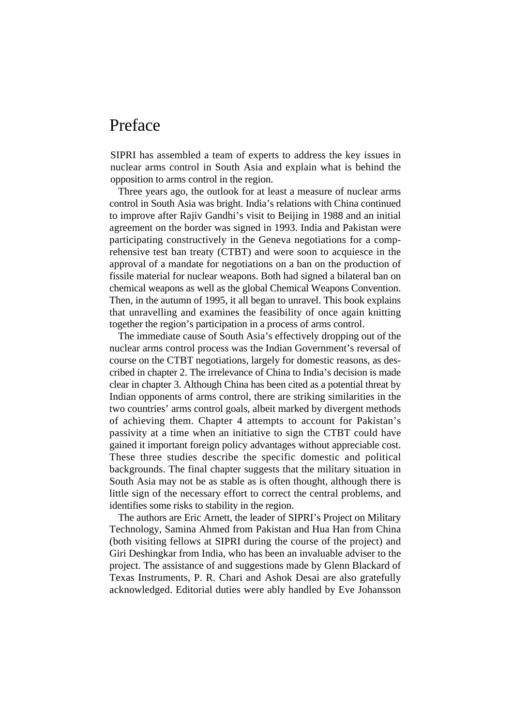# <span id="page-6-0"></span>Preface

SIPRI has assembled a team of experts to address the key issues in nuclear arms control in South Asia and explain what is behind the opposition to arms control in the region.

Three years ago, the outlook for at least a measure of nuclear arms control in South Asia was bright. India's relations with China continued to improve after Rajiv Gandhi's visit to Beijing in 1988 and an initial agreement on the border was signed in 1993. India and Pakistan were participating constructively in the Geneva negotiations for a comprehensive test ban treaty (CTBT) and were soon to acquiesce in the approval of a mandate for negotiations on a ban on the production of fissile material for nuclear weapons. Both had signed a bilateral ban on chemical weapons as well as the global Chemical Weapons Convention. Then, in the autumn of 1995, it all began to unravel. This book explains that unravelling and examines the feasibility of once again knitting together the region's participation in a process of arms control.

The immediate cause of South Asia's effectively dropping out of the nuclear arms control process was the Indian Government's reversal of course on the CTBT negotiations, largely for domestic reasons, as described in chapter 2. The irrelevance of China to India's decision is made clear in chapter 3. Although China has been cited as a potential threat by Indian opponents of arms control, there are striking similarities in the two countries' arms control goals, albeit marked by divergent methods of achieving them. Chapter 4 attempts to account for Pakistan's passivity at a time when an initiative to sign the CTBT could have gained it important foreign policy advantages without appreciable cost. These three studies describe the specific domestic and political backgrounds. The final chapter suggests that the military situation in South Asia may not be as stable as is often thought, although there is little sign of the necessary effort to correct the central problems, and identifies some risks to stability in the region.

The authors are Eric Arnett, the leader of SIPRI's Project on Military Technology, Samina Ahmed from Pakistan and Hua Han from China (both visiting fellows at SIPRI during the course of the project) and Giri Deshingkar from India, who has been an invaluable adviser to the project. The assistance of and suggestions made by Glenn Blackard of Texas Instruments, P. R. Chari and Ashok Desai are also gratefully acknowledged. Editorial duties were ably handled by Eve Johansson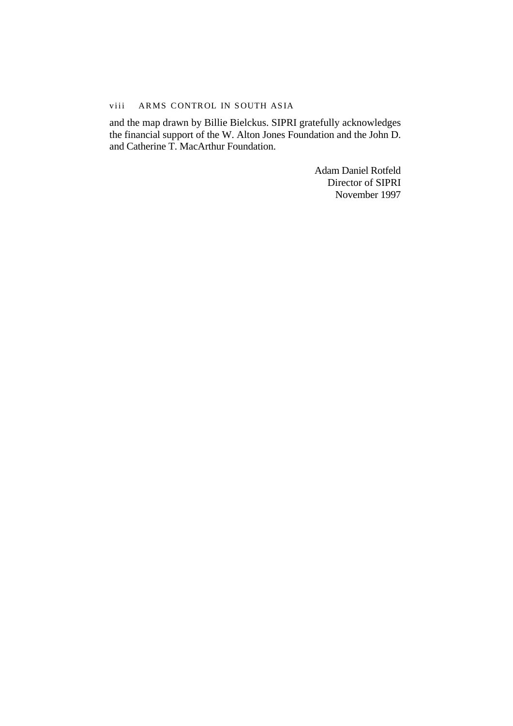#### viii ARMS CONTROL IN SOUTH ASIA

and the map drawn by Billie Bielckus. SIPRI gratefully acknowledges the financial support of the W. Alton Jones Foundation and the John D. and Catherine T. MacArthur Foundation.

> Adam Daniel Rotfeld Director of SIPRI November 1997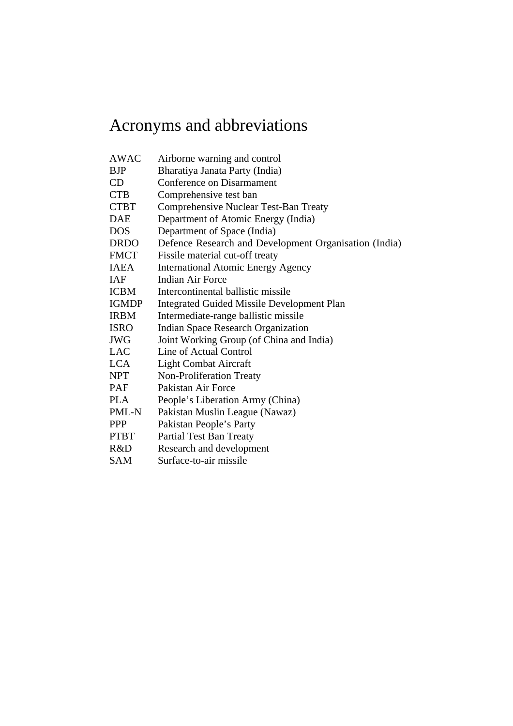# <span id="page-8-0"></span>Acronyms and abbreviations

| <b>AWAC</b>  | Airborne warning and control                          |
|--------------|-------------------------------------------------------|
| <b>BJP</b>   | Bharatiya Janata Party (India)                        |
| CD           | Conference on Disarmament                             |
| <b>CTB</b>   | Comprehensive test ban                                |
| <b>CTBT</b>  | Comprehensive Nuclear Test-Ban Treaty                 |
| DAE          | Department of Atomic Energy (India)                   |
| <b>DOS</b>   | Department of Space (India)                           |
| <b>DRDO</b>  | Defence Research and Development Organisation (India) |
| <b>FMCT</b>  | Fissile material cut-off treaty                       |
| <b>IAEA</b>  | <b>International Atomic Energy Agency</b>             |
| <b>IAF</b>   | <b>Indian Air Force</b>                               |
| <b>ICBM</b>  | Intercontinental ballistic missile                    |
| <b>IGMDP</b> | <b>Integrated Guided Missile Development Plan</b>     |
| <b>IRBM</b>  | Intermediate-range ballistic missile                  |
| <b>ISRO</b>  | <b>Indian Space Research Organization</b>             |
| <b>JWG</b>   | Joint Working Group (of China and India)              |
| <b>LAC</b>   | Line of Actual Control                                |
| <b>LCA</b>   | <b>Light Combat Aircraft</b>                          |
| <b>NPT</b>   | Non-Proliferation Treaty                              |
| <b>PAF</b>   | Pakistan Air Force                                    |
| <b>PLA</b>   | People's Liberation Army (China)                      |
| PML-N        | Pakistan Muslin League (Nawaz)                        |
| <b>PPP</b>   | Pakistan People's Party                               |
| <b>PTBT</b>  | Partial Test Ban Treaty                               |
| R&D          | Research and development                              |
| SAM          | Surface-to-air missile                                |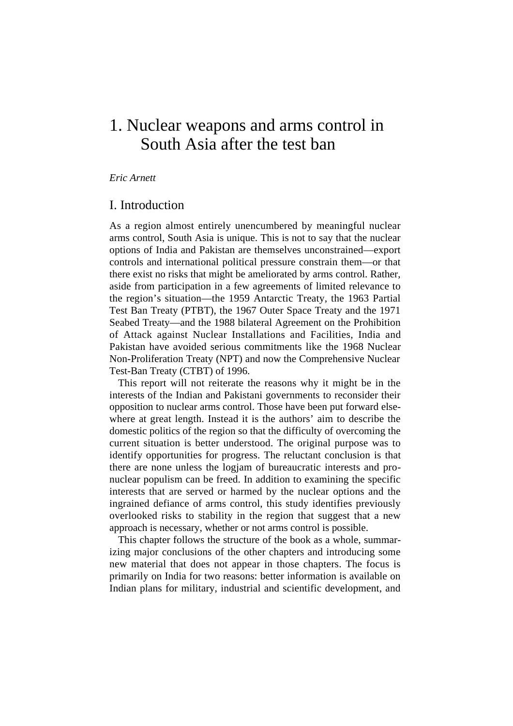# <span id="page-10-0"></span>1. Nuclear weapons and arms control in South Asia after the test ban

#### *Eric Arnett*

### I. Introduction

As a region almost entirely unencumbered by meaningful nuclear arms control, South Asia is unique. This is not to say that the nuclear options of India and Pakistan are themselves unconstrained—export controls and international political pressure constrain them—or that there exist no risks that might be ameliorated by arms control. Rather, aside from participation in a few agreements of limited relevance to the region's situation—the 1959 Antarctic Treaty, the 1963 Partial Test Ban Treaty (PTBT), the 1967 Outer Space Treaty and the 1971 Seabed Treaty—and the 1988 bilateral Agreement on the Prohibition of Attack against Nuclear Installations and Facilities, India and Pakistan have avoided serious commitments like the 1968 Nuclear Non-Proliferation Treaty (NPT) and now the Comprehensive Nuclear Test-Ban Treaty (CTBT) of 1996.

This report will not reiterate the reasons why it might be in the interests of the Indian and Pakistani governments to reconsider their opposition to nuclear arms control. Those have been put forward elsewhere at great length. Instead it is the authors' aim to describe the domestic politics of the region so that the difficulty of overcoming the current situation is better understood. The original purpose was to identify opportunities for progress. The reluctant conclusion is that there are none unless the logjam of bureaucratic interests and pronuclear populism can be freed. In addition to examining the specific interests that are served or harmed by the nuclear options and the ingrained defiance of arms control, this study identifies previously overlooked risks to stability in the region that suggest that a new approach is necessary, whether or not arms control is possible.

This chapter follows the structure of the book as a whole, summarizing major conclusions of the other chapters and introducing some new material that does not appear in those chapters. The focus is primarily on India for two reasons: better information is available on Indian plans for military, industrial and scientific development, and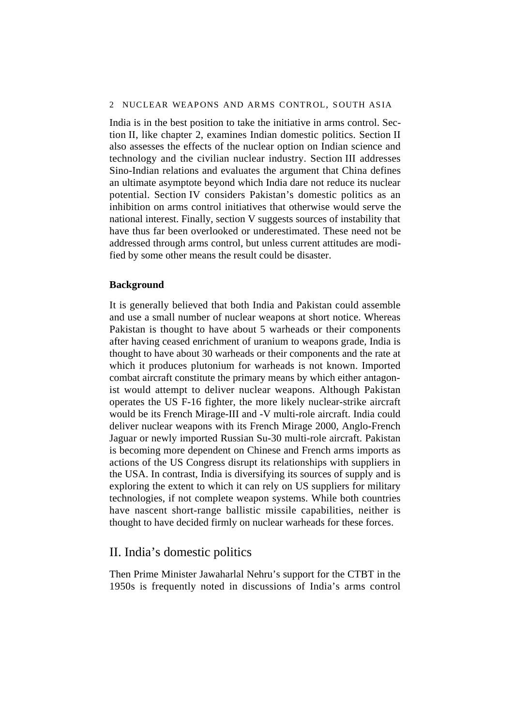<span id="page-11-0"></span>India is in the best position to take the initiative in arms control. Section II, like chapter 2, examines Indian domestic politics. Section II also assesses the effects of the nuclear option on Indian science and technology and the civilian nuclear industry. Section III addresses Sino-Indian relations and evaluates the argument that China defines an ultimate asymptote beyond which India dare not reduce its nuclear potential. Section IV considers Pakistan's domestic politics as an inhibition on arms control initiatives that otherwise would serve the national interest. Finally, section V suggests sources of instability that have thus far been overlooked or underestimated. These need not be addressed through arms control, but unless current attitudes are modified by some other means the result could be disaster.

## **Background**

It is generally believed that both India and Pakistan could assemble and use a small number of nuclear weapons at short notice. Whereas Pakistan is thought to have about 5 warheads or their components after having ceased enrichment of uranium to weapons grade, India is thought to have about 30 warheads or their components and the rate at which it produces plutonium for warheads is not known. Imported combat aircraft constitute the primary means by which either antagonist would attempt to deliver nuclear weapons. Although Pakistan operates the US F-16 fighter, the more likely nuclear-strike aircraft would be its French Mirage-III and -V multi-role aircraft. India could deliver nuclear weapons with its French Mirage 2000, Anglo-French Jaguar or newly imported Russian Su-30 multi-role aircraft. Pakistan is becoming more dependent on Chinese and French arms imports as actions of the US Congress disrupt its relationships with suppliers in the USA. In contrast, India is diversifying its sources of supply and is exploring the extent to which it can rely on US suppliers for military technologies, if not complete weapon systems. While both countries have nascent short-range ballistic missile capabilities, neither is thought to have decided firmly on nuclear warheads for these forces.

# II. India's domestic politics

Then Prime Minister Jawaharlal Nehru's support for the CTBT in the 1950s is frequently noted in discussions of India's arms control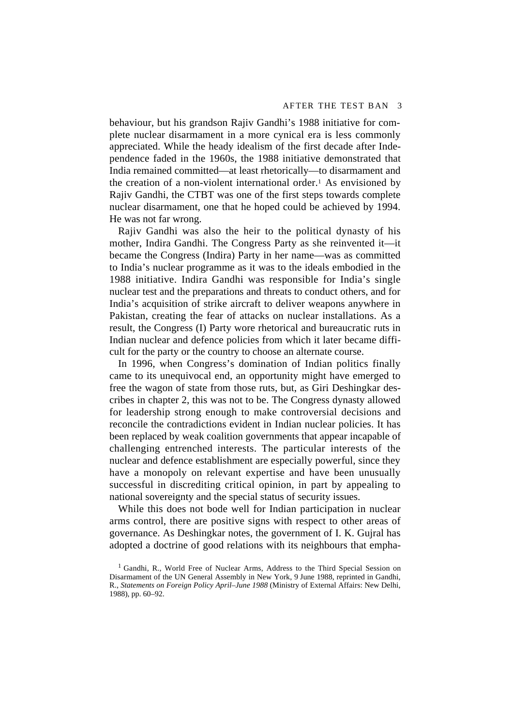behaviour, but his grandson Rajiv Gandhi's 1988 initiative for complete nuclear disarmament in a more cynical era is less commonly appreciated. While the heady idealism of the first decade after Independence faded in the 1960s, the 1988 initiative demonstrated that India remained committed—at least rhetorically—to disarmament and the creation of a non-violent international order.<sup>1</sup> As envisioned by Rajiv Gandhi, the CTBT was one of the first steps towards complete nuclear disarmament, one that he hoped could be achieved by 1994. He was not far wrong.

Rajiv Gandhi was also the heir to the political dynasty of his mother, Indira Gandhi. The Congress Party as she reinvented it—it became the Congress (Indira) Party in her name—was as committed to India's nuclear programme as it was to the ideals embodied in the 1988 initiative. Indira Gandhi was responsible for India's single nuclear test and the preparations and threats to conduct others, and for India's acquisition of strike aircraft to deliver weapons anywhere in Pakistan, creating the fear of attacks on nuclear installations. As a result, the Congress (I) Party wore rhetorical and bureaucratic ruts in Indian nuclear and defence policies from which it later became difficult for the party or the country to choose an alternate course.

In 1996, when Congress's domination of Indian politics finally came to its unequivocal end, an opportunity might have emerged to free the wagon of state from those ruts, but, as Giri Deshingkar describes in chapter 2, this was not to be. The Congress dynasty allowed for leadership strong enough to make controversial decisions and reconcile the contradictions evident in Indian nuclear policies. It has been replaced by weak coalition governments that appear incapable of challenging entrenched interests. The particular interests of the nuclear and defence establishment are especially powerful, since they have a monopoly on relevant expertise and have been unusually successful in discrediting critical opinion, in part by appealing to national sovereignty and the special status of security issues.

While this does not bode well for Indian participation in nuclear arms control, there are positive signs with respect to other areas of governance. As Deshingkar notes, the government of I. K. Gujral has adopted a doctrine of good relations with its neighbours that empha-

<sup>&</sup>lt;sup>1</sup> Gandhi, R., World Free of Nuclear Arms, Address to the Third Special Session on Disarmament of the UN General Assembly in New York, 9 June 1988, reprinted in Gandhi, R., *Statements on Foreign Policy April–June 1988* (Ministry of External Affairs: New Delhi, 1988), pp. 60–92.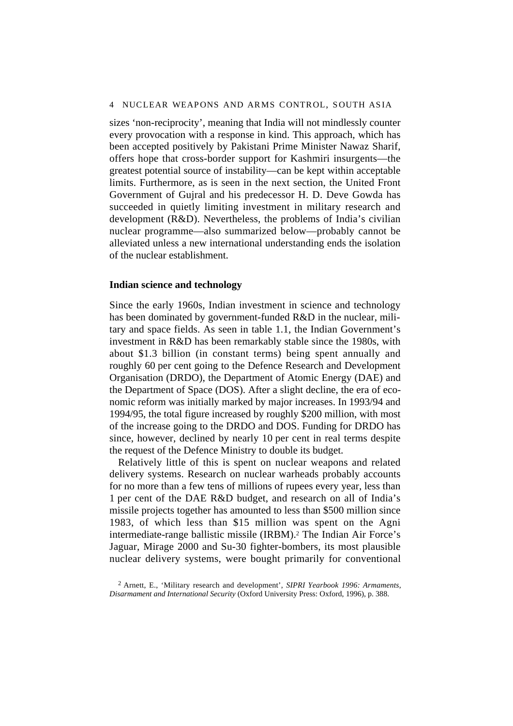#### 4 NUCLEAR WEAPONS AND ARMS CONTROL, SOUTH ASIA

sizes 'non-reciprocity', meaning that India will not mindlessly counter every provocation with a response in kind. This approach, which has been accepted positively by Pakistani Prime Minister Nawaz Sharif, offers hope that cross-border support for Kashmiri insurgents—the greatest potential source of instability—can be kept within acceptable limits. Furthermore, as is seen in the next section, the United Front Government of Gujral and his predecessor H. D. Deve Gowda has succeeded in quietly limiting investment in military research and development (R&D). Nevertheless, the problems of India's civilian nuclear programme—also summarized below—probably cannot be alleviated unless a new international understanding ends the isolation of the nuclear establishment.

#### **Indian science and technology**

Since the early 1960s, Indian investment in science and technology has been dominated by government-funded R&D in the nuclear, military and space fields. As seen in table 1.1, the Indian Government's investment in R&D has been remarkably stable since the 1980s, with about \$1.3 billion (in constant terms) being spent annually and roughly 60 per cent going to the Defence Research and Development Organisation (DRDO), the Department of Atomic Energy (DAE) and the Department of Space (DOS). After a slight decline, the era of economic reform was initially marked by major increases. In 1993/94 and 1994/95, the total figure increased by roughly \$200 million, with most of the increase going to the DRDO and DOS. Funding for DRDO has since, however, declined by nearly 10 per cent in real terms despite the request of the Defence Ministry to double its budget.

Relatively little of this is spent on nuclear weapons and related delivery systems. Research on nuclear warheads probably accounts for no more than a few tens of millions of rupees every year, less than 1 per cent of the DAE R&D budget, and research on all of India's missile projects together has amounted to less than \$500 million since 1983, of which less than \$15 million was spent on the Agni intermediate-range ballistic missile (IRBM).2 The Indian Air Force's Jaguar, Mirage 2000 and Su-30 fighter-bombers, its most plausible nuclear delivery systems, were bought primarily for conventional

<sup>2</sup> Arnett, E., 'Military research and development', *SIPRI Yearbook 1996: Armaments, Disarmament and International Security* (Oxford University Press: Oxford, 1996), p. 388.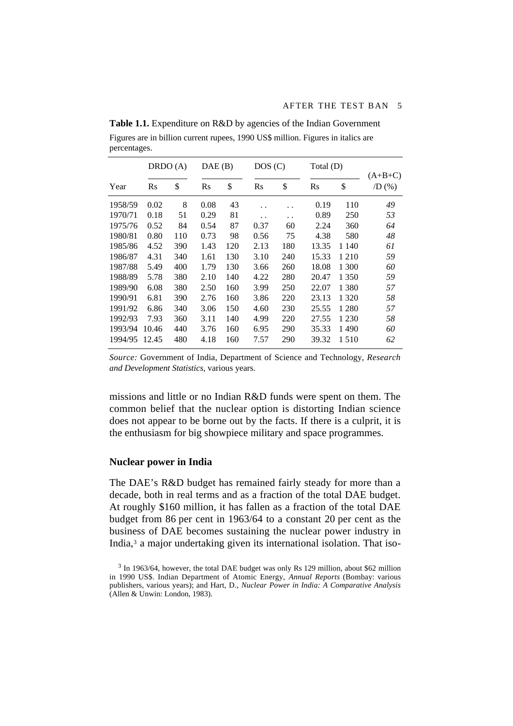|         |       | DRDO (A) |      | DAE(B) |      | DOS(C)               |       | Total (D) |                          |  |
|---------|-------|----------|------|--------|------|----------------------|-------|-----------|--------------------------|--|
| Year    | Rs    | \$       | Rs   | \$     | Rs   | \$                   | Rs    | \$        | $(A+B+C)$<br>$/D($ % $)$ |  |
| 1958/59 | 0.02  | 8        | 0.08 | 43     | . .  | . .                  | 0.19  | 110       | 49                       |  |
| 1970/71 | 0.18  | 51       | 0.29 | 81     | . .  | $\ddot{\phantom{0}}$ | 0.89  | 250       | 53                       |  |
| 1975/76 | 0.52  | 84       | 0.54 | 87     | 0.37 | 60                   | 2.24  | 360       | 64                       |  |
| 1980/81 | 0.80  | 110      | 0.73 | 98     | 0.56 | 75                   | 4.38  | 580       | 48                       |  |
| 1985/86 | 4.52  | 390      | 1.43 | 120    | 2.13 | 180                  | 13.35 | 1 1 4 0   | 61                       |  |
| 1986/87 | 4.31  | 340      | 1.61 | 130    | 3.10 | 240                  | 15.33 | 1 2 1 0   | 59                       |  |
| 1987/88 | 5.49  | 400      | 1.79 | 130    | 3.66 | 260                  | 18.08 | 1 300     | 60                       |  |
| 1988/89 | 5.78  | 380      | 2.10 | 140    | 4.22 | 280                  | 20.47 | 1 3 5 0   | 59                       |  |
| 1989/90 | 6.08  | 380      | 2.50 | 160    | 3.99 | 250                  | 22.07 | 1 3 8 0   | 57                       |  |
| 1990/91 | 6.81  | 390      | 2.76 | 160    | 3.86 | 220                  | 23.13 | 1 3 2 0   | 58                       |  |
| 1991/92 | 6.86  | 340      | 3.06 | 150    | 4.60 | 230                  | 25.55 | 1 2 8 0   | 57                       |  |
| 1992/93 | 7.93  | 360      | 3.11 | 140    | 4.99 | 220                  | 27.55 | 1 2 3 0   | 58                       |  |
| 1993/94 | 10.46 | 440      | 3.76 | 160    | 6.95 | 290                  | 35.33 | 1490      | 60                       |  |
| 1994/95 | 12.45 | 480      | 4.18 | 160    | 7.57 | 290                  | 39.32 | 1510      | 62                       |  |

<span id="page-14-0"></span>**Table 1.1.** Expenditure on R&D by agencies of the Indian Government Figures are in billion current rupees, 1990 US\$ million. Figures in italics are percentages.

*Source:* Government of India, Department of Science and Technology, *Research and Development Statistics,* various years.

missions and little or no Indian R&D funds were spent on them. The common belief that the nuclear option is distorting Indian science does not appear to be borne out by the facts. If there is a culprit, it is the enthusiasm for big showpiece military and space programmes.

#### **Nuclear power in India**

The DAE's R&D budget has remained fairly steady for more than a decade, both in real terms and as a fraction of the total DAE budget. At roughly \$160 million, it has fallen as a fraction of the total DAE budget from 86 per cent in 1963/64 to a constant 20 per cent as the business of DAE becomes sustaining the nuclear power industry in India,3 a major undertaking given its international isolation. That iso-

<sup>&</sup>lt;sup>3</sup> In 1963/64, however, the total DAE budget was only Rs 129 million, about \$62 million in 1990 US\$. Indian Department of Atomic Energy, *Annual Reports* (Bombay: various publishers, various years); and Hart, D., *Nuclear Power in India: A Comparative Analysis* (Allen & Unwin: London, 1983).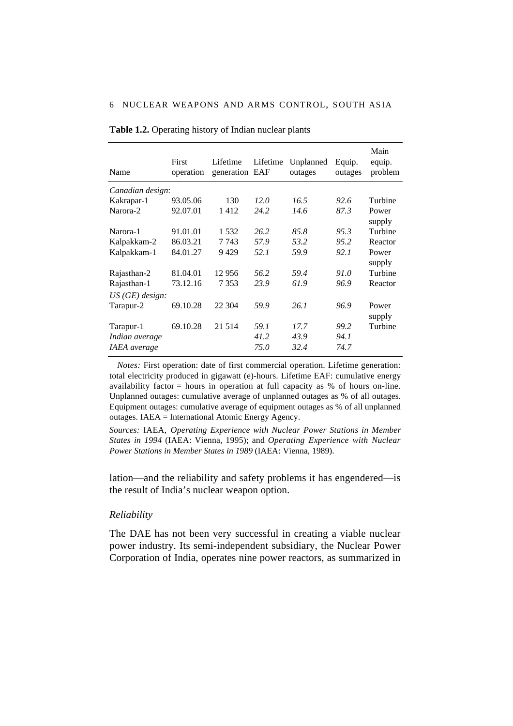| Name                            | First<br>operation | Lifetime<br>generation EAF | Lifetime | Unplanned<br>outages | Equip.<br>outages | Main<br>equip.<br>problem |
|---------------------------------|--------------------|----------------------------|----------|----------------------|-------------------|---------------------------|
| Canadian design:                |                    |                            |          |                      |                   |                           |
| Kakrapar-1                      | 93.05.06           | 130                        | 12.0     | 16.5                 | 92.6              | Turbine                   |
| Narora-2                        | 92.07.01           | 1412                       | 24.2     | 14.6                 | 87.3              | Power<br>supply           |
| Narora-1                        | 91.01.01           | 1.532                      | 26.2     | 85.8                 | 95.3              | Turbine                   |
| Kalpakkam-2                     | 86.03.21           | 7 743                      | 57.9     | 53.2                 | 95.2              | Reactor                   |
| Kalpakkam-1                     | 84.01.27           | 9429                       | 52.1     | 59.9                 | 92.1              | Power<br>supply           |
| Rajasthan-2                     | 81.04.01           | 12956                      | 56.2     | 59.4                 | 91.0              | Turbine                   |
| Rajasthan-1<br>$US(GE)$ design: | 73.12.16           | 7353                       | 23.9     | 61.9                 | 96.9              | Reactor                   |
| Tarapur-2                       | 69.10.28           | 22 304                     | 59.9     | 26.1                 | 96.9              | Power<br>supply           |
| Tarapur-1                       | 69.10.28           | 21 5 14                    | 59.1     | 17.7                 | 99.2              | Turbine                   |
| Indian average                  |                    |                            | 41.2     | 43.9                 | 94.1              |                           |
| <b>IAEA</b> average             |                    |                            | 75.0     | 32.4                 | 74.7              |                           |

<span id="page-15-0"></span>**Table 1.2.** Operating history of Indian nuclear plants

*Notes:* First operation: date of first commercial operation. Lifetime generation: total electricity produced in gigawatt (e)-hours. Lifetime EAF: cumulative energy availability factor = hours in operation at full capacity as % of hours on-line. Unplanned outages: cumulative average of unplanned outages as % of all outages. Equipment outages: cumulative average of equipment outages as % of all unplanned outages. IAEA = International Atomic Energy Agency.

*Sources:* IAEA, *Operating Experience with Nuclear Power Stations in Member States in 1994* (IAEA: Vienna, 1995); and *Operating Experience with Nuclear Power Stations in Member States in 1989* (IAEA: Vienna, 1989).

lation—and the reliability and safety problems it has engendered—is the result of India's nuclear weapon option.

#### *Reliability*

The DAE has not been very successful in creating a viable nuclear power industry. Its semi-independent subsidiary, the Nuclear Power Corporation of India, operates nine power reactors, as summarized in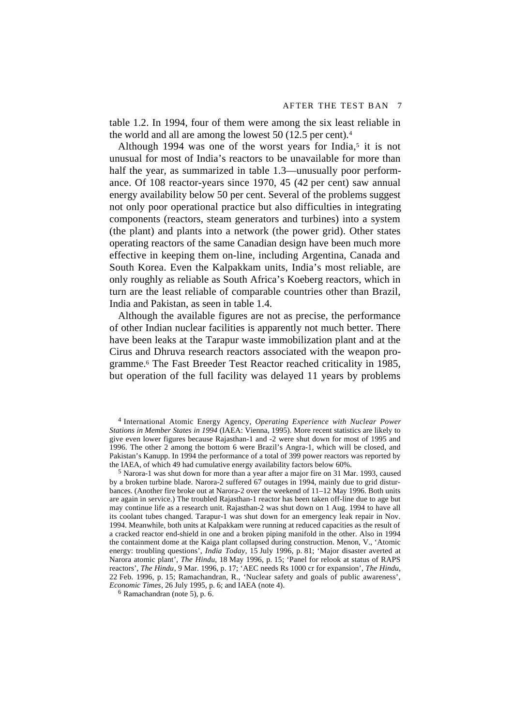table 1.2. In 1994, four of them were among the six least reliable in the world and all are among the lowest 50 (12.5 per cent).4

Although 1994 was one of the worst years for India,<sup>5</sup> it is not unusual for most of India's reactors to be unavailable for more than half the year, as summarized in table 1.3—unusually poor performance. Of 108 reactor-years since 1970, 45 (42 per cent) saw annual energy availability below 50 per cent. Several of the problems suggest not only poor operational practice but also difficulties in integrating components (reactors, steam generators and turbines) into a system (the plant) and plants into a network (the power grid). Other states operating reactors of the same Canadian design have been much more effective in keeping them on-line, including Argentina, Canada and South Korea. Even the Kalpakkam units, India's most reliable, are only roughly as reliable as South Africa's Koeberg reactors, which in turn are the least reliable of comparable countries other than Brazil, India and Pakistan, as seen in table 1.4.

Although the available figures are not as precise, the performance of other Indian nuclear facilities is apparently not much better. There have been leaks at the Tarapur waste immobilization plant and at the Cirus and Dhruva research reactors associated with the weapon programme.6 The Fast Breeder Test Reactor reached criticality in 1985, but operation of the full facility was delayed 11 years by problems

4 International Atomic Energy Agency, *Operating Experience with Nuclear Power Stations in Member States in 1994* (IAEA: Vienna, 1995). More recent statistics are likely to give even lower figures because Rajasthan-1 and -2 were shut down for most of 1995 and 1996. The other 2 among the bottom 6 were Brazil's Angra-1, which will be closed, and Pakistan's Kanupp. In 1994 the performance of a total of 399 power reactors was reported by the IAEA, of which 49 had cumulative energy availability factors below 60%.

5 Narora-1 was shut down for more than a year after a major fire on 31 Mar. 1993, caused by a broken turbine blade. Narora-2 suffered 67 outages in 1994, mainly due to grid disturbances. (Another fire broke out at Narora-2 over the weekend of 11–12 May 1996. Both units are again in service.) The troubled Rajasthan-1 reactor has been taken off-line due to age but may continue life as a research unit. Rajasthan-2 was shut down on 1 Aug. 1994 to have all its coolant tubes changed. Tarapur-1 was shut down for an emergency leak repair in Nov. 1994. Meanwhile, both units at Kalpakkam were running at reduced capacities as the result of a cracked reactor end-shield in one and a broken piping manifold in the other. Also in 1994 the containment dome at the Kaiga plant collapsed during construction. Menon, V., 'Atomic energy: troubling questions', *India Today*, 15 July 1996, p. 81; 'Major disaster averted at Narora atomic plant', *The Hindu*, 18 May 1996, p. 15; 'Panel for relook at status of RAPS reactors', *The Hindu*, 9 Mar. 1996, p. 17; 'AEC needs Rs 1000 cr for expansion', *The Hindu*, 22 Feb. 1996, p. 15; Ramachandran, R., 'Nuclear safety and goals of public awareness', *Economic Times*, 26 July 1995, p. 6; and IAEA (note 4).

 $6$  Ramachandran (note 5), p.  $6$ .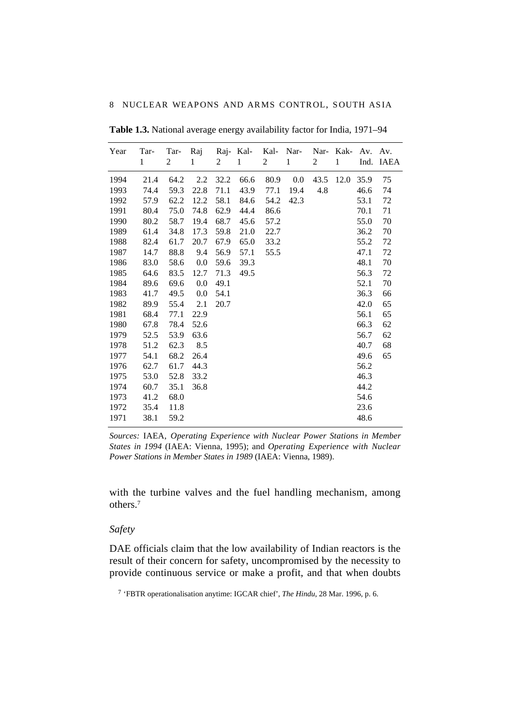| Year | Tar-<br>$\mathbf{1}$ | Tar-<br>2 | Raj<br>1 | 2    | Raj-Kal-<br>$\mathbf{1}$ | Kal-<br>2 | Nar-<br>1 | Nar-<br>2 | Kak-<br>1 | Av.<br>Ind. | Av.<br><b>IAEA</b> |
|------|----------------------|-----------|----------|------|--------------------------|-----------|-----------|-----------|-----------|-------------|--------------------|
| 1994 | 21.4                 | 64.2      | 2.2      | 32.2 | 66.6                     | 80.9      | 0.0       | 43.5      | 12.0      | 35.9        | 75                 |
| 1993 | 74.4                 | 59.3      | 22.8     | 71.1 | 43.9                     | 77.1      | 19.4      | 4.8       |           | 46.6        | 74                 |
| 1992 | 57.9                 | 62.2      | 12.2     | 58.1 | 84.6                     | 54.2      | 42.3      |           |           | 53.1        | 72                 |
| 1991 | 80.4                 | 75.0      | 74.8     | 62.9 | 44.4                     | 86.6      |           |           |           | 70.1        | 71                 |
| 1990 | 80.2                 | 58.7      | 19.4     | 68.7 | 45.6                     | 57.2      |           |           |           | 55.0        | 70                 |
| 1989 | 61.4                 | 34.8      | 17.3     | 59.8 | 21.0                     | 22.7      |           |           |           | 36.2        | 70                 |
| 1988 | 82.4                 | 61.7      | 20.7     | 67.9 | 65.0                     | 33.2      |           |           |           | 55.2        | 72                 |
| 1987 | 14.7                 | 88.8      | 9.4      | 56.9 | 57.1                     | 55.5      |           |           |           | 47.1        | 72                 |
| 1986 | 83.0                 | 58.6      | 0.0      | 59.6 | 39.3                     |           |           |           |           | 48.1        | 70                 |
| 1985 | 64.6                 | 83.5      | 12.7     | 71.3 | 49.5                     |           |           |           |           | 56.3        | 72                 |
| 1984 | 89.6                 | 69.6      | 0.0      | 49.1 |                          |           |           |           |           | 52.1        | 70                 |
| 1983 | 41.7                 | 49.5      | 0.0      | 54.1 |                          |           |           |           |           | 36.3        | 66                 |
| 1982 | 89.9                 | 55.4      | 2.1      | 20.7 |                          |           |           |           |           | 42.0        | 65                 |
| 1981 | 68.4                 | 77.1      | 22.9     |      |                          |           |           |           |           | 56.1        | 65                 |
| 1980 | 67.8                 | 78.4      | 52.6     |      |                          |           |           |           |           | 66.3        | 62                 |
| 1979 | 52.5                 | 53.9      | 63.6     |      |                          |           |           |           |           | 56.7        | 62                 |
| 1978 | 51.2                 | 62.3      | 8.5      |      |                          |           |           |           |           | 40.7        | 68                 |
| 1977 | 54.1                 | 68.2      | 26.4     |      |                          |           |           |           |           | 49.6        | 65                 |
| 1976 | 62.7                 | 61.7      | 44.3     |      |                          |           |           |           |           | 56.2        |                    |
| 1975 | 53.0                 | 52.8      | 33.2     |      |                          |           |           |           |           | 46.3        |                    |
| 1974 | 60.7                 | 35.1      | 36.8     |      |                          |           |           |           |           | 44.2        |                    |
| 1973 | 41.2                 | 68.0      |          |      |                          |           |           |           |           | 54.6        |                    |
| 1972 | 35.4                 | 11.8      |          |      |                          |           |           |           |           | 23.6        |                    |
| 1971 | 38.1                 | 59.2      |          |      |                          |           |           |           |           | 48.6        |                    |

<span id="page-17-0"></span>**Table 1.3.** National average energy availability factor for India, 1971–94

*Sources:* IAEA, *Operating Experience with Nuclear Power Stations in Member States in 1994* (IAEA: Vienna, 1995); and *Operating Experience with Nuclear Power Stations in Member States in 1989* (IAEA: Vienna, 1989).

with the turbine valves and the fuel handling mechanism, among others.7

#### *Safety*

DAE officials claim that the low availability of Indian reactors is the result of their concern for safety, uncompromised by the necessity to provide continuous service or make a profit, and that when doubts

<sup>7 &#</sup>x27;FBTR operationalisation anytime: IGCAR chief', *The Hindu*, 28 Mar. 1996, p. 6.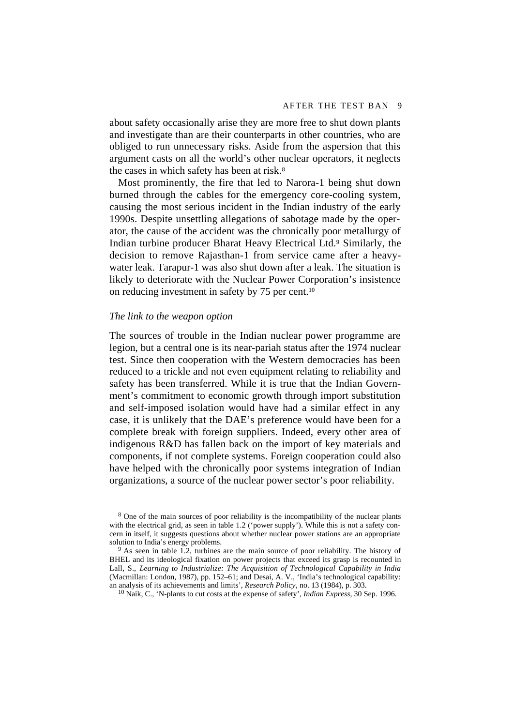about safety occasionally arise they are more free to shut down plants and investigate than are their counterparts in other countries, who are obliged to run unnecessary risks. Aside from the aspersion that this argument casts on all the world's other nuclear operators, it neglects the cases in which safety has been at risk.8

Most prominently, the fire that led to Narora-1 being shut down burned through the cables for the emergency core-cooling system, causing the most serious incident in the Indian industry of the early 1990s. Despite unsettling allegations of sabotage made by the operator, the cause of the accident was the chronically poor metallurgy of Indian turbine producer Bharat Heavy Electrical Ltd.9 Similarly, the decision to remove Rajasthan-1 from service came after a heavywater leak. Tarapur-1 was also shut down after a leak. The situation is likely to deteriorate with the Nuclear Power Corporation's insistence on reducing investment in safety by 75 per cent.10

#### *The link to the weapon option*

The sources of trouble in the Indian nuclear power programme are legion, but a central one is its near-pariah status after the 1974 nuclear test. Since then cooperation with the Western democracies has been reduced to a trickle and not even equipment relating to reliability and safety has been transferred. While it is true that the Indian Government's commitment to economic growth through import substitution and self-imposed isolation would have had a similar effect in any case, it is unlikely that the DAE's preference would have been for a complete break with foreign suppliers. Indeed, every other area of indigenous R&D has fallen back on the import of key materials and components, if not complete systems. Foreign cooperation could also have helped with the chronically poor systems integration of Indian organizations, a source of the nuclear power sector's poor reliability.

8 One of the main sources of poor reliability is the incompatibility of the nuclear plants with the electrical grid, as seen in table 1.2 ('power supply'). While this is not a safety concern in itself, it suggests questions about whether nuclear power stations are an appropriate solution to India's energy problems.

 $9$  As seen in table 1.2, turbines are the main source of poor reliability. The history of BHEL and its ideological fixation on power projects that exceed its grasp is recounted in Lall, S., *Learning to Industrialize: The Acquisition of Technological Capability in India* (Macmillan: London, 1987), pp. 152–61; and Desai, A. V., 'India's technological capability: an analysis of its achievements and limits', *Research Policy*, no. 13 (1984), p. 303.

10 Naik, C., 'N-plants to cut costs at the expense of safety', *Indian Express*, 30 Sep. 1996.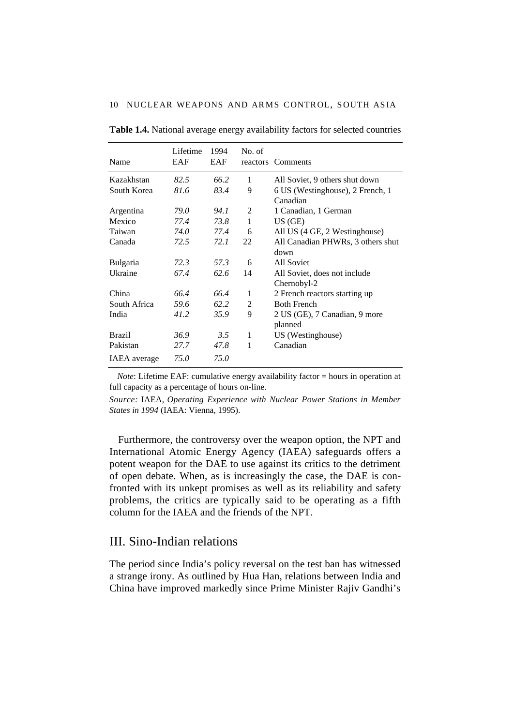| Name                | Lifetime<br>EAF | 1994<br>EAF | No. of | reactors Comments                            |
|---------------------|-----------------|-------------|--------|----------------------------------------------|
| Kazakhstan          | 82.5            | 66.2        | 1      | All Soviet, 9 others shut down               |
| South Korea         | 81.6            | 83.4        | 9      | 6 US (Westinghouse), 2 French, 1<br>Canadian |
| Argentina           | 79.0            | 94.1        | 2      | 1 Canadian, 1 German                         |
| Mexico              | 77.4            | 73.8        | 1      | US (GE)                                      |
| Taiwan              | 74.0            | 77.4        | 6      | All US (4 GE, 2 Westinghouse)                |
| Canada              | 72.5            | 72.1        | 22     | All Canadian PHWRs, 3 others shut            |
|                     |                 |             |        | down                                         |
| Bulgaria            | 72.3            | 57.3        | 6      | All Soviet                                   |
| Ukraine             | 67.4            | 62.6        | 14     | All Soviet, does not include<br>Chernobyl-2  |
| China               | 66.4            | 66.4        | 1      | 2 French reactors starting up                |
| South Africa        | 59.6            | 62.2        | 2      | <b>Both French</b>                           |
| India               | 41.2            | 35.9        | 9      | 2 US (GE), 7 Canadian, 9 more<br>planned     |
| <b>Brazil</b>       | 36.9            | 3.5         | 1      | US (Westinghouse)                            |
| Pakistan            | 27.7            | 47.8        | 1      | Canadian                                     |
| <b>IAEA</b> average | 75.0            | 75.0        |        |                                              |

<span id="page-19-0"></span>**Table 1.4.** National average energy availability factors for selected countries

*Note*: Lifetime EAF: cumulative energy availability factor = hours in operation at full capacity as a percentage of hours on-line.

*Source:* IAEA, *Operating Experience with Nuclear Power Stations in Member States in 1994* (IAEA: Vienna, 1995).

Furthermore, the controversy over the weapon option, the NPT and International Atomic Energy Agency (IAEA) safeguards offers a potent weapon for the DAE to use against its critics to the detriment of open debate. When, as is increasingly the case, the DAE is confronted with its unkept promises as well as its reliability and safety problems, the critics are typically said to be operating as a fifth column for the IAEA and the friends of the NPT.

## III. Sino-Indian relations

The period since India's policy reversal on the test ban has witnessed a strange irony. As outlined by Hua Han, relations between India and China have improved markedly since Prime Minister Rajiv Gandhi's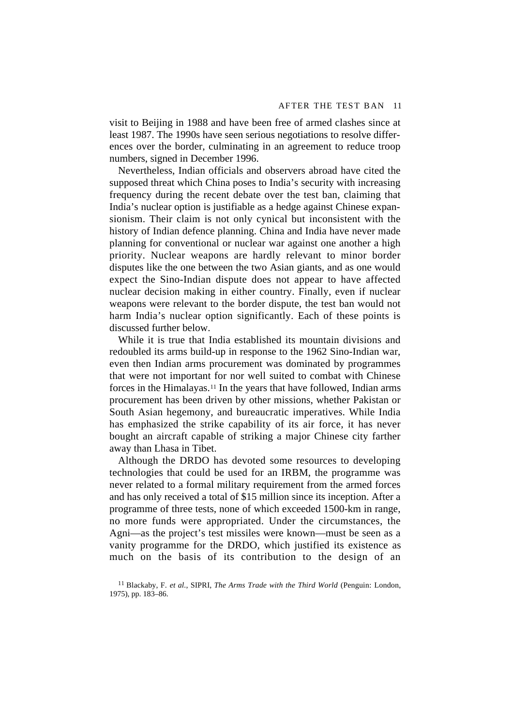visit to Beijing in 1988 and have been free of armed clashes since at least 1987. The 1990s have seen serious negotiations to resolve differences over the border, culminating in an agreement to reduce troop numbers, signed in December 1996.

Nevertheless, Indian officials and observers abroad have cited the supposed threat which China poses to India's security with increasing frequency during the recent debate over the test ban, claiming that India's nuclear option is justifiable as a hedge against Chinese expansionism. Their claim is not only cynical but inconsistent with the history of Indian defence planning. China and India have never made planning for conventional or nuclear war against one another a high priority. Nuclear weapons are hardly relevant to minor border disputes like the one between the two Asian giants, and as one would expect the Sino-Indian dispute does not appear to have affected nuclear decision making in either country. Finally, even if nuclear weapons were relevant to the border dispute, the test ban would not harm India's nuclear option significantly. Each of these points is discussed further below.

While it is true that India established its mountain divisions and redoubled its arms build-up in response to the 1962 Sino-Indian war, even then Indian arms procurement was dominated by programmes that were not important for nor well suited to combat with Chinese forces in the Himalayas.11 In the years that have followed, Indian arms procurement has been driven by other missions, whether Pakistan or South Asian hegemony, and bureaucratic imperatives. While India has emphasized the strike capability of its air force, it has never bought an aircraft capable of striking a major Chinese city farther away than Lhasa in Tibet.

Although the DRDO has devoted some resources to developing technologies that could be used for an IRBM, the programme was never related to a formal military requirement from the armed forces and has only received a total of \$15 million since its inception. After a programme of three tests, none of which exceeded 1500-km in range, no more funds were appropriated. Under the circumstances, the Agni—as the project's test missiles were known—must be seen as a vanity programme for the DRDO, which justified its existence as much on the basis of its contribution to the design of an

<sup>11</sup> Blackaby, F. *et al.*, SIPRI, *The Arms Trade with the Third World* (Penguin: London, 1975), pp. 183–86.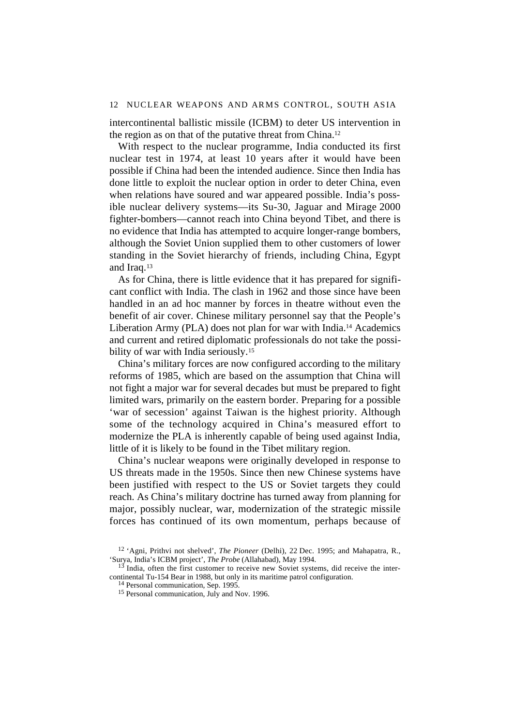intercontinental ballistic missile (ICBM) to deter US intervention in the region as on that of the putative threat from China.12

With respect to the nuclear programme, India conducted its first nuclear test in 1974, at least 10 years after it would have been possible if China had been the intended audience. Since then India has done little to exploit the nuclear option in order to deter China, even when relations have soured and war appeared possible. India's possible nuclear delivery systems—its Su-30, Jaguar and Mirage 2000 fighter-bombers—cannot reach into China beyond Tibet, and there is no evidence that India has attempted to acquire longer-range bombers, although the Soviet Union supplied them to other customers of lower standing in the Soviet hierarchy of friends, including China, Egypt and Iraq.13

As for China, there is little evidence that it has prepared for significant conflict with India. The clash in 1962 and those since have been handled in an ad hoc manner by forces in theatre without even the benefit of air cover. Chinese military personnel say that the People's Liberation Army (PLA) does not plan for war with India.14 Academics and current and retired diplomatic professionals do not take the possibility of war with India seriously.<sup>15</sup>

China's military forces are now configured according to the military reforms of 1985, which are based on the assumption that China will not fight a major war for several decades but must be prepared to fight limited wars, primarily on the eastern border. Preparing for a possible 'war of secession' against Taiwan is the highest priority. Although some of the technology acquired in China's measured effort to modernize the PLA is inherently capable of being used against India, little of it is likely to be found in the Tibet military region.

China's nuclear weapons were originally developed in response to US threats made in the 1950s. Since then new Chinese systems have been justified with respect to the US or Soviet targets they could reach. As China's military doctrine has turned away from planning for major, possibly nuclear, war, modernization of the strategic missile forces has continued of its own momentum, perhaps because of

<sup>12</sup> 'Agni, Prithvi not shelved', *The Pioneer* (Delhi), 22 Dec. 1995; and Mahapatra, R., 'Surya, India's ICBM project', *The Probe* (Allahabad), May 1994.

 $13$  India, often the first customer to receive new Soviet systems, did receive the intercontinental Tu-154 Bear in 1988, but only in its maritime patrol configuration.

<sup>&</sup>lt;sup>14</sup> Personal communication, Sep. 1995.

<sup>15</sup> Personal communication, July and Nov. 1996.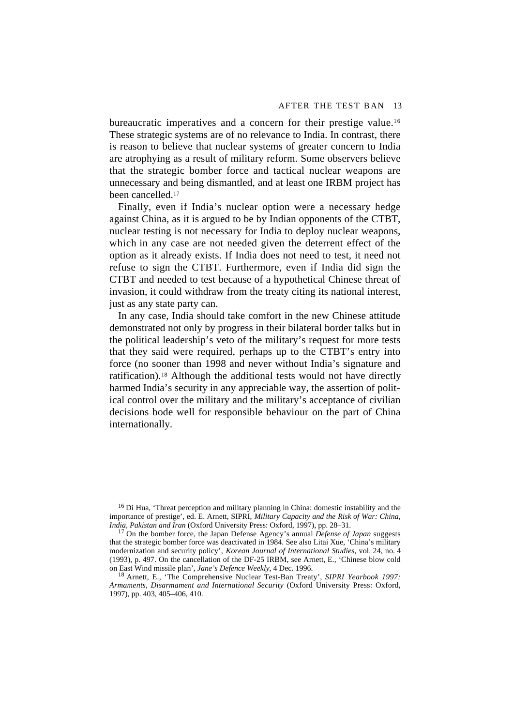bureaucratic imperatives and a concern for their prestige value.16 These strategic systems are of no relevance to India. In contrast, there is reason to believe that nuclear systems of greater concern to India are atrophying as a result of military reform. Some observers believe that the strategic bomber force and tactical nuclear weapons are unnecessary and being dismantled, and at least one IRBM project has been cancelled.17

Finally, even if India's nuclear option were a necessary hedge against China, as it is argued to be by Indian opponents of the CTBT, nuclear testing is not necessary for India to deploy nuclear weapons, which in any case are not needed given the deterrent effect of the option as it already exists. If India does not need to test, it need not refuse to sign the CTBT. Furthermore, even if India did sign the CTBT and needed to test because of a hypothetical Chinese threat of invasion, it could withdraw from the treaty citing its national interest, just as any state party can.

In any case, India should take comfort in the new Chinese attitude demonstrated not only by progress in their bilateral border talks but in the political leadership's veto of the military's request for more tests that they said were required, perhaps up to the CTBT's entry into force (no sooner than 1998 and never without India's signature and ratification).18 Although the additional tests would not have directly harmed India's security in any appreciable way, the assertion of political control over the military and the military's acceptance of civilian decisions bode well for responsible behaviour on the part of China internationally.

<sup>16</sup> Di Hua, 'Threat perception and military planning in China: domestic instability and the importance of prestige', ed. E. Arnett, SIPRI, *Military Capacity and the Risk of War: China, India, Pakistan and Iran* (Oxford University Press: Oxford, 1997), pp. 28–31.

17 On the bomber force, the Japan Defense Agency's annual *Defense of Japan* suggests that the strategic bomber force was deactivated in 1984. See also Litai Xue, 'China's military modernization and security policy', *Korean Journal of International Studies*, vol. 24, no. 4 (1993), p. 497. On the cancellation of the DF-25 IRBM, see Arnett, E., 'Chinese blow cold on East Wind missile plan', *Jane's Defence Weekly*, 4 Dec. 1996.

18 Arnett, E., 'The Comprehensive Nuclear Test-Ban Treaty', *SIPRI Yearbook 1997: Armaments, Disarmament and International Security* (Oxford University Press: Oxford, 1997), pp. 403, 405–406, 410.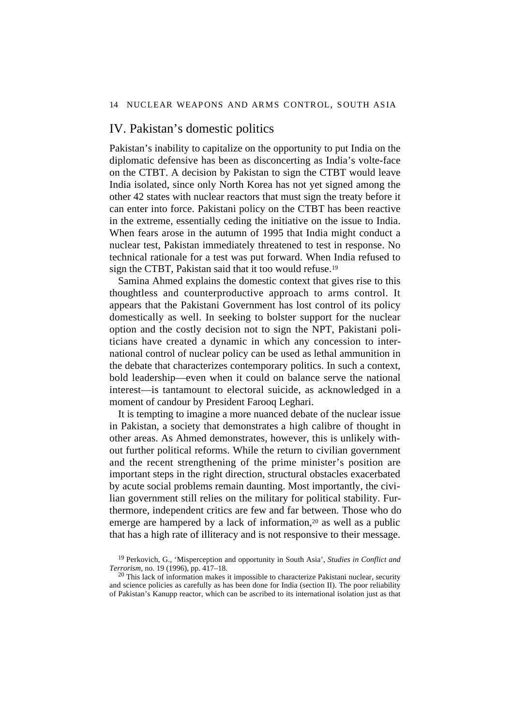## <span id="page-23-0"></span>IV. Pakistan's domestic politics

Pakistan's inability to capitalize on the opportunity to put India on the diplomatic defensive has been as disconcerting as India's volte-face on the CTBT. A decision by Pakistan to sign the CTBT would leave India isolated, since only North Korea has not yet signed among the other 42 states with nuclear reactors that must sign the treaty before it can enter into force. Pakistani policy on the CTBT has been reactive in the extreme, essentially ceding the initiative on the issue to India. When fears arose in the autumn of 1995 that India might conduct a nuclear test, Pakistan immediately threatened to test in response. No technical rationale for a test was put forward. When India refused to sign the CTBT, Pakistan said that it too would refuse.<sup>19</sup>

Samina Ahmed explains the domestic context that gives rise to this thoughtless and counterproductive approach to arms control. It appears that the Pakistani Government has lost control of its policy domestically as well. In seeking to bolster support for the nuclear option and the costly decision not to sign the NPT, Pakistani politicians have created a dynamic in which any concession to international control of nuclear policy can be used as lethal ammunition in the debate that characterizes contemporary politics. In such a context, bold leadership—even when it could on balance serve the national interest—is tantamount to electoral suicide, as acknowledged in a moment of candour by President Farooq Leghari.

It is tempting to imagine a more nuanced debate of the nuclear issue in Pakistan, a society that demonstrates a high calibre of thought in other areas. As Ahmed demonstrates, however, this is unlikely without further political reforms. While the return to civilian government and the recent strengthening of the prime minister's position are important steps in the right direction, structural obstacles exacerbated by acute social problems remain daunting. Most importantly, the civilian government still relies on the military for political stability. Furthermore, independent critics are few and far between. Those who do emerge are hampered by a lack of information,<sup>20</sup> as well as a public that has a high rate of illiteracy and is not responsive to their message.

<sup>19</sup> Perkovich, G., 'Misperception and opportunity in South Asia', *Studies in Conflict and Terrorism*, no. 19 (1996), pp. 417–18.

 $20$  This lack of information makes it impossible to characterize Pakistani nuclear, security and science policies as carefully as has been done for India (section II). The poor reliability of Pakistan's Kanupp reactor, which can be ascribed to its international isolation just as that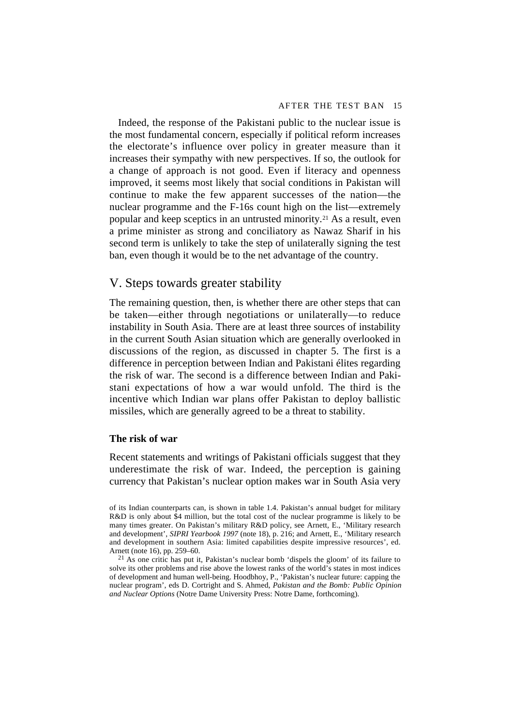<span id="page-24-0"></span>Indeed, the response of the Pakistani public to the nuclear issue is the most fundamental concern, especially if political reform increases the electorate's influence over policy in greater measure than it increases their sympathy with new perspectives. If so, the outlook for a change of approach is not good. Even if literacy and openness improved, it seems most likely that social conditions in Pakistan will continue to make the few apparent successes of the nation—the nuclear programme and the F-16s count high on the list—extremely popular and keep sceptics in an untrusted minority.21 As a result, even a prime minister as strong and conciliatory as Nawaz Sharif in his second term is unlikely to take the step of unilaterally signing the test ban, even though it would be to the net advantage of the country.

# V. Steps towards greater stability

The remaining question, then, is whether there are other steps that can be taken—either through negotiations or unilaterally—to reduce instability in South Asia. There are at least three sources of instability in the current South Asian situation which are generally overlooked in discussions of the region, as discussed in chapter 5. The first is a difference in perception between Indian and Pakistani élites regarding the risk of war. The second is a difference between Indian and Pakistani expectations of how a war would unfold. The third is the incentive which Indian war plans offer Pakistan to deploy ballistic missiles, which are generally agreed to be a threat to stability.

### **The risk of war**

Recent statements and writings of Pakistani officials suggest that they underestimate the risk of war. Indeed, the perception is gaining currency that Pakistan's nuclear option makes war in South Asia very

of its Indian counterparts can, is shown in table 1.4. Pakistan's annual budget for military R&D is only about \$4 million, but the total cost of the nuclear programme is likely to be many times greater. On Pakistan's military R&D policy, see Arnett, E., 'Military research and development', *SIPRI Yearbook 1997* (note 18), p. 216; and Arnett, E., 'Military research and development in southern Asia: limited capabilities despite impressive resources', ed. Arnett (note 16), pp. 259–60.

 $^{21}$  As one critic has put it, Pakistan's nuclear bomb 'dispels the gloom' of its failure to solve its other problems and rise above the lowest ranks of the world's states in most indices of development and human well-being. Hoodbhoy, P., 'Pakistan's nuclear future: capping the nuclear program', eds D. Cortright and S. Ahmed, *Pakistan and the Bomb: Public Opinion and Nuclear Options* (Notre Dame University Press: Notre Dame, forthcoming).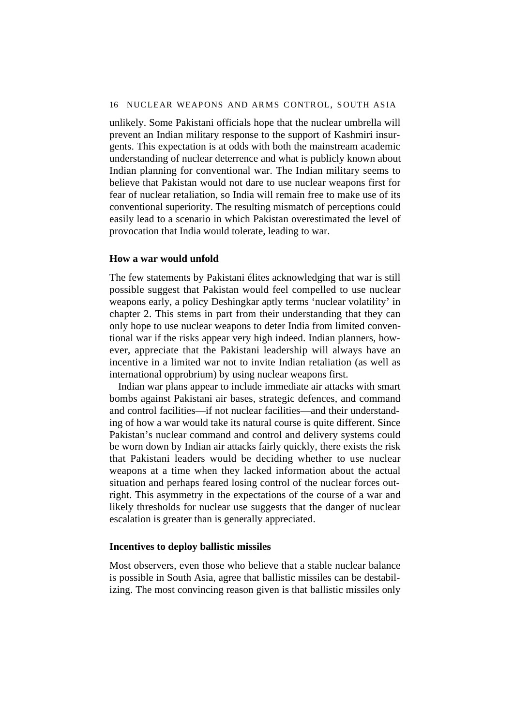unlikely. Some Pakistani officials hope that the nuclear umbrella will prevent an Indian military response to the support of Kashmiri insurgents. This expectation is at odds with both the mainstream academic understanding of nuclear deterrence and what is publicly known about Indian planning for conventional war. The Indian military seems to believe that Pakistan would not dare to use nuclear weapons first for fear of nuclear retaliation, so India will remain free to make use of its conventional superiority. The resulting mismatch of perceptions could easily lead to a scenario in which Pakistan overestimated the level of provocation that India would tolerate, leading to war.

#### **How a war would unfold**

The few statements by Pakistani élites acknowledging that war is still possible suggest that Pakistan would feel compelled to use nuclear weapons early, a policy Deshingkar aptly terms 'nuclear volatility' in chapter 2. This stems in part from their understanding that they can only hope to use nuclear weapons to deter India from limited conventional war if the risks appear very high indeed. Indian planners, however, appreciate that the Pakistani leadership will always have an incentive in a limited war not to invite Indian retaliation (as well as international opprobrium) by using nuclear weapons first.

Indian war plans appear to include immediate air attacks with smart bombs against Pakistani air bases, strategic defences, and command and control facilities—if not nuclear facilities—and their understanding of how a war would take its natural course is quite different. Since Pakistan's nuclear command and control and delivery systems could be worn down by Indian air attacks fairly quickly, there exists the risk that Pakistani leaders would be deciding whether to use nuclear weapons at a time when they lacked information about the actual situation and perhaps feared losing control of the nuclear forces outright. This asymmetry in the expectations of the course of a war and likely thresholds for nuclear use suggests that the danger of nuclear escalation is greater than is generally appreciated.

### **Incentives to deploy ballistic missiles**

Most observers, even those who believe that a stable nuclear balance is possible in South Asia, agree that ballistic missiles can be destabilizing. The most convincing reason given is that ballistic missiles only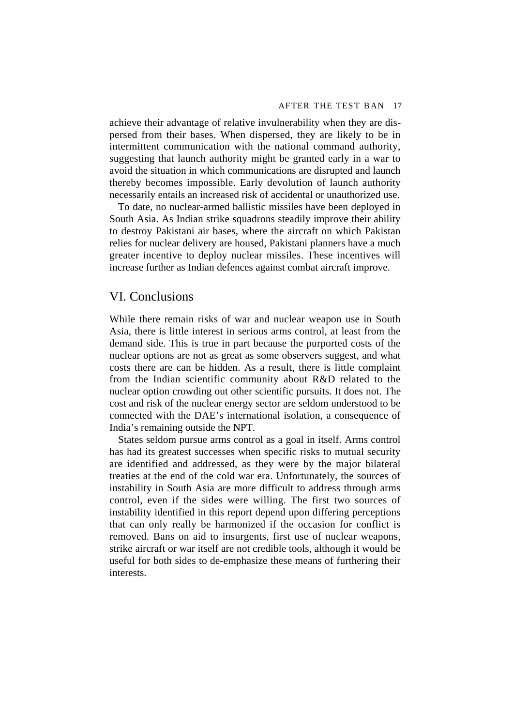<span id="page-26-0"></span>achieve their advantage of relative invulnerability when they are dispersed from their bases. When dispersed, they are likely to be in intermittent communication with the national command authority, suggesting that launch authority might be granted early in a war to avoid the situation in which communications are disrupted and launch thereby becomes impossible. Early devolution of launch authority necessarily entails an increased risk of accidental or unauthorized use.

To date, no nuclear-armed ballistic missiles have been deployed in South Asia. As Indian strike squadrons steadily improve their ability to destroy Pakistani air bases, where the aircraft on which Pakistan relies for nuclear delivery are housed, Pakistani planners have a much greater incentive to deploy nuclear missiles. These incentives will increase further as Indian defences against combat aircraft improve.

# VI. Conclusions

While there remain risks of war and nuclear weapon use in South Asia, there is little interest in serious arms control, at least from the demand side. This is true in part because the purported costs of the nuclear options are not as great as some observers suggest, and what costs there are can be hidden. As a result, there is little complaint from the Indian scientific community about R&D related to the nuclear option crowding out other scientific pursuits. It does not. The cost and risk of the nuclear energy sector are seldom understood to be connected with the DAE's international isolation, a consequence of India's remaining outside the NPT.

States seldom pursue arms control as a goal in itself. Arms control has had its greatest successes when specific risks to mutual security are identified and addressed, as they were by the major bilateral treaties at the end of the cold war era. Unfortunately, the sources of instability in South Asia are more difficult to address through arms control, even if the sides were willing. The first two sources of instability identified in this report depend upon differing perceptions that can only really be harmonized if the occasion for conflict is removed. Bans on aid to insurgents, first use of nuclear weapons, strike aircraft or war itself are not credible tools, although it would be useful for both sides to de-emphasize these means of furthering their interests.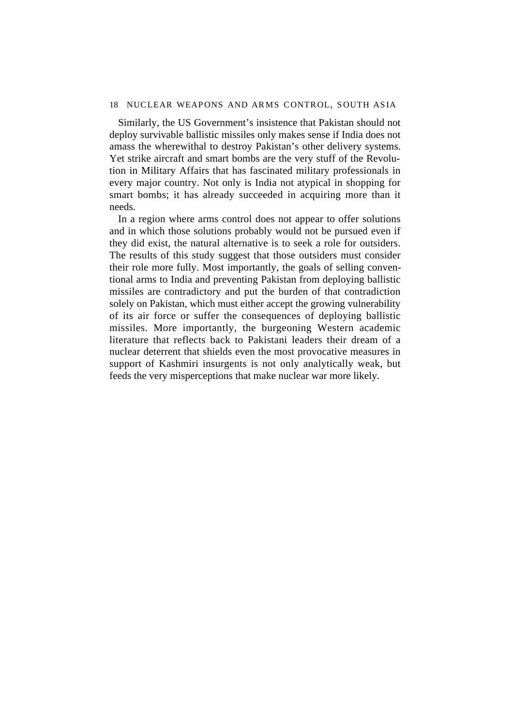Similarly, the US Government's insistence that Pakistan should not deploy survivable ballistic missiles only makes sense if India does not amass the wherewithal to destroy Pakistan's other delivery systems. Yet strike aircraft and smart bombs are the very stuff of the Revolution in Military Affairs that has fascinated military professionals in every major country. Not only is India not atypical in shopping for smart bombs; it has already succeeded in acquiring more than it needs.

In a region where arms control does not appear to offer solutions and in which those solutions probably would not be pursued even if they did exist, the natural alternative is to seek a role for outsiders. The results of this study suggest that those outsiders must consider their role more fully. Most importantly, the goals of selling conventional arms to India and preventing Pakistan from deploying ballistic missiles are contradictory and put the burden of that contradiction solely on Pakistan, which must either accept the growing vulnerability of its air force or suffer the consequences of deploying ballistic missiles. More importantly, the burgeoning Western academic literature that reflects back to Pakistani leaders their dream of a nuclear deterrent that shields even the most provocative measures in support of Kashmiri insurgents is not only analytically weak, but feeds the very misperceptions that make nuclear war more likely.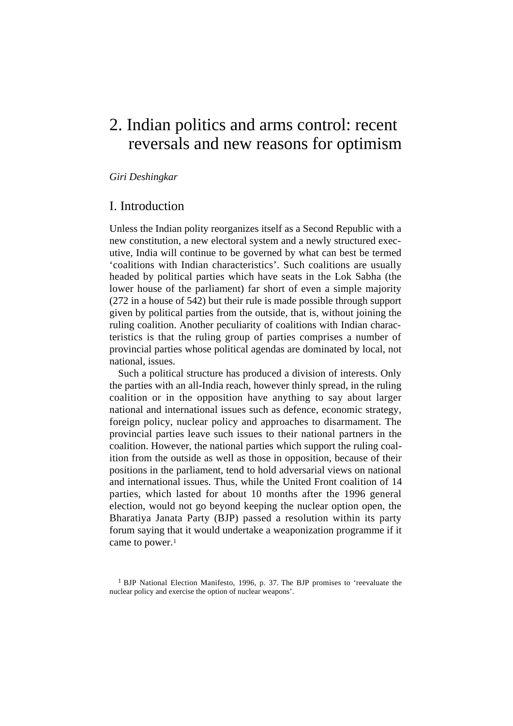# <span id="page-28-0"></span>2. Indian politics and arms control: recent reversals and new reasons for optimism

*Giri Deshingkar*

# I. Introduction

Unless the Indian polity reorganizes itself as a Second Republic with a new constitution, a new electoral system and a newly structured executive, India will continue to be governed by what can best be termed 'coalitions with Indian characteristics'. Such coalitions are usually headed by political parties which have seats in the Lok Sabha (the lower house of the parliament) far short of even a simple majority (272 in a house of 542) but their rule is made possible through support given by political parties from the outside, that is, without joining the ruling coalition. Another peculiarity of coalitions with Indian characteristics is that the ruling group of parties comprises a number of provincial parties whose political agendas are dominated by local, not national, issues.

Such a political structure has produced a division of interests. Only the parties with an all-India reach, however thinly spread, in the ruling coalition or in the opposition have anything to say about larger national and international issues such as defence, economic strategy, foreign policy, nuclear policy and approaches to disarmament. The provincial parties leave such issues to their national partners in the coalition. However, the national parties which support the ruling coalition from the outside as well as those in opposition, because of their positions in the parliament, tend to hold adversarial views on national and international issues. Thus, while the United Front coalition of 14 parties, which lasted for about 10 months after the 1996 general election, would not go beyond keeping the nuclear option open, the Bharatiya Janata Party (BJP) passed a resolution within its party forum saying that it would undertake a weaponization programme if it came to power.<sup>1</sup>

<sup>&</sup>lt;sup>1</sup> BJP National Election Manifesto, 1996, p. 37. The BJP promises to 'reevaluate the nuclear policy and exercise the option of nuclear weapons'.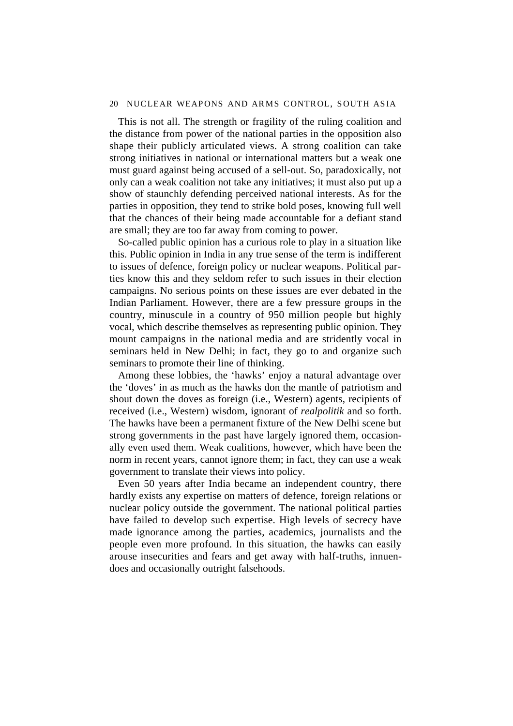#### 20 NUCLEAR WEAPONS AND ARMS CONTROL, SOUTH ASIA

This is not all. The strength or fragility of the ruling coalition and the distance from power of the national parties in the opposition also shape their publicly articulated views. A strong coalition can take strong initiatives in national or international matters but a weak one must guard against being accused of a sell-out. So, paradoxically, not only can a weak coalition not take any initiatives; it must also put up a show of staunchly defending perceived national interests. As for the parties in opposition, they tend to strike bold poses, knowing full well that the chances of their being made accountable for a defiant stand are small; they are too far away from coming to power.

So-called public opinion has a curious role to play in a situation like this. Public opinion in India in any true sense of the term is indifferent to issues of defence, foreign policy or nuclear weapons. Political parties know this and they seldom refer to such issues in their election campaigns. No serious points on these issues are ever debated in the Indian Parliament. However, there are a few pressure groups in the country, minuscule in a country of 950 million people but highly vocal, which describe themselves as representing public opinion. They mount campaigns in the national media and are stridently vocal in seminars held in New Delhi; in fact, they go to and organize such seminars to promote their line of thinking.

Among these lobbies, the 'hawks' enjoy a natural advantage over the 'doves' in as much as the hawks don the mantle of patriotism and shout down the doves as foreign (i.e., Western) agents, recipients of received (i.e., Western) wisdom, ignorant of *realpolitik* and so forth. The hawks have been a permanent fixture of the New Delhi scene but strong governments in the past have largely ignored them, occasionally even used them. Weak coalitions, however, which have been the norm in recent years, cannot ignore them; in fact, they can use a weak government to translate their views into policy.

Even 50 years after India became an independent country, there hardly exists any expertise on matters of defence, foreign relations or nuclear policy outside the government. The national political parties have failed to develop such expertise. High levels of secrecy have made ignorance among the parties, academics, journalists and the people even more profound. In this situation, the hawks can easily arouse insecurities and fears and get away with half-truths, innuendoes and occasionally outright falsehoods.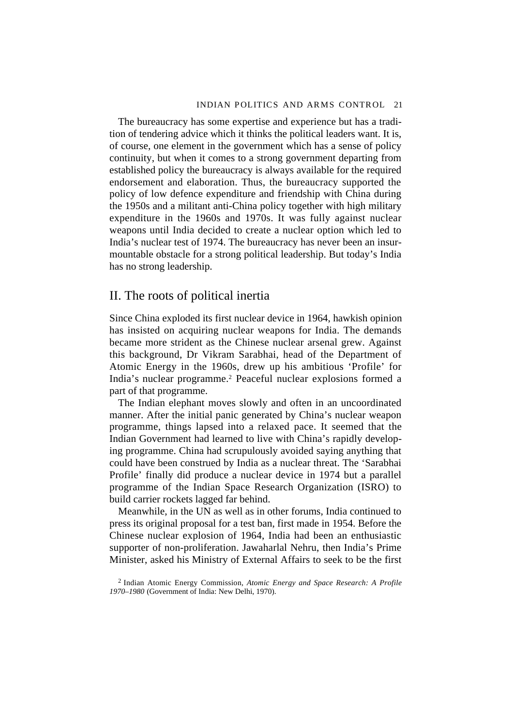<span id="page-30-0"></span>The bureaucracy has some expertise and experience but has a tradition of tendering advice which it thinks the political leaders want. It is, of course, one element in the government which has a sense of policy continuity, but when it comes to a strong government departing from established policy the bureaucracy is always available for the required endorsement and elaboration. Thus, the bureaucracy supported the policy of low defence expenditure and friendship with China during the 1950s and a militant anti-China policy together with high military expenditure in the 1960s and 1970s. It was fully against nuclear weapons until India decided to create a nuclear option which led to India's nuclear test of 1974. The bureaucracy has never been an insurmountable obstacle for a strong political leadership. But today's India has no strong leadership.

# II. The roots of political inertia

Since China exploded its first nuclear device in 1964, hawkish opinion has insisted on acquiring nuclear weapons for India. The demands became more strident as the Chinese nuclear arsenal grew. Against this background, Dr Vikram Sarabhai, head of the Department of Atomic Energy in the 1960s, drew up his ambitious 'Profile' for India's nuclear programme.2 Peaceful nuclear explosions formed a part of that programme.

The Indian elephant moves slowly and often in an uncoordinated manner. After the initial panic generated by China's nuclear weapon programme, things lapsed into a relaxed pace. It seemed that the Indian Government had learned to live with China's rapidly developing programme. China had scrupulously avoided saying anything that could have been construed by India as a nuclear threat. The 'Sarabhai Profile' finally did produce a nuclear device in 1974 but a parallel programme of the Indian Space Research Organization (ISRO) to build carrier rockets lagged far behind.

Meanwhile, in the UN as well as in other forums, India continued to press its original proposal for a test ban, first made in 1954. Before the Chinese nuclear explosion of 1964, India had been an enthusiastic supporter of non-proliferation. Jawaharlal Nehru, then India's Prime Minister, asked his Ministry of External Affairs to seek to be the first

<sup>2</sup> Indian Atomic Energy Commission, *Atomic Energy and Space Research: A Profile 1970–1980* (Government of India: New Delhi, 1970).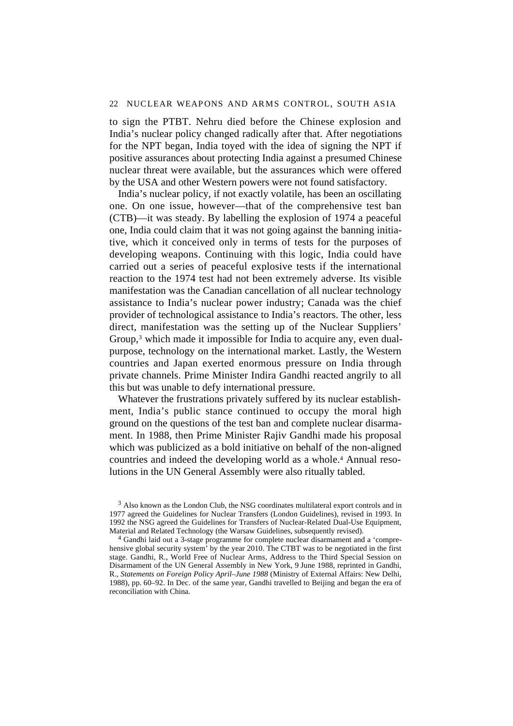#### 22 NUCLEAR WEAPONS AND ARMS CONTROL, SOUTH ASIA

to sign the PTBT. Nehru died before the Chinese explosion and India's nuclear policy changed radically after that. After negotiations for the NPT began, India toyed with the idea of signing the NPT if positive assurances about protecting India against a presumed Chinese nuclear threat were available, but the assurances which were offered by the USA and other Western powers were not found satisfactory.

India's nuclear policy, if not exactly volatile, has been an oscillating one. On one issue, however—that of the comprehensive test ban (CTB)—it was steady. By labelling the explosion of 1974 a peaceful one, India could claim that it was not going against the banning initiative, which it conceived only in terms of tests for the purposes of developing weapons. Continuing with this logic, India could have carried out a series of peaceful explosive tests if the international reaction to the 1974 test had not been extremely adverse. Its visible manifestation was the Canadian cancellation of all nuclear technology assistance to India's nuclear power industry; Canada was the chief provider of technological assistance to India's reactors. The other, less direct, manifestation was the setting up of the Nuclear Suppliers' Group,<sup>3</sup> which made it impossible for India to acquire any, even dualpurpose, technology on the international market. Lastly, the Western countries and Japan exerted enormous pressure on India through private channels. Prime Minister Indira Gandhi reacted angrily to all this but was unable to defy international pressure.

Whatever the frustrations privately suffered by its nuclear establishment, India's public stance continued to occupy the moral high ground on the questions of the test ban and complete nuclear disarmament. In 1988, then Prime Minister Rajiv Gandhi made his proposal which was publicized as a bold initiative on behalf of the non-aligned countries and indeed the developing world as a whole.4 Annual resolutions in the UN General Assembly were also ritually tabled.

<sup>3</sup> Also known as the London Club, the NSG coordinates multilateral export controls and in 1977 agreed the Guidelines for Nuclear Transfers (London Guidelines), revised in 1993. In 1992 the NSG agreed the Guidelines for Transfers of Nuclear-Related Dual-Use Equipment, Material and Related Technology (the Warsaw Guidelines, subsequently revised).

4 Gandhi laid out a 3-stage programme for complete nuclear disarmament and a 'comprehensive global security system' by the year 2010. The CTBT was to be negotiated in the first stage. Gandhi, R., World Free of Nuclear Arms, Address to the Third Special Session on Disarmament of the UN General Assembly in New York, 9 June 1988, reprinted in Gandhi, R., *Statements on Foreign Policy April–June 1988* (Ministry of External Affairs: New Delhi, 1988), pp. 60–92. In Dec. of the same year, Gandhi travelled to Beijing and began the era of reconciliation with China.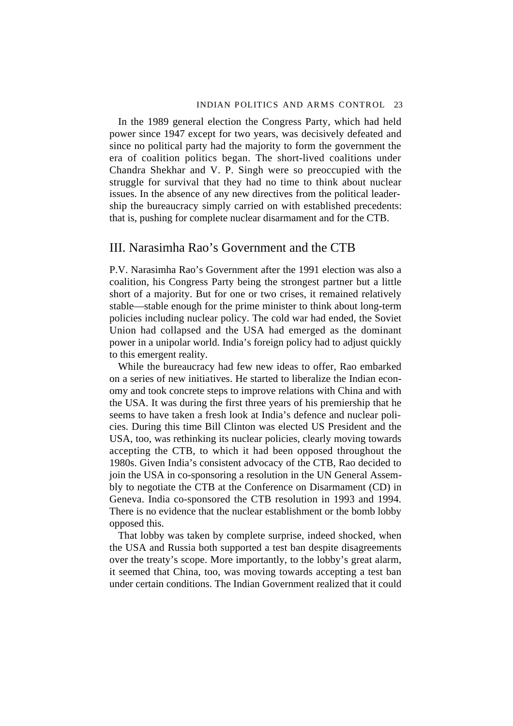<span id="page-32-0"></span>In the 1989 general election the Congress Party, which had held power since 1947 except for two years, was decisively defeated and since no political party had the majority to form the government the era of coalition politics began. The short-lived coalitions under Chandra Shekhar and V. P. Singh were so preoccupied with the struggle for survival that they had no time to think about nuclear issues. In the absence of any new directives from the political leadership the bureaucracy simply carried on with established precedents: that is, pushing for complete nuclear disarmament and for the CTB.

## III. Narasimha Rao's Government and the CTB

P.V. Narasimha Rao's Government after the 1991 election was also a coalition, his Congress Party being the strongest partner but a little short of a majority. But for one or two crises, it remained relatively stable—stable enough for the prime minister to think about long-term policies including nuclear policy. The cold war had ended, the Soviet Union had collapsed and the USA had emerged as the dominant power in a unipolar world. India's foreign policy had to adjust quickly to this emergent reality.

While the bureaucracy had few new ideas to offer, Rao embarked on a series of new initiatives. He started to liberalize the Indian economy and took concrete steps to improve relations with China and with the USA. It was during the first three years of his premiership that he seems to have taken a fresh look at India's defence and nuclear policies. During this time Bill Clinton was elected US President and the USA, too, was rethinking its nuclear policies, clearly moving towards accepting the CTB, to which it had been opposed throughout the 1980s. Given India's consistent advocacy of the CTB, Rao decided to join the USA in co-sponsoring a resolution in the UN General Assembly to negotiate the CTB at the Conference on Disarmament (CD) in Geneva. India co-sponsored the CTB resolution in 1993 and 1994. There is no evidence that the nuclear establishment or the bomb lobby opposed this.

That lobby was taken by complete surprise, indeed shocked, when the USA and Russia both supported a test ban despite disagreements over the treaty's scope. More importantly, to the lobby's great alarm, it seemed that China, too, was moving towards accepting a test ban under certain conditions. The Indian Government realized that it could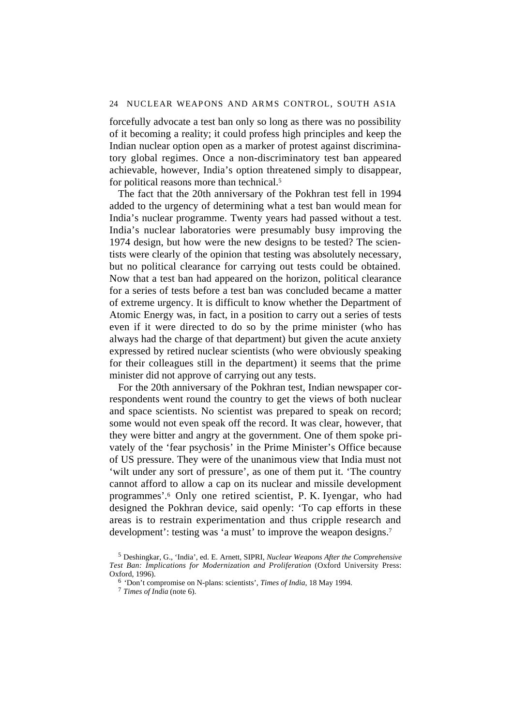forcefully advocate a test ban only so long as there was no possibility of it becoming a reality; it could profess high principles and keep the Indian nuclear option open as a marker of protest against discriminatory global regimes. Once a non-discriminatory test ban appeared achievable, however, India's option threatened simply to disappear, for political reasons more than technical.<sup>5</sup>

The fact that the 20th anniversary of the Pokhran test fell in 1994 added to the urgency of determining what a test ban would mean for India's nuclear programme. Twenty years had passed without a test. India's nuclear laboratories were presumably busy improving the 1974 design, but how were the new designs to be tested? The scientists were clearly of the opinion that testing was absolutely necessary, but no political clearance for carrying out tests could be obtained. Now that a test ban had appeared on the horizon, political clearance for a series of tests before a test ban was concluded became a matter of extreme urgency. It is difficult to know whether the Department of Atomic Energy was, in fact, in a position to carry out a series of tests even if it were directed to do so by the prime minister (who has always had the charge of that department) but given the acute anxiety expressed by retired nuclear scientists (who were obviously speaking for their colleagues still in the department) it seems that the prime minister did not approve of carrying out any tests.

For the 20th anniversary of the Pokhran test, Indian newspaper correspondents went round the country to get the views of both nuclear and space scientists. No scientist was prepared to speak on record; some would not even speak off the record. It was clear, however, that they were bitter and angry at the government. One of them spoke privately of the 'fear psychosis' in the Prime Minister's Office because of US pressure. They were of the unanimous view that India must not 'wilt under any sort of pressure', as one of them put it. 'The country cannot afford to allow a cap on its nuclear and missile development programmes'.6 Only one retired scientist, P. K. Iyengar, who had designed the Pokhran device, said openly: 'To cap efforts in these areas is to restrain experimentation and thus cripple research and development': testing was 'a must' to improve the weapon designs.<sup>7</sup>

<sup>5</sup> Deshingkar, G., 'India', ed. E. Arnett, SIPRI, *Nuclear Weapons After the Comprehensive Test Ban: Implications for Modernization and Proliferation* (Oxford University Press: Oxford, 1996).

<sup>6</sup> 'Don't compromise on N-plans: scientists', *Times of India*, 18 May 1994.

<sup>7</sup> *Times of India* (note 6).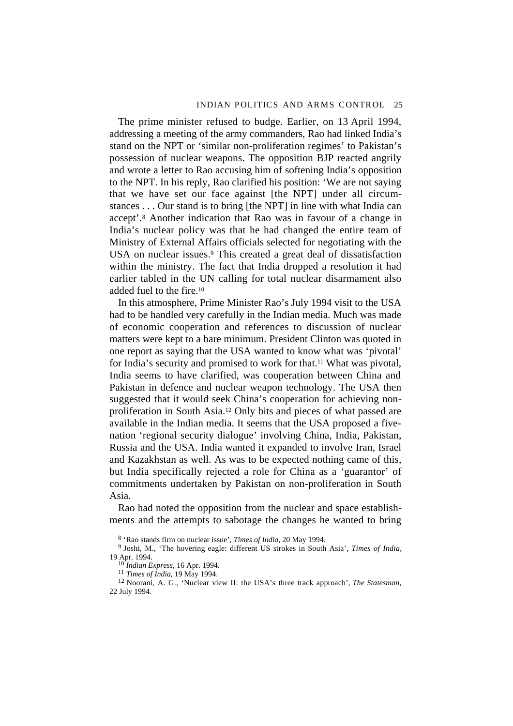The prime minister refused to budge. Earlier, on 13 April 1994, addressing a meeting of the army commanders, Rao had linked India's stand on the NPT or 'similar non-proliferation regimes' to Pakistan's possession of nuclear weapons. The opposition BJP reacted angrily and wrote a letter to Rao accusing him of softening India's opposition to the NPT. In his reply, Rao clarified his position: 'We are not saying that we have set our face against [the NPT] under all circumstances . . . Our stand is to bring [the NPT] in line with what India can accept'.8 Another indication that Rao was in favour of a change in India's nuclear policy was that he had changed the entire team of Ministry of External Affairs officials selected for negotiating with the USA on nuclear issues.<sup>9</sup> This created a great deal of dissatisfaction within the ministry. The fact that India dropped a resolution it had earlier tabled in the UN calling for total nuclear disarmament also added fuel to the fire.10

In this atmosphere, Prime Minister Rao's July 1994 visit to the USA had to be handled very carefully in the Indian media. Much was made of economic cooperation and references to discussion of nuclear matters were kept to a bare minimum. President Clinton was quoted in one report as saying that the USA wanted to know what was 'pivotal' for India's security and promised to work for that.11 What was pivotal, India seems to have clarified, was cooperation between China and Pakistan in defence and nuclear weapon technology. The USA then suggested that it would seek China's cooperation for achieving nonproliferation in South Asia.12 Only bits and pieces of what passed are available in the Indian media. It seems that the USA proposed a fivenation 'regional security dialogue' involving China, India, Pakistan, Russia and the USA. India wanted it expanded to involve Iran, Israel and Kazakhstan as well. As was to be expected nothing came of this, but India specifically rejected a role for China as a 'guarantor' of commitments undertaken by Pakistan on non-proliferation in South Asia.

Rao had noted the opposition from the nuclear and space establishments and the attempts to sabotage the changes he wanted to bring

<sup>8 &#</sup>x27;Rao stands firm on nuclear issue', *Times of India*, 20 May 1994.

<sup>9</sup> Joshi, M., 'The hovering eagle: different US strokes in South Asia', *Times of India,* 19 Apr. 1994.

<sup>10</sup> *Indian Express*, 16 Apr. 1994.

<sup>11</sup> *Times of India*, 19 May 1994.

<sup>12</sup> Noorani, A. G., 'Nuclear view II: the USA's three track approach', *The Statesman*, 22 July 1994.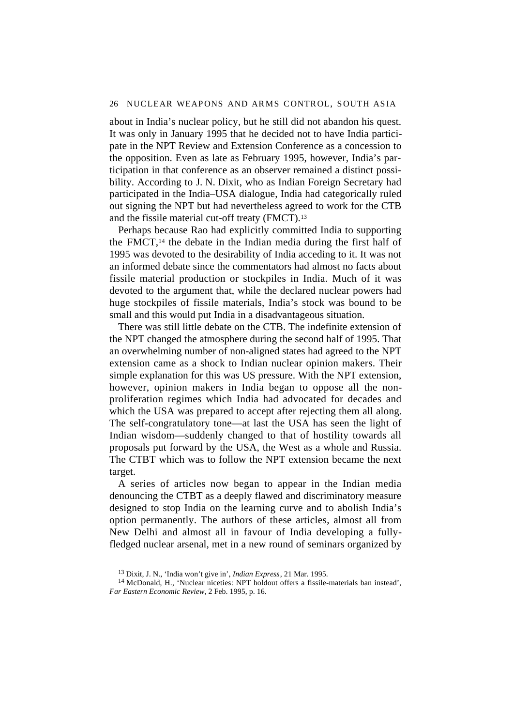about in India's nuclear policy, but he still did not abandon his quest. It was only in January 1995 that he decided not to have India participate in the NPT Review and Extension Conference as a concession to the opposition. Even as late as February 1995, however, India's participation in that conference as an observer remained a distinct possibility. According to J. N. Dixit, who as Indian Foreign Secretary had participated in the India–USA dialogue, India had categorically ruled out signing the NPT but had nevertheless agreed to work for the CTB and the fissile material cut-off treaty (FMCT).<sup>13</sup>

Perhaps because Rao had explicitly committed India to supporting the FMCT,14 the debate in the Indian media during the first half of 1995 was devoted to the desirability of India acceding to it. It was not an informed debate since the commentators had almost no facts about fissile material production or stockpiles in India. Much of it was devoted to the argument that, while the declared nuclear powers had huge stockpiles of fissile materials, India's stock was bound to be small and this would put India in a disadvantageous situation.

There was still little debate on the CTB. The indefinite extension of the NPT changed the atmosphere during the second half of 1995. That an overwhelming number of non-aligned states had agreed to the NPT extension came as a shock to Indian nuclear opinion makers. Their simple explanation for this was US pressure. With the NPT extension, however, opinion makers in India began to oppose all the nonproliferation regimes which India had advocated for decades and which the USA was prepared to accept after rejecting them all along. The self-congratulatory tone—at last the USA has seen the light of Indian wisdom—suddenly changed to that of hostility towards all proposals put forward by the USA, the West as a whole and Russia. The CTBT which was to follow the NPT extension became the next target.

A series of articles now began to appear in the Indian media denouncing the CTBT as a deeply flawed and discriminatory measure designed to stop India on the learning curve and to abolish India's option permanently. The authors of these articles, almost all from New Delhi and almost all in favour of India developing a fullyfledged nuclear arsenal, met in a new round of seminars organized by

<sup>13</sup> Dixit, J. N., 'India won't give in', *Indian Express*, 21 Mar. 1995.

<sup>&</sup>lt;sup>14</sup> McDonald, H., 'Nuclear niceties: NPT holdout offers a fissile-materials ban instead', *Far Eastern Economic Review*, 2 Feb. 1995, p. 16.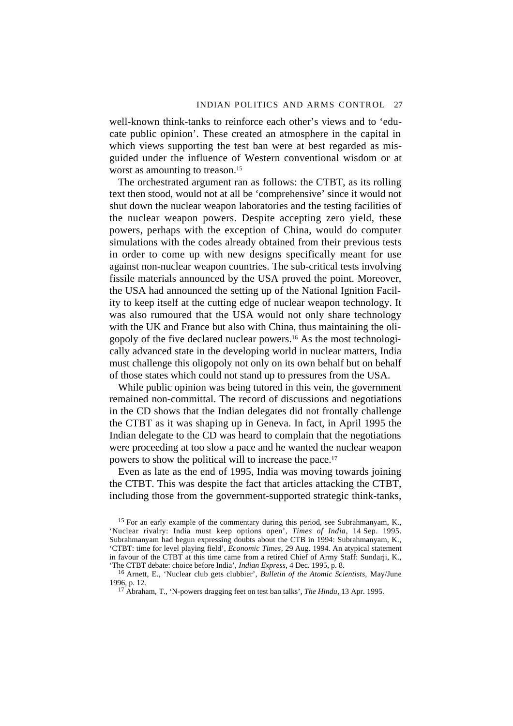well-known think-tanks to reinforce each other's views and to 'educate public opinion'. These created an atmosphere in the capital in which views supporting the test ban were at best regarded as misguided under the influence of Western conventional wisdom or at worst as amounting to treason.<sup>15</sup>

The orchestrated argument ran as follows: the CTBT, as its rolling text then stood, would not at all be 'comprehensive' since it would not shut down the nuclear weapon laboratories and the testing facilities of the nuclear weapon powers. Despite accepting zero yield, these powers, perhaps with the exception of China, would do computer simulations with the codes already obtained from their previous tests in order to come up with new designs specifically meant for use against non-nuclear weapon countries. The sub-critical tests involving fissile materials announced by the USA proved the point. Moreover, the USA had announced the setting up of the National Ignition Facility to keep itself at the cutting edge of nuclear weapon technology. It was also rumoured that the USA would not only share technology with the UK and France but also with China, thus maintaining the oligopoly of the five declared nuclear powers.16 As the most technologically advanced state in the developing world in nuclear matters, India must challenge this oligopoly not only on its own behalf but on behalf of those states which could not stand up to pressures from the USA.

While public opinion was being tutored in this vein, the government remained non-committal. The record of discussions and negotiations in the CD shows that the Indian delegates did not frontally challenge the CTBT as it was shaping up in Geneva. In fact, in April 1995 the Indian delegate to the CD was heard to complain that the negotiations were proceeding at too slow a pace and he wanted the nuclear weapon powers to show the political will to increase the pace.17

Even as late as the end of 1995, India was moving towards joining the CTBT. This was despite the fact that articles attacking the CTBT, including those from the government-supported strategic think-tanks,

<sup>15</sup> For an early example of the commentary during this period, see Subrahmanyam, K., 'Nuclear rivalry: India must keep options open', *Times of India*, 14 Sep. 1995. Subrahmanyam had begun expressing doubts about the CTB in 1994: Subrahmanyam, K., 'CTBT: time for level playing field', *Economic Times*, 29 Aug. 1994. An atypical statement in favour of the CTBT at this time came from a retired Chief of Army Staff: Sundarji, K., 'The CTBT debate: choice before India', *Indian Express*, 4 Dec. 1995, p. 8.

16 Arnett, E., 'Nuclear club gets clubbier', *Bulletin of the Atomic Scientists*, May/June 1996, p. 12.

17 Abraham, T., 'N-powers dragging feet on test ban talks', *The Hindu*, 13 Apr. 1995.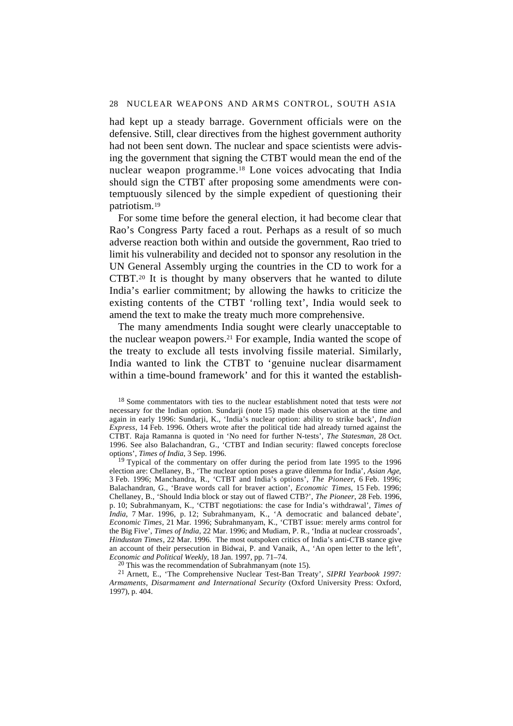had kept up a steady barrage. Government officials were on the defensive. Still, clear directives from the highest government authority had not been sent down. The nuclear and space scientists were advising the government that signing the CTBT would mean the end of the nuclear weapon programme.18 Lone voices advocating that India should sign the CTBT after proposing some amendments were contemptuously silenced by the simple expedient of questioning their patriotism.19

For some time before the general election, it had become clear that Rao's Congress Party faced a rout. Perhaps as a result of so much adverse reaction both within and outside the government, Rao tried to limit his vulnerability and decided not to sponsor any resolution in the UN General Assembly urging the countries in the CD to work for a CTBT.20 It is thought by many observers that he wanted to dilute India's earlier commitment; by allowing the hawks to criticize the existing contents of the CTBT 'rolling text', India would seek to amend the text to make the treaty much more comprehensive.

The many amendments India sought were clearly unacceptable to the nuclear weapon powers.21 For example, India wanted the scope of the treaty to exclude all tests involving fissile material. Similarly, India wanted to link the CTBT to 'genuine nuclear disarmament within a time-bound framework' and for this it wanted the establish-

 $20$  This was the recommendation of Subrahmanyam (note 15).

21 Arnett, E., 'The Comprehensive Nuclear Test-Ban Treaty', *SIPRI Yearbook 1997: Armaments, Disarmament and International Security* (Oxford University Press: Oxford, 1997), p. 404.

<sup>18</sup> Some commentators with ties to the nuclear establishment noted that tests were *not* necessary for the Indian option. Sundarji (note 15) made this observation at the time and again in early 1996: Sundarji, K., 'India's nuclear option: ability to strike back', *Indian Express*, 14 Feb. 1996. Others wrote after the political tide had already turned against the CTBT. Raja Ramanna is quoted in 'No need for further N-tests', *The Statesman*, 28 Oct. 1996. See also Balachandran, G., 'CTBT and Indian security: flawed concepts foreclose options', *Times of India*, 3 Sep. 1996.

<sup>&</sup>lt;sup>19</sup> Typical of the commentary on offer during the period from late 1995 to the 1996 election are: Chellaney, B., 'The nuclear option poses a grave dilemma for India', *Asian Age*, 3 Feb. 1996; Manchandra, R., 'CTBT and India's options', *The Pioneer*, 6 Feb. 1996; Balachandran, G., 'Brave words call for braver action', *Economic Times*, 15 Feb. 1996; Chellaney, B., 'Should India block or stay out of flawed CTB?', *The Pioneer*, 28 Feb. 1996, p. 10; Subrahmanyam, K., 'CTBT negotiations: the case for India's withdrawal', *Times of India*, 7 Mar. 1996, p. 12; Subrahmanyam, K., 'A democratic and balanced debate', *Economic Times*, 21 Mar. 1996; Subrahmanyam, K., 'CTBT issue: merely arms control for the Big Five', *Times of India*, 22 Mar. 1996; and Mudiam, P. R., 'India at nuclear crossroads', *Hindustan Times*, 22 Mar. 1996. The most outspoken critics of India's anti-CTB stance give an account of their persecution in Bidwai, P. and Vanaik, A., 'An open letter to the left', *Economic and Political Weekly*, 18 Jan. 1997, pp. 71–74.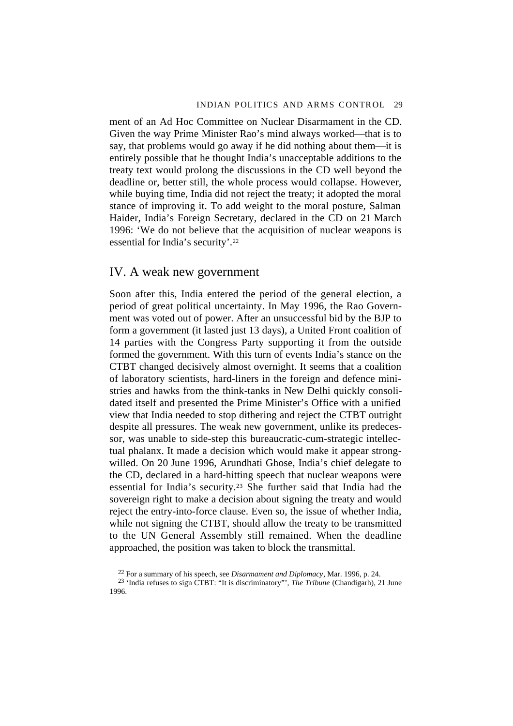ment of an Ad Hoc Committee on Nuclear Disarmament in the CD. Given the way Prime Minister Rao's mind always worked—that is to say, that problems would go away if he did nothing about them—it is entirely possible that he thought India's unacceptable additions to the treaty text would prolong the discussions in the CD well beyond the deadline or, better still, the whole process would collapse. However, while buying time, India did not reject the treaty; it adopted the moral stance of improving it. To add weight to the moral posture, Salman Haider, India's Foreign Secretary, declared in the CD on 21 March 1996: 'We do not believe that the acquisition of nuclear weapons is essential for India's security'.22

# IV. A weak new government

Soon after this, India entered the period of the general election, a period of great political uncertainty. In May 1996, the Rao Government was voted out of power. After an unsuccessful bid by the BJP to form a government (it lasted just 13 days), a United Front coalition of 14 parties with the Congress Party supporting it from the outside formed the government. With this turn of events India's stance on the CTBT changed decisively almost overnight. It seems that a coalition of laboratory scientists, hard-liners in the foreign and defence ministries and hawks from the think-tanks in New Delhi quickly consolidated itself and presented the Prime Minister's Office with a unified view that India needed to stop dithering and reject the CTBT outright despite all pressures. The weak new government, unlike its predecessor, was unable to side-step this bureaucratic-cum-strategic intellectual phalanx. It made a decision which would make it appear strongwilled. On 20 June 1996, Arundhati Ghose, India's chief delegate to the CD, declared in a hard-hitting speech that nuclear weapons were essential for India's security.23 She further said that India had the sovereign right to make a decision about signing the treaty and would reject the entry-into-force clause. Even so, the issue of whether India, while not signing the CTBT, should allow the treaty to be transmitted to the UN General Assembly still remained. When the deadline approached, the position was taken to block the transmittal.

<sup>22</sup> For a summary of his speech, see *Disarmament and Diplomacy*, Mar. 1996, p. 24.

<sup>23 &#</sup>x27;India refuses to sign CTBT: "It is discriminatory"', *The Tribune* (Chandigarh), 21 June 1996.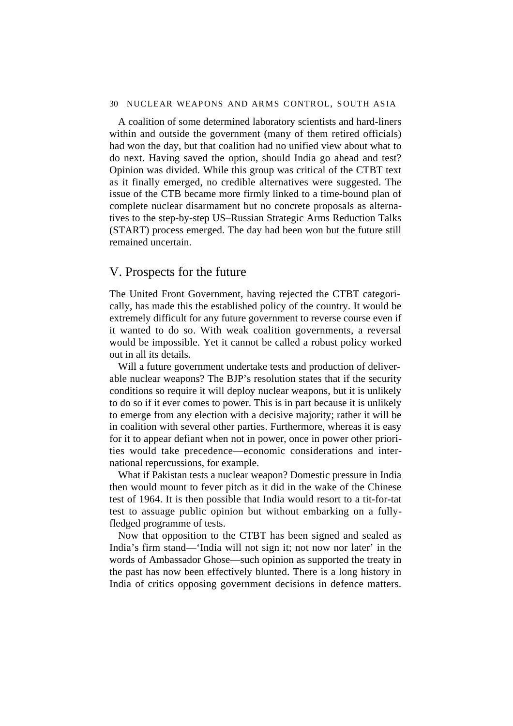A coalition of some determined laboratory scientists and hard-liners within and outside the government (many of them retired officials) had won the day, but that coalition had no unified view about what to do next. Having saved the option, should India go ahead and test? Opinion was divided. While this group was critical of the CTBT text as it finally emerged, no credible alternatives were suggested. The issue of the CTB became more firmly linked to a time-bound plan of complete nuclear disarmament but no concrete proposals as alternatives to the step-by-step US–Russian Strategic Arms Reduction Talks (START) process emerged. The day had been won but the future still remained uncertain.

# V. Prospects for the future

The United Front Government, having rejected the CTBT categorically, has made this the established policy of the country. It would be extremely difficult for any future government to reverse course even if it wanted to do so. With weak coalition governments, a reversal would be impossible. Yet it cannot be called a robust policy worked out in all its details.

Will a future government undertake tests and production of deliverable nuclear weapons? The BJP's resolution states that if the security conditions so require it will deploy nuclear weapons, but it is unlikely to do so if it ever comes to power. This is in part because it is unlikely to emerge from any election with a decisive majority; rather it will be in coalition with several other parties. Furthermore, whereas it is easy for it to appear defiant when not in power, once in power other priorities would take precedence—economic considerations and international repercussions, for example.

What if Pakistan tests a nuclear weapon? Domestic pressure in India then would mount to fever pitch as it did in the wake of the Chinese test of 1964. It is then possible that India would resort to a tit-for-tat test to assuage public opinion but without embarking on a fullyfledged programme of tests.

Now that opposition to the CTBT has been signed and sealed as India's firm stand—'India will not sign it; not now nor later' in the words of Ambassador Ghose—such opinion as supported the treaty in the past has now been effectively blunted. There is a long history in India of critics opposing government decisions in defence matters.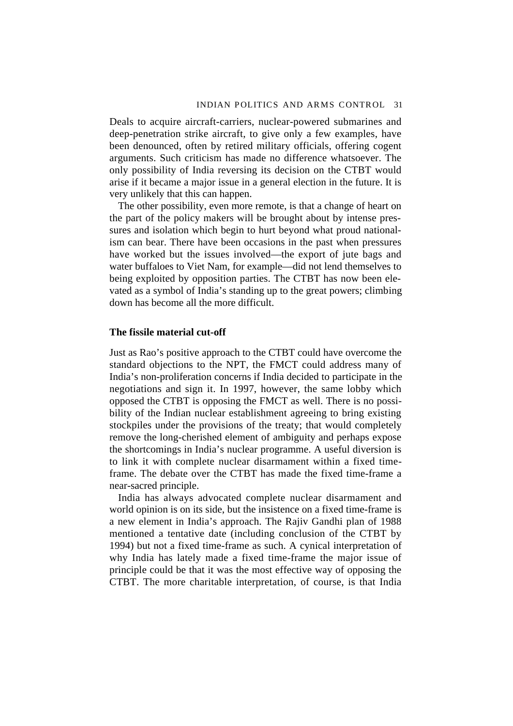Deals to acquire aircraft-carriers, nuclear-powered submarines and deep-penetration strike aircraft, to give only a few examples, have been denounced, often by retired military officials, offering cogent arguments. Such criticism has made no difference whatsoever. The only possibility of India reversing its decision on the CTBT would arise if it became a major issue in a general election in the future. It is very unlikely that this can happen.

The other possibility, even more remote, is that a change of heart on the part of the policy makers will be brought about by intense pressures and isolation which begin to hurt beyond what proud nationalism can bear. There have been occasions in the past when pressures have worked but the issues involved—the export of jute bags and water buffaloes to Viet Nam, for example—did not lend themselves to being exploited by opposition parties. The CTBT has now been elevated as a symbol of India's standing up to the great powers; climbing down has become all the more difficult.

## **The fissile material cut-off**

Just as Rao's positive approach to the CTBT could have overcome the standard objections to the NPT, the FMCT could address many of India's non-proliferation concerns if India decided to participate in the negotiations and sign it. In 1997, however, the same lobby which opposed the CTBT is opposing the FMCT as well. There is no possibility of the Indian nuclear establishment agreeing to bring existing stockpiles under the provisions of the treaty; that would completely remove the long-cherished element of ambiguity and perhaps expose the shortcomings in India's nuclear programme. A useful diversion is to link it with complete nuclear disarmament within a fixed timeframe. The debate over the CTBT has made the fixed time-frame a near-sacred principle.

India has always advocated complete nuclear disarmament and world opinion is on its side, but the insistence on a fixed time-frame is a new element in India's approach. The Rajiv Gandhi plan of 1988 mentioned a tentative date (including conclusion of the CTBT by 1994) but not a fixed time-frame as such. A cynical interpretation of why India has lately made a fixed time-frame the major issue of principle could be that it was the most effective way of opposing the CTBT. The more charitable interpretation, of course, is that India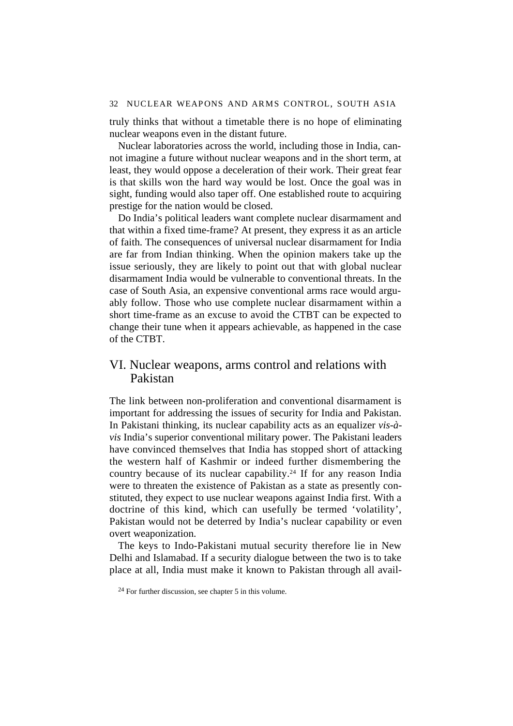truly thinks that without a timetable there is no hope of eliminating nuclear weapons even in the distant future.

Nuclear laboratories across the world, including those in India, cannot imagine a future without nuclear weapons and in the short term, at least, they would oppose a deceleration of their work. Their great fear is that skills won the hard way would be lost. Once the goal was in sight, funding would also taper off. One established route to acquiring prestige for the nation would be closed.

Do India's political leaders want complete nuclear disarmament and that within a fixed time-frame? At present, they express it as an article of faith. The consequences of universal nuclear disarmament for India are far from Indian thinking. When the opinion makers take up the issue seriously, they are likely to point out that with global nuclear disarmament India would be vulnerable to conventional threats. In the case of South Asia, an expensive conventional arms race would arguably follow. Those who use complete nuclear disarmament within a short time-frame as an excuse to avoid the CTBT can be expected to change their tune when it appears achievable, as happened in the case of the CTBT.

# VI. Nuclear weapons, arms control and relations with Pakistan

The link between non-proliferation and conventional disarmament is important for addressing the issues of security for India and Pakistan. In Pakistani thinking, its nuclear capability acts as an equalizer *vis-àvis* India's superior conventional military power. The Pakistani leaders have convinced themselves that India has stopped short of attacking the western half of Kashmir or indeed further dismembering the country because of its nuclear capability.24 If for any reason India were to threaten the existence of Pakistan as a state as presently constituted, they expect to use nuclear weapons against India first. With a doctrine of this kind, which can usefully be termed 'volatility', Pakistan would not be deterred by India's nuclear capability or even overt weaponization.

The keys to Indo-Pakistani mutual security therefore lie in New Delhi and Islamabad. If a security dialogue between the two is to take place at all, India must make it known to Pakistan through all avail-

 $24$  For further discussion, see chapter 5 in this volume.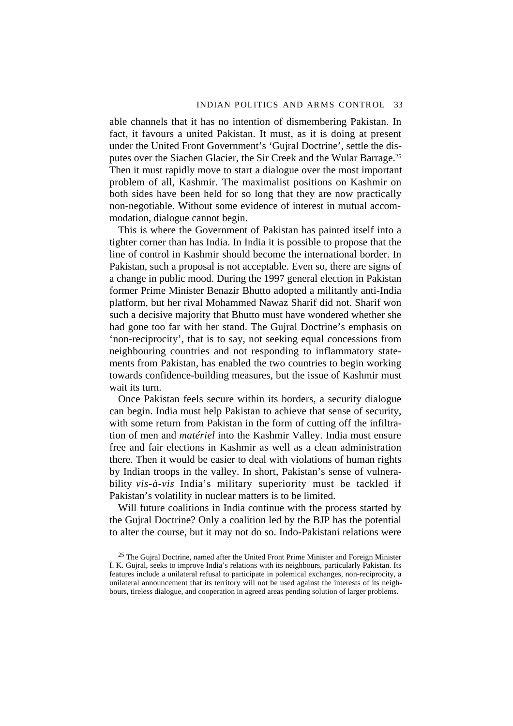able channels that it has no intention of dismembering Pakistan. In fact, it favours a united Pakistan. It must, as it is doing at present under the United Front Government's 'Gujral Doctrine', settle the disputes over the Siachen Glacier, the Sir Creek and the Wular Barrage.25 Then it must rapidly move to start a dialogue over the most important problem of all, Kashmir. The maximalist positions on Kashmir on both sides have been held for so long that they are now practically non-negotiable. Without some evidence of interest in mutual accommodation, dialogue cannot begin.

This is where the Government of Pakistan has painted itself into a tighter corner than has India. In India it is possible to propose that the line of control in Kashmir should become the international border. In Pakistan, such a proposal is not acceptable. Even so, there are signs of a change in public mood. During the 1997 general election in Pakistan former Prime Minister Benazir Bhutto adopted a militantly anti-India platform, but her rival Mohammed Nawaz Sharif did not. Sharif won such a decisive majority that Bhutto must have wondered whether she had gone too far with her stand. The Gujral Doctrine's emphasis on 'non-reciprocity', that is to say, not seeking equal concessions from neighbouring countries and not responding to inflammatory statements from Pakistan, has enabled the two countries to begin working towards confidence-building measures, but the issue of Kashmir must wait its turn.

Once Pakistan feels secure within its borders, a security dialogue can begin. India must help Pakistan to achieve that sense of security, with some return from Pakistan in the form of cutting off the infiltration of men and *matériel* into the Kashmir Valley. India must ensure free and fair elections in Kashmir as well as a clean administration there. Then it would be easier to deal with violations of human rights by Indian troops in the valley. In short, Pakistan's sense of vulnerability *vis-à-vis* India's military superiority must be tackled if Pakistan's volatility in nuclear matters is to be limited.

Will future coalitions in India continue with the process started by the Gujral Doctrine? Only a coalition led by the BJP has the potential to alter the course, but it may not do so. Indo-Pakistani relations were

 $25$  The Gujral Doctrine, named after the United Front Prime Minister and Foreign Minister I. K. Gujral, seeks to improve India's relations with its neighbours, particularly Pakistan. Its features include a unilateral refusal to participate in polemical exchanges, non-reciprocity, a unilateral announcement that its territory will not be used against the interests of its neighbours, tireless dialogue, and cooperation in agreed areas pending solution of larger problems.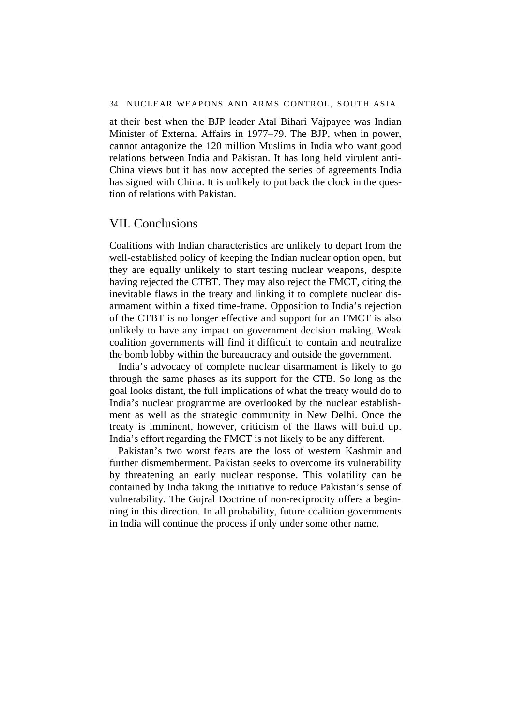at their best when the BJP leader Atal Bihari Vajpayee was Indian Minister of External Affairs in 1977–79. The BJP, when in power, cannot antagonize the 120 million Muslims in India who want good relations between India and Pakistan. It has long held virulent anti-China views but it has now accepted the series of agreements India has signed with China. It is unlikely to put back the clock in the question of relations with Pakistan.

# VII. Conclusions

Coalitions with Indian characteristics are unlikely to depart from the well-established policy of keeping the Indian nuclear option open, but they are equally unlikely to start testing nuclear weapons, despite having rejected the CTBT. They may also reject the FMCT, citing the inevitable flaws in the treaty and linking it to complete nuclear disarmament within a fixed time-frame. Opposition to India's rejection of the CTBT is no longer effective and support for an FMCT is also unlikely to have any impact on government decision making. Weak coalition governments will find it difficult to contain and neutralize the bomb lobby within the bureaucracy and outside the government.

India's advocacy of complete nuclear disarmament is likely to go through the same phases as its support for the CTB. So long as the goal looks distant, the full implications of what the treaty would do to India's nuclear programme are overlooked by the nuclear establishment as well as the strategic community in New Delhi. Once the treaty is imminent, however, criticism of the flaws will build up. India's effort regarding the FMCT is not likely to be any different.

Pakistan's two worst fears are the loss of western Kashmir and further dismemberment. Pakistan seeks to overcome its vulnerability by threatening an early nuclear response. This volatility can be contained by India taking the initiative to reduce Pakistan's sense of vulnerability. The Gujral Doctrine of non-reciprocity offers a beginning in this direction. In all probability, future coalition governments in India will continue the process if only under some other name.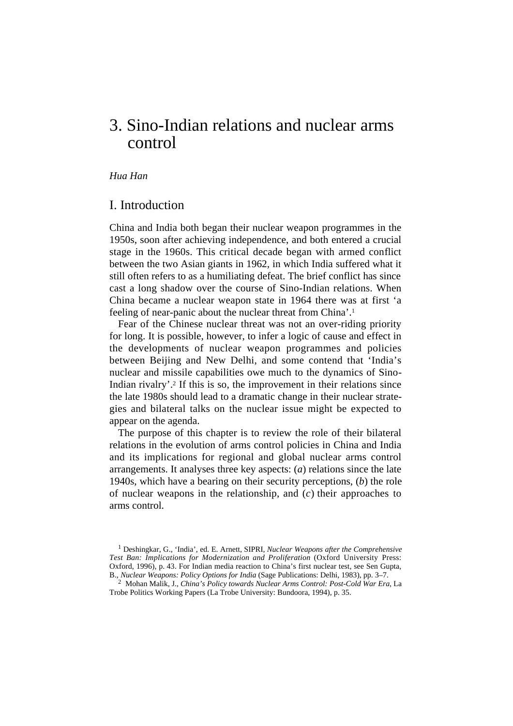# 3. Sino-Indian relations and nuclear arms control

# *Hua Han*

# I. Introduction

China and India both began their nuclear weapon programmes in the 1950s, soon after achieving independence, and both entered a crucial stage in the 1960s. This critical decade began with armed conflict between the two Asian giants in 1962, in which India suffered what it still often refers to as a humiliating defeat. The brief conflict has since cast a long shadow over the course of Sino-Indian relations. When China became a nuclear weapon state in 1964 there was at first 'a feeling of near-panic about the nuclear threat from China'.1

Fear of the Chinese nuclear threat was not an over-riding priority for long. It is possible, however, to infer a logic of cause and effect in the developments of nuclear weapon programmes and policies between Beijing and New Delhi, and some contend that 'India's nuclear and missile capabilities owe much to the dynamics of Sino-Indian rivalry'.2 If this is so, the improvement in their relations since the late 1980s should lead to a dramatic change in their nuclear strategies and bilateral talks on the nuclear issue might be expected to appear on the agenda.

The purpose of this chapter is to review the role of their bilateral relations in the evolution of arms control policies in China and India and its implications for regional and global nuclear arms control arrangements. It analyses three key aspects: (*a*) relations since the late 1940s, which have a bearing on their security perceptions, (*b*) the role of nuclear weapons in the relationship, and (*c*) their approaches to arms control.

2 Mohan Malik, J., *China's Policy towards Nuclear Arms Control: Post-Cold War Era*, La Trobe Politics Working Papers (La Trobe University: Bundoora, 1994), p. 35.

<sup>1</sup> Deshingkar, G., 'India', ed. E. Arnett, SIPRI, *Nuclear Weapons after the Comprehensive Test Ban: Implications for Modernization and Proliferation* (Oxford University Press: Oxford, 1996), p. 43. For Indian media reaction to China's first nuclear test, see Sen Gupta, B., *Nuclear Weapons: Policy Options for India* (Sage Publications: Delhi, 1983), pp. 3–7.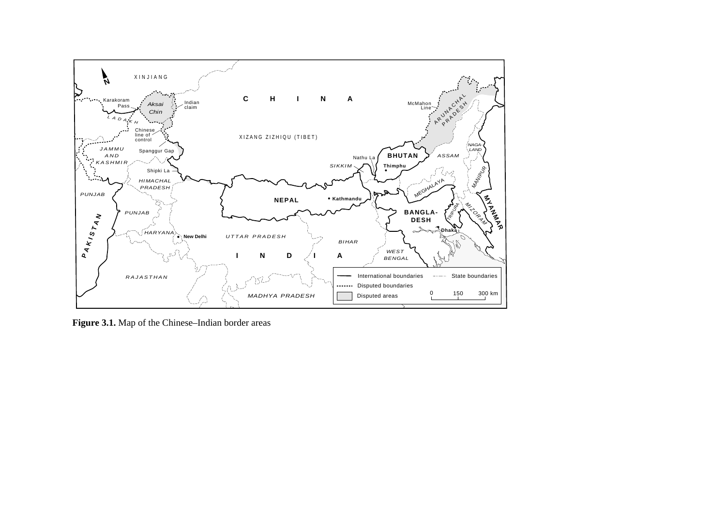

**Figure 3.1.** Map of the Chinese–Indian border areas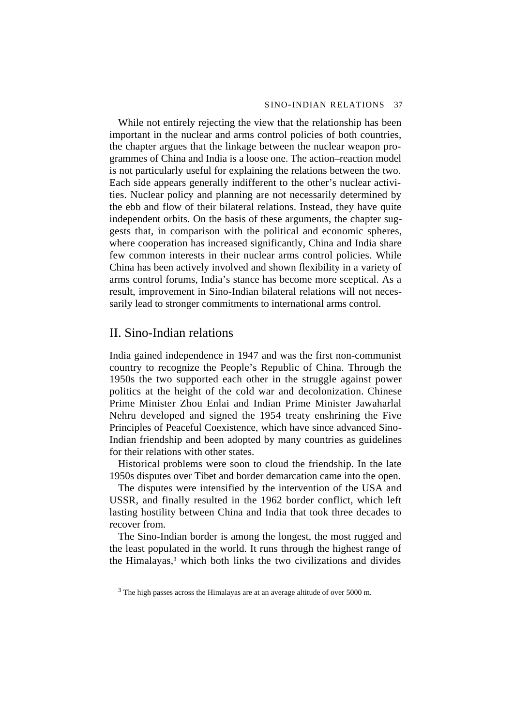While not entirely rejecting the view that the relationship has been important in the nuclear and arms control policies of both countries, the chapter argues that the linkage between the nuclear weapon programmes of China and India is a loose one. The action–reaction model is not particularly useful for explaining the relations between the two. Each side appears generally indifferent to the other's nuclear activities. Nuclear policy and planning are not necessarily determined by the ebb and flow of their bilateral relations. Instead, they have quite independent orbits. On the basis of these arguments, the chapter suggests that, in comparison with the political and economic spheres, where cooperation has increased significantly, China and India share few common interests in their nuclear arms control policies. While China has been actively involved and shown flexibility in a variety of arms control forums, India's stance has become more sceptical. As a result, improvement in Sino-Indian bilateral relations will not necessarily lead to stronger commitments to international arms control.

# II. Sino-Indian relations

India gained independence in 1947 and was the first non-communist country to recognize the People's Republic of China. Through the 1950s the two supported each other in the struggle against power politics at the height of the cold war and decolonization. Chinese Prime Minister Zhou Enlai and Indian Prime Minister Jawaharlal Nehru developed and signed the 1954 treaty enshrining the Five Principles of Peaceful Coexistence, which have since advanced Sino-Indian friendship and been adopted by many countries as guidelines for their relations with other states.

Historical problems were soon to cloud the friendship. In the late 1950s disputes over Tibet and border demarcation came into the open.

The disputes were intensified by the intervention of the USA and USSR, and finally resulted in the 1962 border conflict, which left lasting hostility between China and India that took three decades to recover from.

The Sino-Indian border is among the longest, the most rugged and the least populated in the world. It runs through the highest range of the Himalayas,3 which both links the two civilizations and divides

<sup>3</sup> The high passes across the Himalayas are at an average altitude of over 5000 m.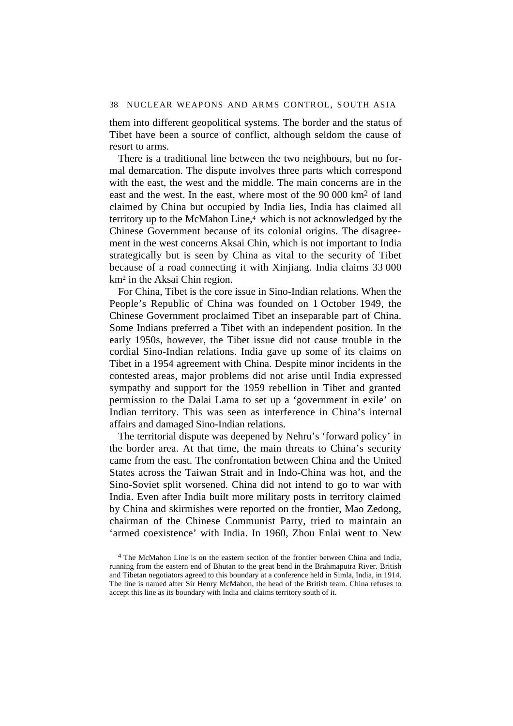them into different geopolitical systems. The border and the status of Tibet have been a source of conflict, although seldom the cause of resort to arms.

There is a traditional line between the two neighbours, but no formal demarcation. The dispute involves three parts which correspond with the east, the west and the middle. The main concerns are in the east and the west. In the east, where most of the 90 000 km2 of land claimed by China but occupied by India lies, India has claimed all territory up to the McMahon Line,4 which is not acknowledged by the Chinese Government because of its colonial origins. The disagreement in the west concerns Aksai Chin, which is not important to India strategically but is seen by China as vital to the security of Tibet because of a road connecting it with Xinjiang. India claims 33 000 km2 in the Aksai Chin region.

For China, Tibet is the core issue in Sino-Indian relations. When the People's Republic of China was founded on 1 October 1949, the Chinese Government proclaimed Tibet an inseparable part of China. Some Indians preferred a Tibet with an independent position. In the early 1950s, however, the Tibet issue did not cause trouble in the cordial Sino-Indian relations. India gave up some of its claims on Tibet in a 1954 agreement with China. Despite minor incidents in the contested areas, major problems did not arise until India expressed sympathy and support for the 1959 rebellion in Tibet and granted permission to the Dalai Lama to set up a 'government in exile' on Indian territory. This was seen as interference in China's internal affairs and damaged Sino-Indian relations.

The territorial dispute was deepened by Nehru's 'forward policy' in the border area. At that time, the main threats to China's security came from the east. The confrontation between China and the United States across the Taiwan Strait and in Indo-China was hot, and the Sino-Soviet split worsened. China did not intend to go to war with India. Even after India built more military posts in territory claimed by China and skirmishes were reported on the frontier, Mao Zedong, chairman of the Chinese Communist Party, tried to maintain an 'armed coexistence' with India. In 1960, Zhou Enlai went to New

<sup>4</sup> The McMahon Line is on the eastern section of the frontier between China and India, running from the eastern end of Bhutan to the great bend in the Brahmaputra River. British and Tibetan negotiators agreed to this boundary at a conference held in Simla, India, in 1914. The line is named after Sir Henry McMahon, the head of the British team. China refuses to accept this line as its boundary with India and claims territory south of it.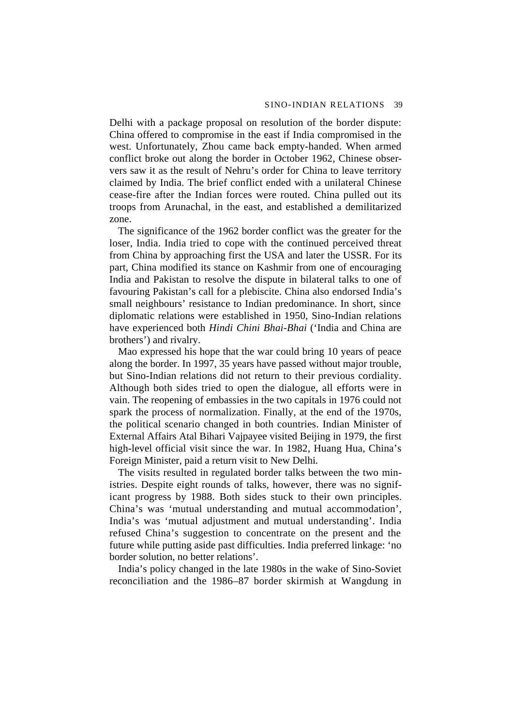Delhi with a package proposal on resolution of the border dispute: China offered to compromise in the east if India compromised in the west. Unfortunately, Zhou came back empty-handed. When armed conflict broke out along the border in October 1962, Chinese observers saw it as the result of Nehru's order for China to leave territory claimed by India. The brief conflict ended with a unilateral Chinese cease-fire after the Indian forces were routed. China pulled out its troops from Arunachal, in the east, and established a demilitarized zone.

The significance of the 1962 border conflict was the greater for the loser, India. India tried to cope with the continued perceived threat from China by approaching first the USA and later the USSR. For its part, China modified its stance on Kashmir from one of encouraging India and Pakistan to resolve the dispute in bilateral talks to one of favouring Pakistan's call for a plebiscite. China also endorsed India's small neighbours' resistance to Indian predominance. In short, since diplomatic relations were established in 1950, Sino-Indian relations have experienced both *Hindi Chini Bhai-Bhai* ('India and China are brothers') and rivalry.

Mao expressed his hope that the war could bring 10 years of peace along the border. In 1997, 35 years have passed without major trouble, but Sino-Indian relations did not return to their previous cordiality. Although both sides tried to open the dialogue, all efforts were in vain. The reopening of embassies in the two capitals in 1976 could not spark the process of normalization. Finally, at the end of the 1970s, the political scenario changed in both countries. Indian Minister of External Affairs Atal Bihari Vajpayee visited Beijing in 1979, the first high-level official visit since the war. In 1982, Huang Hua, China's Foreign Minister, paid a return visit to New Delhi.

The visits resulted in regulated border talks between the two ministries. Despite eight rounds of talks, however, there was no significant progress by 1988. Both sides stuck to their own principles. China's was 'mutual understanding and mutual accommodation', India's was 'mutual adjustment and mutual understanding'. India refused China's suggestion to concentrate on the present and the future while putting aside past difficulties. India preferred linkage: 'no border solution, no better relations'.

India's policy changed in the late 1980s in the wake of Sino-Soviet reconciliation and the 1986–87 border skirmish at Wangdung in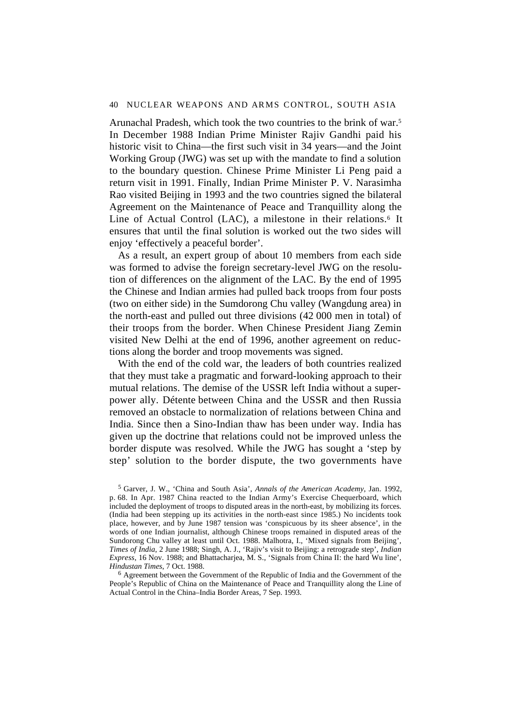Arunachal Pradesh, which took the two countries to the brink of war.5 In December 1988 Indian Prime Minister Rajiv Gandhi paid his historic visit to China—the first such visit in 34 years—and the Joint Working Group (JWG) was set up with the mandate to find a solution to the boundary question. Chinese Prime Minister Li Peng paid a return visit in 1991. Finally, Indian Prime Minister P. V. Narasimha Rao visited Beijing in 1993 and the two countries signed the bilateral Agreement on the Maintenance of Peace and Tranquillity along the Line of Actual Control (LAC), a milestone in their relations.<sup>6</sup> It ensures that until the final solution is worked out the two sides will enjoy 'effectively a peaceful border'.

As a result, an expert group of about 10 members from each side was formed to advise the foreign secretary-level JWG on the resolution of differences on the alignment of the LAC. By the end of 1995 the Chinese and Indian armies had pulled back troops from four posts (two on either side) in the Sumdorong Chu valley (Wangdung area) in the north-east and pulled out three divisions (42 000 men in total) of their troops from the border. When Chinese President Jiang Zemin visited New Delhi at the end of 1996, another agreement on reductions along the border and troop movements was signed.

With the end of the cold war, the leaders of both countries realized that they must take a pragmatic and forward-looking approach to their mutual relations. The demise of the USSR left India without a superpower ally. Détente between China and the USSR and then Russia removed an obstacle to normalization of relations between China and India. Since then a Sino-Indian thaw has been under way. India has given up the doctrine that relations could not be improved unless the border dispute was resolved. While the JWG has sought a 'step by step' solution to the border dispute, the two governments have

5 Garver, J. W., 'China and South Asia', *Annals of the American Academy*, Jan. 1992, p. 68. In Apr. 1987 China reacted to the Indian Army's Exercise Chequerboard, which included the deployment of troops to disputed areas in the north-east, by mobilizing its forces. (India had been stepping up its activities in the north-east since 1985.) No incidents took place, however, and by June 1987 tension was 'conspicuous by its sheer absence', in the words of one Indian journalist, although Chinese troops remained in disputed areas of the Sundorong Chu valley at least until Oct. 1988. Malhotra, I., 'Mixed signals from Beijing', *Times of India*, 2 June 1988; Singh, A. J., 'Rajiv's visit to Beijing: a retrograde step', *Indian Express*, 16 Nov. 1988; and Bhattacharjea, M. S., 'Signals from China II: the hard Wu line', *Hindustan Times*, 7 Oct. 1988.

<sup>6</sup> Agreement between the Government of the Republic of India and the Government of the People's Republic of China on the Maintenance of Peace and Tranquillity along the Line of Actual Control in the China–India Border Areas, 7 Sep. 1993.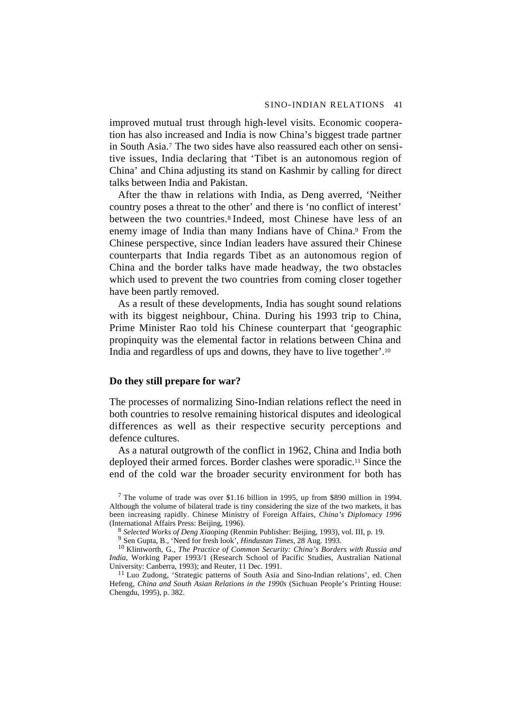improved mutual trust through high-level visits. Economic cooperation has also increased and India is now China's biggest trade partner in South Asia.7 The two sides have also reassured each other on sensitive issues, India declaring that 'Tibet is an autonomous region of China' and China adjusting its stand on Kashmir by calling for direct talks between India and Pakistan.

After the thaw in relations with India, as Deng averred, 'Neither country poses a threat to the other' and there is 'no conflict of interest' between the two countries.8 Indeed, most Chinese have less of an enemy image of India than many Indians have of China.<sup>9</sup> From the Chinese perspective, since Indian leaders have assured their Chinese counterparts that India regards Tibet as an autonomous region of China and the border talks have made headway, the two obstacles which used to prevent the two countries from coming closer together have been partly removed.

As a result of these developments, India has sought sound relations with its biggest neighbour, China. During his 1993 trip to China, Prime Minister Rao told his Chinese counterpart that 'geographic propinquity was the elemental factor in relations between China and India and regardless of ups and downs, they have to live together'.10

## **Do they still prepare for war?**

The processes of normalizing Sino-Indian relations reflect the need in both countries to resolve remaining historical disputes and ideological differences as well as their respective security perceptions and defence cultures.

As a natural outgrowth of the conflict in 1962, China and India both deployed their armed forces. Border clashes were sporadic.11 Since the end of the cold war the broader security environment for both has

7 The volume of trade was over \$1.16 billion in 1995, up from \$890 million in 1994. Although the volume of bilateral trade is tiny considering the size of the two markets, it has been increasing rapidly. Chinese Ministry of Foreign Affairs, *China's Diplomacy 1996* (International Affairs Press: Beijing, 1996).

<sup>8</sup> *Selected Works of Deng Xiaoping* (Renmin Publisher: Beijing, 1993), vol. III, p. 19.

9 Sen Gupta, B., 'Need for fresh look', *Hindustan Times*, 28 Aug. 1993.

10 Klintworth, G., *The Practice of Common Security: China's Borders with Russia and India*, Working Paper 1993/1 (Research School of Pacific Studies, Australian National University: Canberra, 1993); and Reuter, 11 Dec. 1991.

<sup>11</sup> Luo Zudong, 'Strategic patterns of South Asia and Sino-Indian relations', ed. Chen Hefeng, *China and South Asian Relations in the 1990s* (Sichuan People's Printing House: Chengdu, 1995), p. 382.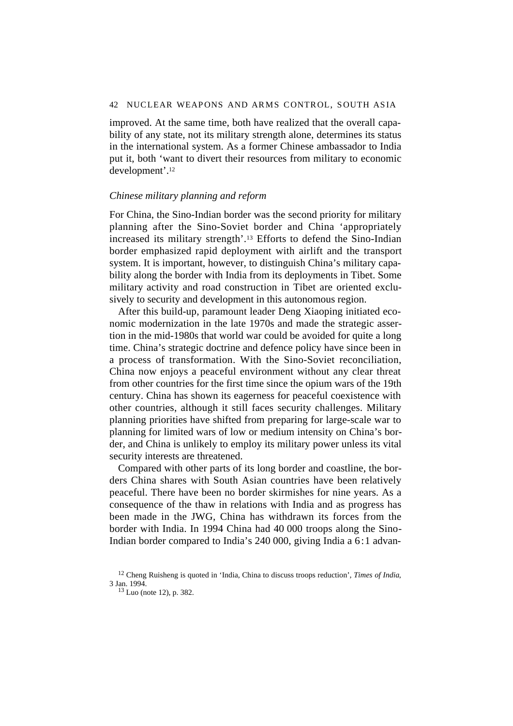improved. At the same time, both have realized that the overall capability of any state, not its military strength alone, determines its status in the international system. As a former Chinese ambassador to India put it, both 'want to divert their resources from military to economic development'.12

## *Chinese military planning and reform*

For China, the Sino-Indian border was the second priority for military planning after the Sino-Soviet border and China 'appropriately increased its military strength'.13 Efforts to defend the Sino-Indian border emphasized rapid deployment with airlift and the transport system. It is important, however, to distinguish China's military capability along the border with India from its deployments in Tibet. Some military activity and road construction in Tibet are oriented exclusively to security and development in this autonomous region.

After this build-up, paramount leader Deng Xiaoping initiated economic modernization in the late 1970s and made the strategic assertion in the mid-1980s that world war could be avoided for quite a long time. China's strategic doctrine and defence policy have since been in a process of transformation. With the Sino-Soviet reconciliation, China now enjoys a peaceful environment without any clear threat from other countries for the first time since the opium wars of the 19th century. China has shown its eagerness for peaceful coexistence with other countries, although it still faces security challenges. Military planning priorities have shifted from preparing for large-scale war to planning for limited wars of low or medium intensity on China's border, and China is unlikely to employ its military power unless its vital security interests are threatened.

Compared with other parts of its long border and coastline, the borders China shares with South Asian countries have been relatively peaceful. There have been no border skirmishes for nine years. As a consequence of the thaw in relations with India and as progress has been made in the JWG, China has withdrawn its forces from the border with India. In 1994 China had 40 000 troops along the Sino-Indian border compared to India's 240 000, giving India a 6:1 advan-

<sup>12</sup> Cheng Ruisheng is quoted in 'India, China to discuss troops reduction', *Times of India*, 3 Jan. 1994.

<sup>13</sup> Luo (note 12), p. 382.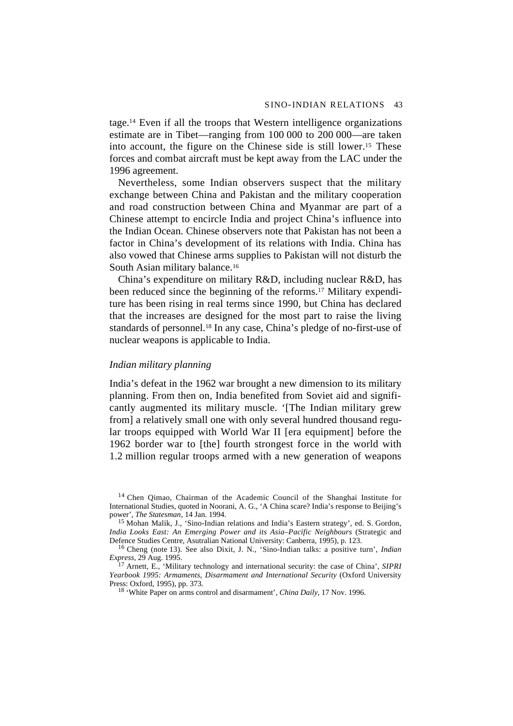tage.14 Even if all the troops that Western intelligence organizations estimate are in Tibet—ranging from 100 000 to 200 000—are taken into account, the figure on the Chinese side is still lower.15 These forces and combat aircraft must be kept away from the LAC under the 1996 agreement.

Nevertheless, some Indian observers suspect that the military exchange between China and Pakistan and the military cooperation and road construction between China and Myanmar are part of a Chinese attempt to encircle India and project China's influence into the Indian Ocean. Chinese observers note that Pakistan has not been a factor in China's development of its relations with India. China has also vowed that Chinese arms supplies to Pakistan will not disturb the South Asian military balance.<sup>16</sup>

China's expenditure on military R&D, including nuclear R&D, has been reduced since the beginning of the reforms.17 Military expenditure has been rising in real terms since 1990, but China has declared that the increases are designed for the most part to raise the living standards of personnel.18 In any case, China's pledge of no-first-use of nuclear weapons is applicable to India.

# *Indian military planning*

India's defeat in the 1962 war brought a new dimension to its military planning. From then on, India benefited from Soviet aid and significantly augmented its military muscle. '[The Indian military grew from] a relatively small one with only several hundred thousand regular troops equipped with World War II [era equipment] before the 1962 border war to [the] fourth strongest force in the world with 1.2 million regular troops armed with a new generation of weapons

<sup>&</sup>lt;sup>14</sup> Chen Qimao, Chairman of the Academic Council of the Shanghai Institute for International Studies, quoted in Noorani, A. G., 'A China scare? India's response to Beijing's power', *The Statesman*, 14 Jan. 1994.

<sup>15</sup> Mohan Malik, J., 'Sino-Indian relations and India's Eastern strategy', ed. S. Gordon, *India Looks East: An Emerging Power and its Asia–Pacific Neighbours* (Strategic and Defence Studies Centre, Asutralian National University: Canberra, 1995), p. 123.

<sup>16</sup> Cheng (note 13). See also Dixit, J. N., 'Sino-Indian talks: a positive turn', *Indian Express*, 29 Aug. 1995.

<sup>17</sup> Arnett, E., 'Military technology and international security: the case of China', *SIPRI Yearbook 1995: Armaments, Disarmament and International Security* (Oxford University Press: Oxford, 1995), pp. 373.

<sup>18 &#</sup>x27;White Paper on arms control and disarmament', *China Daily*, 17 Nov. 1996.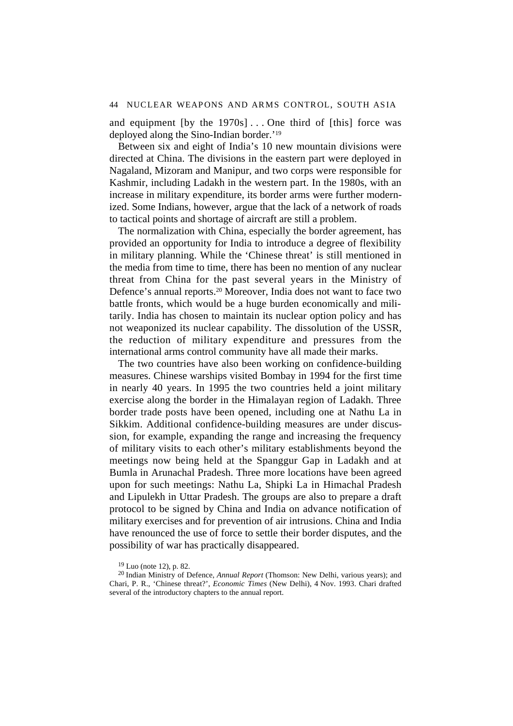and equipment  $[by the 1970s] \dots$  One third of  $[this]$  force was deployed along the Sino-Indian border.'19

Between six and eight of India's 10 new mountain divisions were directed at China. The divisions in the eastern part were deployed in Nagaland, Mizoram and Manipur, and two corps were responsible for Kashmir, including Ladakh in the western part. In the 1980s, with an increase in military expenditure, its border arms were further modernized. Some Indians, however, argue that the lack of a network of roads to tactical points and shortage of aircraft are still a problem.

The normalization with China, especially the border agreement, has provided an opportunity for India to introduce a degree of flexibility in military planning. While the 'Chinese threat' is still mentioned in the media from time to time, there has been no mention of any nuclear threat from China for the past several years in the Ministry of Defence's annual reports.20 Moreover, India does not want to face two battle fronts, which would be a huge burden economically and militarily. India has chosen to maintain its nuclear option policy and has not weaponized its nuclear capability. The dissolution of the USSR, the reduction of military expenditure and pressures from the international arms control community have all made their marks.

The two countries have also been working on confidence-building measures. Chinese warships visited Bombay in 1994 for the first time in nearly 40 years. In 1995 the two countries held a joint military exercise along the border in the Himalayan region of Ladakh. Three border trade posts have been opened, including one at Nathu La in Sikkim. Additional confidence-building measures are under discussion, for example, expanding the range and increasing the frequency of military visits to each other's military establishments beyond the meetings now being held at the Spanggur Gap in Ladakh and at Bumla in Arunachal Pradesh. Three more locations have been agreed upon for such meetings: Nathu La, Shipki La in Himachal Pradesh and Lipulekh in Uttar Pradesh. The groups are also to prepare a draft protocol to be signed by China and India on advance notification of military exercises and for prevention of air intrusions. China and India have renounced the use of force to settle their border disputes, and the possibility of war has practically disappeared.

 $19$  Luo (note 12), p. 82.

<sup>20</sup> Indian Ministry of Defence, *Annual Report* (Thomson: New Delhi, various years); and Chari, P. R., 'Chinese threat?', *Economic Times* (New Delhi), 4 Nov. 1993. Chari drafted several of the introductory chapters to the annual report.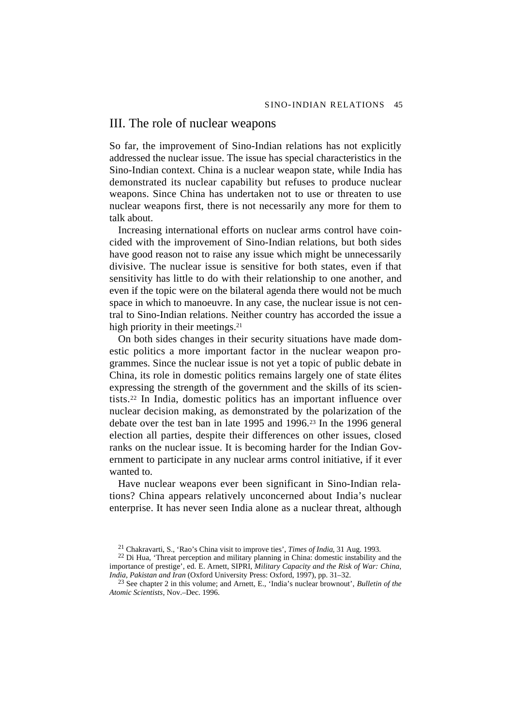# III. The role of nuclear weapons

So far, the improvement of Sino-Indian relations has not explicitly addressed the nuclear issue. The issue has special characteristics in the Sino-Indian context. China is a nuclear weapon state, while India has demonstrated its nuclear capability but refuses to produce nuclear weapons. Since China has undertaken not to use or threaten to use nuclear weapons first, there is not necessarily any more for them to talk about.

Increasing international efforts on nuclear arms control have coincided with the improvement of Sino-Indian relations, but both sides have good reason not to raise any issue which might be unnecessarily divisive. The nuclear issue is sensitive for both states, even if that sensitivity has little to do with their relationship to one another, and even if the topic were on the bilateral agenda there would not be much space in which to manoeuvre. In any case, the nuclear issue is not central to Sino-Indian relations. Neither country has accorded the issue a high priority in their meetings.<sup>21</sup>

On both sides changes in their security situations have made domestic politics a more important factor in the nuclear weapon programmes. Since the nuclear issue is not yet a topic of public debate in China, its role in domestic politics remains largely one of state élites expressing the strength of the government and the skills of its scientists.22 In India, domestic politics has an important influence over nuclear decision making, as demonstrated by the polarization of the debate over the test ban in late 1995 and 1996.23 In the 1996 general election all parties, despite their differences on other issues, closed ranks on the nuclear issue. It is becoming harder for the Indian Government to participate in any nuclear arms control initiative, if it ever wanted to.

Have nuclear weapons ever been significant in Sino-Indian relations? China appears relatively unconcerned about India's nuclear enterprise. It has never seen India alone as a nuclear threat, although

<sup>21</sup> Chakravarti, S., 'Rao's China visit to improve ties', *Times of India*, 31 Aug. 1993.

<sup>22</sup> Di Hua, 'Threat perception and military planning in China: domestic instability and the importance of prestige', ed. E. Arnett, SIPRI, *Military Capacity and the Risk of War: China, India, Pakistan and Iran* (Oxford University Press: Oxford, 1997), pp. 31–32.

<sup>23</sup> See chapter 2 in this volume; and Arnett, E., 'India's nuclear brownout', *Bulletin of the Atomic Scientists*, Nov.–Dec. 1996.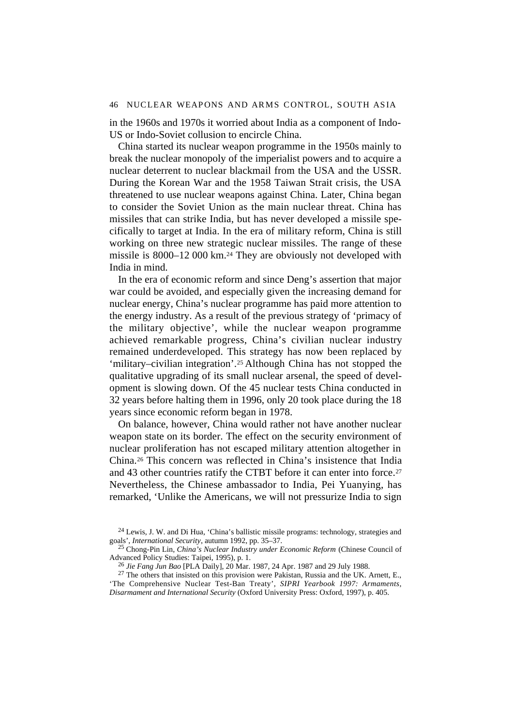in the 1960s and 1970s it worried about India as a component of Indo-US or Indo-Soviet collusion to encircle China.

China started its nuclear weapon programme in the 1950s mainly to break the nuclear monopoly of the imperialist powers and to acquire a nuclear deterrent to nuclear blackmail from the USA and the USSR. During the Korean War and the 1958 Taiwan Strait crisis, the USA threatened to use nuclear weapons against China. Later, China began to consider the Soviet Union as the main nuclear threat. China has missiles that can strike India, but has never developed a missile specifically to target at India. In the era of military reform, China is still working on three new strategic nuclear missiles. The range of these missile is 8000–12 000 km.24 They are obviously not developed with India in mind.

In the era of economic reform and since Deng's assertion that major war could be avoided, and especially given the increasing demand for nuclear energy, China's nuclear programme has paid more attention to the energy industry. As a result of the previous strategy of 'primacy of the military objective', while the nuclear weapon programme achieved remarkable progress, China's civilian nuclear industry remained underdeveloped. This strategy has now been replaced by 'military–civilian integration'.25 Although China has not stopped the qualitative upgrading of its small nuclear arsenal, the speed of development is slowing down. Of the 45 nuclear tests China conducted in 32 years before halting them in 1996, only 20 took place during the 18 years since economic reform began in 1978.

On balance, however, China would rather not have another nuclear weapon state on its border. The effect on the security environment of nuclear proliferation has not escaped military attention altogether in China.26 This concern was reflected in China's insistence that India and 43 other countries ratify the CTBT before it can enter into force.<sup>27</sup> Nevertheless, the Chinese ambassador to India, Pei Yuanying, has remarked, 'Unlike the Americans, we will not pressurize India to sign

 $24$  Lewis, J. W. and Di Hua, 'China's ballistic missile programs: technology, strategies and goals', *International Security*, autumn 1992, pp. 35–37.

<sup>25</sup> Chong-Pin Lin, *China's Nuclear Industry under Economic Reform* (Chinese Council of Advanced Policy Studies: Taipei, 1995), p. 1.

<sup>26</sup> *Jie Fang Jun Bao* [PLA Daily], 20 Mar. 1987, 24 Apr. 1987 and 29 July 1988.

 $27$  The others that insisted on this provision were Pakistan, Russia and the UK. Arnett, E., 'The Comprehensive Nuclear Test-Ban Treaty', *SIPRI Yearbook 1997: Armaments, Disarmament and International Security* (Oxford University Press: Oxford, 1997), p. 405.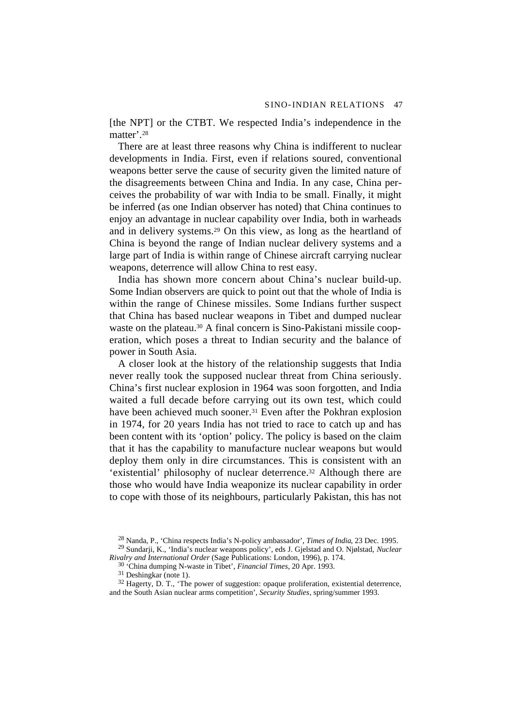[the NPT] or the CTBT. We respected India's independence in the matter'.28

There are at least three reasons why China is indifferent to nuclear developments in India. First, even if relations soured, conventional weapons better serve the cause of security given the limited nature of the disagreements between China and India. In any case, China perceives the probability of war with India to be small. Finally, it might be inferred (as one Indian observer has noted) that China continues to enjoy an advantage in nuclear capability over India, both in warheads and in delivery systems.29 On this view, as long as the heartland of China is beyond the range of Indian nuclear delivery systems and a large part of India is within range of Chinese aircraft carrying nuclear weapons, deterrence will allow China to rest easy.

India has shown more concern about China's nuclear build-up. Some Indian observers are quick to point out that the whole of India is within the range of Chinese missiles. Some Indians further suspect that China has based nuclear weapons in Tibet and dumped nuclear waste on the plateau.<sup>30</sup> A final concern is Sino-Pakistani missile cooperation, which poses a threat to Indian security and the balance of power in South Asia.

A closer look at the history of the relationship suggests that India never really took the supposed nuclear threat from China seriously. China's first nuclear explosion in 1964 was soon forgotten, and India waited a full decade before carrying out its own test, which could have been achieved much sooner.<sup>31</sup> Even after the Pokhran explosion in 1974, for 20 years India has not tried to race to catch up and has been content with its 'option' policy. The policy is based on the claim that it has the capability to manufacture nuclear weapons but would deploy them only in dire circumstances. This is consistent with an 'existential' philosophy of nuclear deterrence.32 Although there are those who would have India weaponize its nuclear capability in order to cope with those of its neighbours, particularly Pakistan, this has not

 $32$  Hagerty, D. T., 'The power of suggestion: opaque proliferation, existential deterrence, and the South Asian nuclear arms competition', *Security Studies*, spring/summer 1993.

<sup>28</sup> Nanda, P., 'China respects India's N-policy ambassador', *Times of India*, 23 Dec. 1995. 29 Sundarji, K., 'India's nuclear weapons policy', eds J. Gjelstad and O. Njølstad, *Nuclear*

*Rivalry and International Order* (Sage Publications: London, 1996), p. 174.

<sup>30 &#</sup>x27;China dumping N-waste in Tibet', *Financial Times*, 20 Apr. 1993.

<sup>31</sup> Deshingkar (note 1).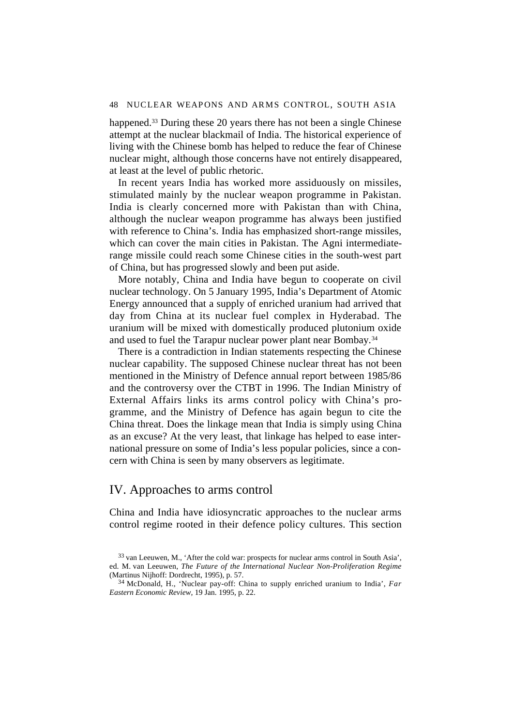happened.<sup>33</sup> During these 20 years there has not been a single Chinese attempt at the nuclear blackmail of India. The historical experience of living with the Chinese bomb has helped to reduce the fear of Chinese nuclear might, although those concerns have not entirely disappeared, at least at the level of public rhetoric.

In recent years India has worked more assiduously on missiles, stimulated mainly by the nuclear weapon programme in Pakistan. India is clearly concerned more with Pakistan than with China, although the nuclear weapon programme has always been justified with reference to China's. India has emphasized short-range missiles, which can cover the main cities in Pakistan. The Agni intermediaterange missile could reach some Chinese cities in the south-west part of China, but has progressed slowly and been put aside.

More notably, China and India have begun to cooperate on civil nuclear technology. On 5 January 1995, India's Department of Atomic Energy announced that a supply of enriched uranium had arrived that day from China at its nuclear fuel complex in Hyderabad. The uranium will be mixed with domestically produced plutonium oxide and used to fuel the Tarapur nuclear power plant near Bombay.34

There is a contradiction in Indian statements respecting the Chinese nuclear capability. The supposed Chinese nuclear threat has not been mentioned in the Ministry of Defence annual report between 1985/86 and the controversy over the CTBT in 1996. The Indian Ministry of External Affairs links its arms control policy with China's programme, and the Ministry of Defence has again begun to cite the China threat. Does the linkage mean that India is simply using China as an excuse? At the very least, that linkage has helped to ease international pressure on some of India's less popular policies, since a concern with China is seen by many observers as legitimate.

# IV. Approaches to arms control

China and India have idiosyncratic approaches to the nuclear arms control regime rooted in their defence policy cultures. This section

<sup>33</sup> van Leeuwen, M., 'After the cold war: prospects for nuclear arms control in South Asia', ed. M. van Leeuwen, *The Future of the International Nuclear Non-Proliferation Regime* (Martinus Nijhoff: Dordrecht, 1995), p. 57.

<sup>34</sup> McDonald, H., 'Nuclear pay-off: China to supply enriched uranium to India', *Far Eastern Economic Review*, 19 Jan. 1995, p. 22.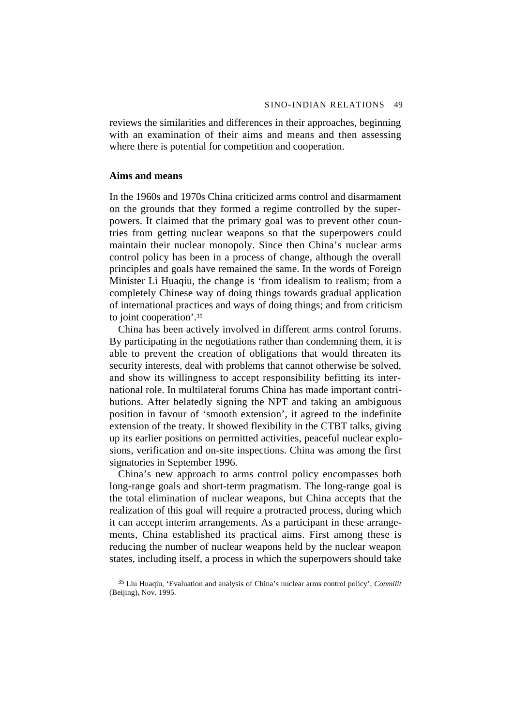reviews the similarities and differences in their approaches, beginning with an examination of their aims and means and then assessing where there is potential for competition and cooperation.

## **Aims and means**

In the 1960s and 1970s China criticized arms control and disarmament on the grounds that they formed a regime controlled by the superpowers. It claimed that the primary goal was to prevent other countries from getting nuclear weapons so that the superpowers could maintain their nuclear monopoly. Since then China's nuclear arms control policy has been in a process of change, although the overall principles and goals have remained the same. In the words of Foreign Minister Li Huaqiu, the change is 'from idealism to realism; from a completely Chinese way of doing things towards gradual application of international practices and ways of doing things; and from criticism to joint cooperation'.35

China has been actively involved in different arms control forums. By participating in the negotiations rather than condemning them, it is able to prevent the creation of obligations that would threaten its security interests, deal with problems that cannot otherwise be solved, and show its willingness to accept responsibility befitting its international role. In multilateral forums China has made important contributions. After belatedly signing the NPT and taking an ambiguous position in favour of 'smooth extension', it agreed to the indefinite extension of the treaty. It showed flexibility in the CTBT talks, giving up its earlier positions on permitted activities, peaceful nuclear explosions, verification and on-site inspections. China was among the first signatories in September 1996.

China's new approach to arms control policy encompasses both long-range goals and short-term pragmatism. The long-range goal is the total elimination of nuclear weapons, but China accepts that the realization of this goal will require a protracted process, during which it can accept interim arrangements. As a participant in these arrangements, China established its practical aims. First among these is reducing the number of nuclear weapons held by the nuclear weapon states, including itself, a process in which the superpowers should take

<sup>35</sup> Liu Huaqiu, 'Evaluation and analysis of China's nuclear arms control policy', *Conmilit* (Beijing), Nov. 1995.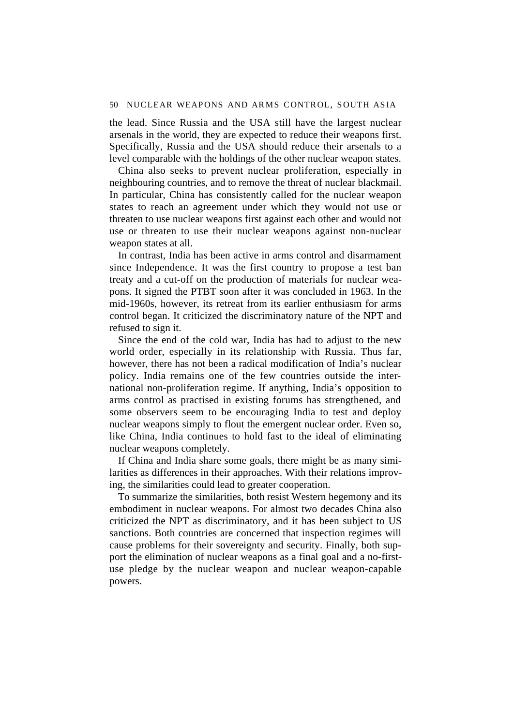the lead. Since Russia and the USA still have the largest nuclear arsenals in the world, they are expected to reduce their weapons first. Specifically, Russia and the USA should reduce their arsenals to a level comparable with the holdings of the other nuclear weapon states.

China also seeks to prevent nuclear proliferation, especially in neighbouring countries, and to remove the threat of nuclear blackmail. In particular, China has consistently called for the nuclear weapon states to reach an agreement under which they would not use or threaten to use nuclear weapons first against each other and would not use or threaten to use their nuclear weapons against non-nuclear weapon states at all.

In contrast, India has been active in arms control and disarmament since Independence. It was the first country to propose a test ban treaty and a cut-off on the production of materials for nuclear weapons. It signed the PTBT soon after it was concluded in 1963. In the mid-1960s, however, its retreat from its earlier enthusiasm for arms control began. It criticized the discriminatory nature of the NPT and refused to sign it.

Since the end of the cold war, India has had to adjust to the new world order, especially in its relationship with Russia. Thus far, however, there has not been a radical modification of India's nuclear policy. India remains one of the few countries outside the international non-proliferation regime. If anything, India's opposition to arms control as practised in existing forums has strengthened, and some observers seem to be encouraging India to test and deploy nuclear weapons simply to flout the emergent nuclear order. Even so, like China, India continues to hold fast to the ideal of eliminating nuclear weapons completely.

If China and India share some goals, there might be as many similarities as differences in their approaches. With their relations improving, the similarities could lead to greater cooperation.

To summarize the similarities, both resist Western hegemony and its embodiment in nuclear weapons. For almost two decades China also criticized the NPT as discriminatory, and it has been subject to US sanctions. Both countries are concerned that inspection regimes will cause problems for their sovereignty and security. Finally, both support the elimination of nuclear weapons as a final goal and a no-firstuse pledge by the nuclear weapon and nuclear weapon-capable powers.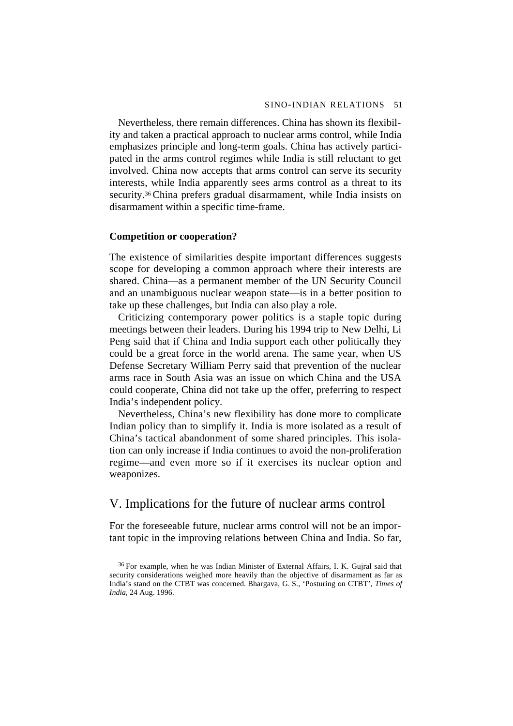Nevertheless, there remain differences. China has shown its flexibility and taken a practical approach to nuclear arms control, while India emphasizes principle and long-term goals. China has actively participated in the arms control regimes while India is still reluctant to get involved. China now accepts that arms control can serve its security interests, while India apparently sees arms control as a threat to its security.<sup>36</sup> China prefers gradual disarmament, while India insists on disarmament within a specific time-frame.

# **Competition or cooperation?**

The existence of similarities despite important differences suggests scope for developing a common approach where their interests are shared. China—as a permanent member of the UN Security Council and an unambiguous nuclear weapon state—is in a better position to take up these challenges, but India can also play a role.

Criticizing contemporary power politics is a staple topic during meetings between their leaders. During his 1994 trip to New Delhi, Li Peng said that if China and India support each other politically they could be a great force in the world arena. The same year, when US Defense Secretary William Perry said that prevention of the nuclear arms race in South Asia was an issue on which China and the USA could cooperate, China did not take up the offer, preferring to respect India's independent policy.

Nevertheless, China's new flexibility has done more to complicate Indian policy than to simplify it. India is more isolated as a result of China's tactical abandonment of some shared principles. This isolation can only increase if India continues to avoid the non-proliferation regime—and even more so if it exercises its nuclear option and weaponizes.

# V. Implications for the future of nuclear arms control

For the foreseeable future, nuclear arms control will not be an important topic in the improving relations between China and India. So far,

<sup>36</sup> For example, when he was Indian Minister of External Affairs, I. K. Gujral said that security considerations weighed more heavily than the objective of disarmament as far as India's stand on the CTBT was concerned. Bhargava, G. S., 'Posturing on CTBT', *Times of India*, 24 Aug. 1996.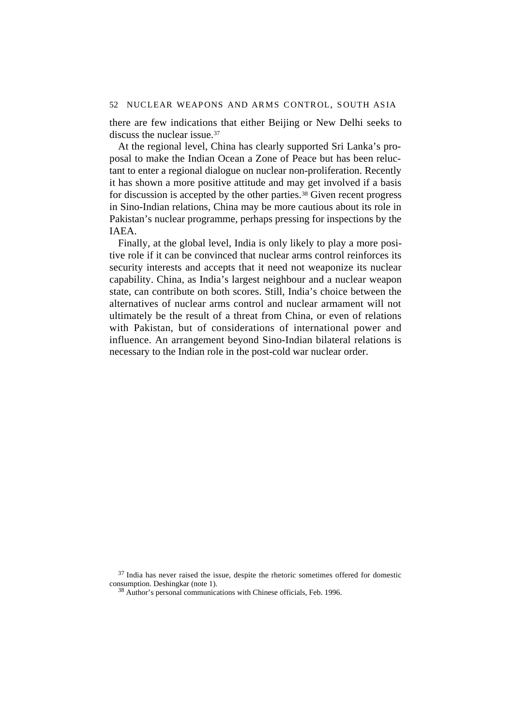there are few indications that either Beijing or New Delhi seeks to discuss the nuclear issue.37

At the regional level, China has clearly supported Sri Lanka's proposal to make the Indian Ocean a Zone of Peace but has been reluctant to enter a regional dialogue on nuclear non-proliferation. Recently it has shown a more positive attitude and may get involved if a basis for discussion is accepted by the other parties.<sup>38</sup> Given recent progress in Sino-Indian relations, China may be more cautious about its role in Pakistan's nuclear programme, perhaps pressing for inspections by the IAEA.

Finally, at the global level, India is only likely to play a more positive role if it can be convinced that nuclear arms control reinforces its security interests and accepts that it need not weaponize its nuclear capability. China, as India's largest neighbour and a nuclear weapon state, can contribute on both scores. Still, India's choice between the alternatives of nuclear arms control and nuclear armament will not ultimately be the result of a threat from China, or even of relations with Pakistan, but of considerations of international power and influence. An arrangement beyond Sino-Indian bilateral relations is necessary to the Indian role in the post-cold war nuclear order.

 $37$  India has never raised the issue, despite the rhetoric sometimes offered for domestic consumption. Deshingkar (note 1).

38 Author's personal communications with Chinese officials, Feb. 1996.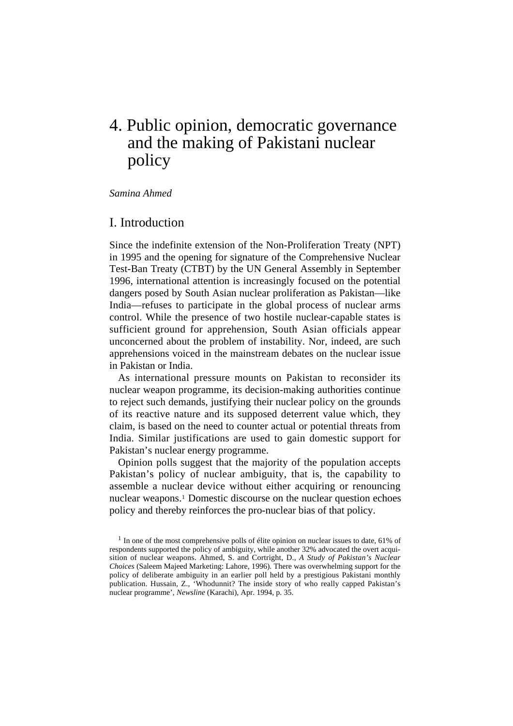# 4. Public opinion, democratic governance and the making of Pakistani nuclear policy

*Samina Ahmed*

# I. Introduction

Since the indefinite extension of the Non-Proliferation Treaty (NPT) in 1995 and the opening for signature of the Comprehensive Nuclear Test-Ban Treaty (CTBT) by the UN General Assembly in September 1996, international attention is increasingly focused on the potential dangers posed by South Asian nuclear proliferation as Pakistan—like India—refuses to participate in the global process of nuclear arms control. While the presence of two hostile nuclear-capable states is sufficient ground for apprehension, South Asian officials appear unconcerned about the problem of instability. Nor, indeed, are such apprehensions voiced in the mainstream debates on the nuclear issue in Pakistan or India.

As international pressure mounts on Pakistan to reconsider its nuclear weapon programme, its decision-making authorities continue to reject such demands, justifying their nuclear policy on the grounds of its reactive nature and its supposed deterrent value which, they claim, is based on the need to counter actual or potential threats from India. Similar justifications are used to gain domestic support for Pakistan's nuclear energy programme.

Opinion polls suggest that the majority of the population accepts Pakistan's policy of nuclear ambiguity, that is, the capability to assemble a nuclear device without either acquiring or renouncing nuclear weapons.1 Domestic discourse on the nuclear question echoes policy and thereby reinforces the pro-nuclear bias of that policy.

 $<sup>1</sup>$  In one of the most comprehensive polls of élite opinion on nuclear issues to date, 61% of</sup> respondents supported the policy of ambiguity, while another 32% advocated the overt acquisition of nuclear weapons. Ahmed, S. and Cortright, D., *A Study of Pakistan's Nuclear Choices* (Saleem Majeed Marketing: Lahore, 1996). There was overwhelming support for the policy of deliberate ambiguity in an earlier poll held by a prestigious Pakistani monthly publication. Hussain, Z., 'Whodunnit? The inside story of who really capped Pakistan's nuclear programme', *Newsline* (Karachi), Apr. 1994, p. 35.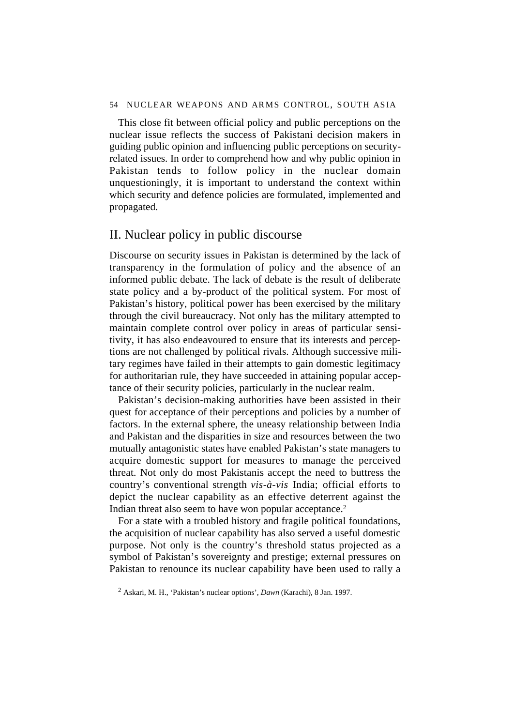This close fit between official policy and public perceptions on the nuclear issue reflects the success of Pakistani decision makers in guiding public opinion and influencing public perceptions on securityrelated issues. In order to comprehend how and why public opinion in Pakistan tends to follow policy in the nuclear domain unquestioningly, it is important to understand the context within which security and defence policies are formulated, implemented and propagated.

# II. Nuclear policy in public discourse

Discourse on security issues in Pakistan is determined by the lack of transparency in the formulation of policy and the absence of an informed public debate. The lack of debate is the result of deliberate state policy and a by-product of the political system. For most of Pakistan's history, political power has been exercised by the military through the civil bureaucracy. Not only has the military attempted to maintain complete control over policy in areas of particular sensitivity, it has also endeavoured to ensure that its interests and perceptions are not challenged by political rivals. Although successive military regimes have failed in their attempts to gain domestic legitimacy for authoritarian rule, they have succeeded in attaining popular acceptance of their security policies, particularly in the nuclear realm.

Pakistan's decision-making authorities have been assisted in their quest for acceptance of their perceptions and policies by a number of factors. In the external sphere, the uneasy relationship between India and Pakistan and the disparities in size and resources between the two mutually antagonistic states have enabled Pakistan's state managers to acquire domestic support for measures to manage the perceived threat. Not only do most Pakistanis accept the need to buttress the country's conventional strength *vis-à-vis* India; official efforts to depict the nuclear capability as an effective deterrent against the Indian threat also seem to have won popular acceptance.<sup>2</sup>

For a state with a troubled history and fragile political foundations, the acquisition of nuclear capability has also served a useful domestic purpose. Not only is the country's threshold status projected as a symbol of Pakistan's sovereignty and prestige; external pressures on Pakistan to renounce its nuclear capability have been used to rally a

<sup>2</sup> Askari, M. H., 'Pakistan's nuclear options', *Dawn* (Karachi), 8 Jan. 1997.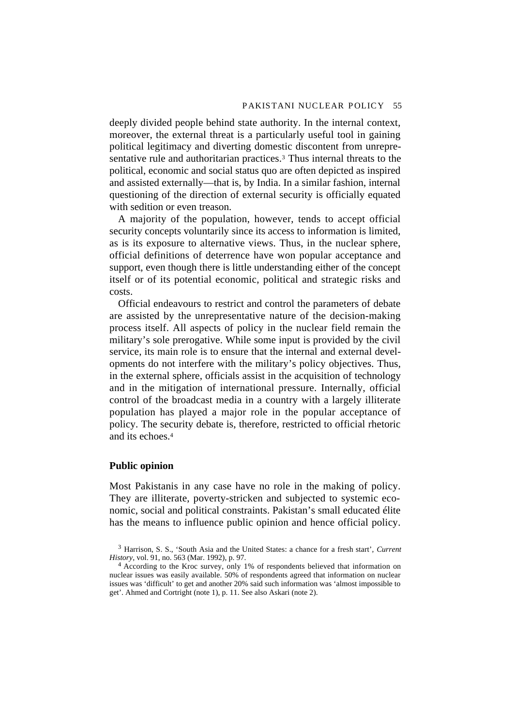deeply divided people behind state authority. In the internal context, moreover, the external threat is a particularly useful tool in gaining political legitimacy and diverting domestic discontent from unrepresentative rule and authoritarian practices.<sup>3</sup> Thus internal threats to the political, economic and social status quo are often depicted as inspired and assisted externally—that is, by India. In a similar fashion, internal questioning of the direction of external security is officially equated with sedition or even treason.

A majority of the population, however, tends to accept official security concepts voluntarily since its access to information is limited, as is its exposure to alternative views. Thus, in the nuclear sphere, official definitions of deterrence have won popular acceptance and support, even though there is little understanding either of the concept itself or of its potential economic, political and strategic risks and costs.

Official endeavours to restrict and control the parameters of debate are assisted by the unrepresentative nature of the decision-making process itself. All aspects of policy in the nuclear field remain the military's sole prerogative. While some input is provided by the civil service, its main role is to ensure that the internal and external developments do not interfere with the military's policy objectives. Thus, in the external sphere, officials assist in the acquisition of technology and in the mitigation of international pressure. Internally, official control of the broadcast media in a country with a largely illiterate population has played a major role in the popular acceptance of policy. The security debate is, therefore, restricted to official rhetoric and its echoes.4

# **Public opinion**

Most Pakistanis in any case have no role in the making of policy. They are illiterate, poverty-stricken and subjected to systemic economic, social and political constraints. Pakistan's small educated élite has the means to influence public opinion and hence official policy.

<sup>3</sup> Harrison, S. S., 'South Asia and the United States: a chance for a fresh start', *Current History*, vol. 91, no. 563 (Mar. 1992), p. 97.

<sup>4</sup> According to the Kroc survey, only 1% of respondents believed that information on nuclear issues was easily available. 50% of respondents agreed that information on nuclear issues was 'difficult' to get and another 20% said such information was 'almost impossible to get'. Ahmed and Cortright (note 1), p. 11. See also Askari (note 2).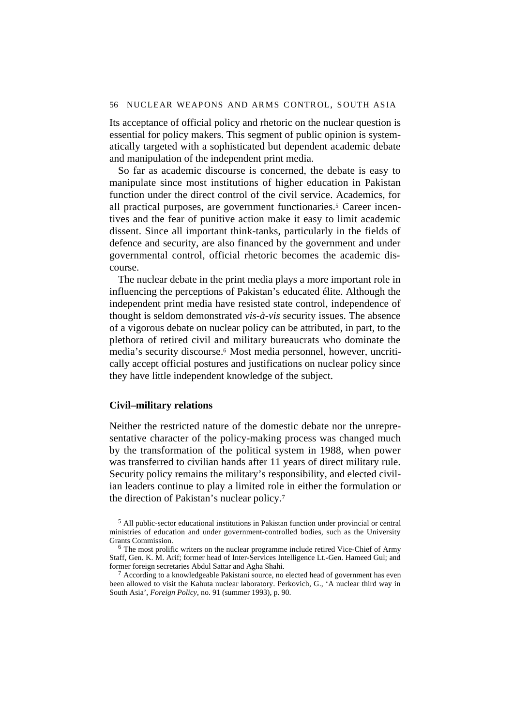Its acceptance of official policy and rhetoric on the nuclear question is essential for policy makers. This segment of public opinion is systematically targeted with a sophisticated but dependent academic debate and manipulation of the independent print media.

So far as academic discourse is concerned, the debate is easy to manipulate since most institutions of higher education in Pakistan function under the direct control of the civil service. Academics, for all practical purposes, are government functionaries.<sup>5</sup> Career incentives and the fear of punitive action make it easy to limit academic dissent. Since all important think-tanks, particularly in the fields of defence and security, are also financed by the government and under governmental control, official rhetoric becomes the academic discourse.

The nuclear debate in the print media plays a more important role in influencing the perceptions of Pakistan's educated élite. Although the independent print media have resisted state control, independence of thought is seldom demonstrated *vis-à-vis* security issues. The absence of a vigorous debate on nuclear policy can be attributed, in part, to the plethora of retired civil and military bureaucrats who dominate the media's security discourse.6 Most media personnel, however, uncritically accept official postures and justifications on nuclear policy since they have little independent knowledge of the subject.

## **Civil–military relations**

Neither the restricted nature of the domestic debate nor the unrepresentative character of the policy-making process was changed much by the transformation of the political system in 1988, when power was transferred to civilian hands after 11 years of direct military rule. Security policy remains the military's responsibility, and elected civilian leaders continue to play a limited role in either the formulation or the direction of Pakistan's nuclear policy.7

 $7$  According to a knowledgeable Pakistani source, no elected head of government has even been allowed to visit the Kahuta nuclear laboratory. Perkovich, G., 'A nuclear third way in South Asia', *Foreign Policy*, no. 91 (summer 1993), p. 90.

<sup>5</sup> All public-sector educational institutions in Pakistan function under provincial or central ministries of education and under government-controlled bodies, such as the University Grants Commission.

<sup>&</sup>lt;sup>6</sup> The most prolific writers on the nuclear programme include retired Vice-Chief of Army Staff, Gen. K. M. Arif; former head of Inter-Services Intelligence Lt.-Gen. Hameed Gul; and former foreign secretaries Abdul Sattar and Agha Shahi.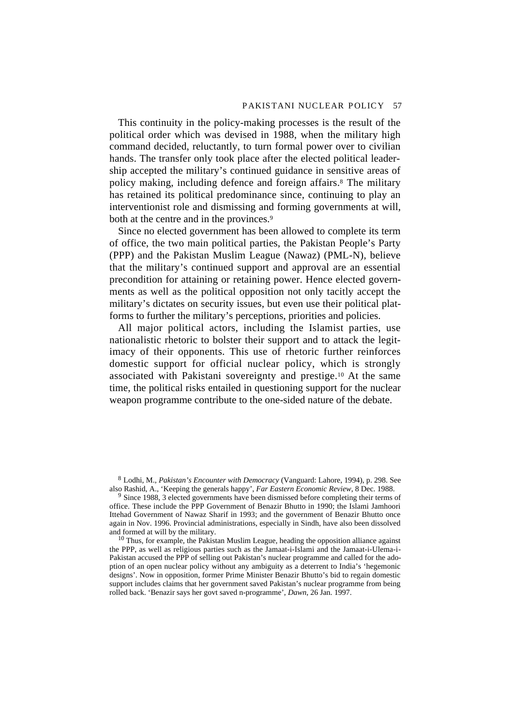This continuity in the policy-making processes is the result of the political order which was devised in 1988, when the military high command decided, reluctantly, to turn formal power over to civilian hands. The transfer only took place after the elected political leadership accepted the military's continued guidance in sensitive areas of policy making, including defence and foreign affairs.8 The military has retained its political predominance since, continuing to play an interventionist role and dismissing and forming governments at will, both at the centre and in the provinces.<sup>9</sup>

Since no elected government has been allowed to complete its term of office, the two main political parties, the Pakistan People's Party (PPP) and the Pakistan Muslim League (Nawaz) (PML-N), believe that the military's continued support and approval are an essential precondition for attaining or retaining power. Hence elected governments as well as the political opposition not only tacitly accept the military's dictates on security issues, but even use their political platforms to further the military's perceptions, priorities and policies.

All major political actors, including the Islamist parties, use nationalistic rhetoric to bolster their support and to attack the legitimacy of their opponents. This use of rhetoric further reinforces domestic support for official nuclear policy, which is strongly associated with Pakistani sovereignty and prestige.10 At the same time, the political risks entailed in questioning support for the nuclear weapon programme contribute to the one-sided nature of the debate.

8 Lodhi, M., *Pakistan's Encounter with Democracy* (Vanguard: Lahore, 1994), p. 298. See also Rashid, A., 'Keeping the generals happy', *Far Eastern Economic Review*, 8 Dec. 1988.

<sup>9</sup> Since 1988, 3 elected governments have been dismissed before completing their terms of office. These include the PPP Government of Benazir Bhutto in 1990; the Islami Jamhoori Ittehad Government of Nawaz Sharif in 1993; and the government of Benazir Bhutto once again in Nov. 1996. Provincial administrations, especially in Sindh, have also been dissolved and formed at will by the military.

 $10$  Thus, for example, the Pakistan Muslim League, heading the opposition alliance against the PPP, as well as religious parties such as the Jamaat-i-Islami and the Jamaat-i-Ulema-i-Pakistan accused the PPP of selling out Pakistan's nuclear programme and called for the adoption of an open nuclear policy without any ambiguity as a deterrent to India's 'hegemonic designs'. Now in opposition, former Prime Minister Benazir Bhutto's bid to regain domestic support includes claims that her government saved Pakistan's nuclear programme from being rolled back. 'Benazir says her govt saved n-programme', *Dawn*, 26 Jan. 1997.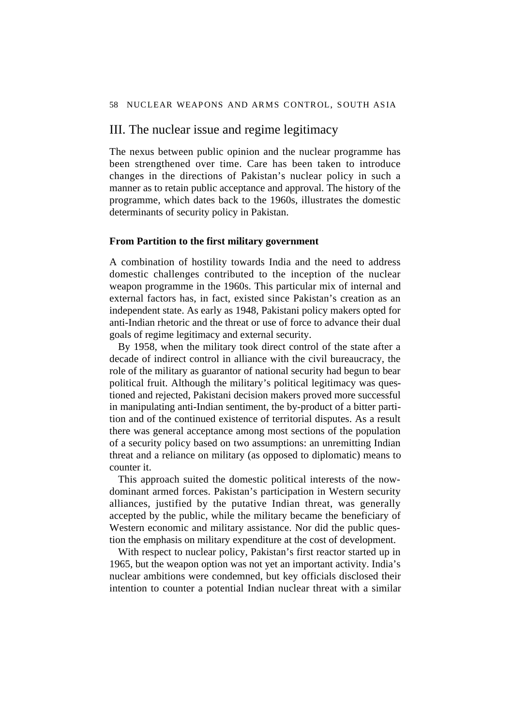# III. The nuclear issue and regime legitimacy

The nexus between public opinion and the nuclear programme has been strengthened over time. Care has been taken to introduce changes in the directions of Pakistan's nuclear policy in such a manner as to retain public acceptance and approval. The history of the programme, which dates back to the 1960s, illustrates the domestic determinants of security policy in Pakistan.

## **From Partition to the first military government**

A combination of hostility towards India and the need to address domestic challenges contributed to the inception of the nuclear weapon programme in the 1960s. This particular mix of internal and external factors has, in fact, existed since Pakistan's creation as an independent state. As early as 1948, Pakistani policy makers opted for anti-Indian rhetoric and the threat or use of force to advance their dual goals of regime legitimacy and external security.

By 1958, when the military took direct control of the state after a decade of indirect control in alliance with the civil bureaucracy, the role of the military as guarantor of national security had begun to bear political fruit. Although the military's political legitimacy was questioned and rejected, Pakistani decision makers proved more successful in manipulating anti-Indian sentiment, the by-product of a bitter partition and of the continued existence of territorial disputes. As a result there was general acceptance among most sections of the population of a security policy based on two assumptions: an unremitting Indian threat and a reliance on military (as opposed to diplomatic) means to counter it.

This approach suited the domestic political interests of the nowdominant armed forces. Pakistan's participation in Western security alliances, justified by the putative Indian threat, was generally accepted by the public, while the military became the beneficiary of Western economic and military assistance. Nor did the public question the emphasis on military expenditure at the cost of development.

With respect to nuclear policy, Pakistan's first reactor started up in 1965, but the weapon option was not yet an important activity. India's nuclear ambitions were condemned, but key officials disclosed their intention to counter a potential Indian nuclear threat with a similar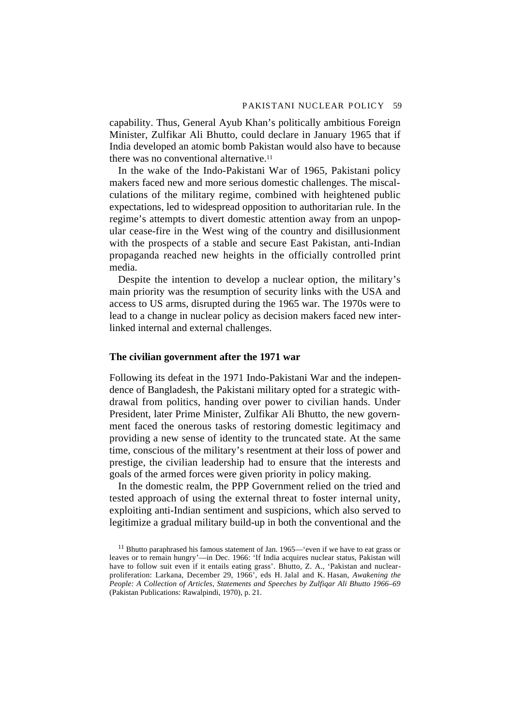capability. Thus, General Ayub Khan's politically ambitious Foreign Minister, Zulfikar Ali Bhutto, could declare in January 1965 that if India developed an atomic bomb Pakistan would also have to because there was no conventional alternative.11

In the wake of the Indo-Pakistani War of 1965, Pakistani policy makers faced new and more serious domestic challenges. The miscalculations of the military regime, combined with heightened public expectations, led to widespread opposition to authoritarian rule. In the regime's attempts to divert domestic attention away from an unpopular cease-fire in the West wing of the country and disillusionment with the prospects of a stable and secure East Pakistan, anti-Indian propaganda reached new heights in the officially controlled print media.

Despite the intention to develop a nuclear option, the military's main priority was the resumption of security links with the USA and access to US arms, disrupted during the 1965 war. The 1970s were to lead to a change in nuclear policy as decision makers faced new interlinked internal and external challenges.

# **The civilian government after the 1971 war**

Following its defeat in the 1971 Indo-Pakistani War and the independence of Bangladesh, the Pakistani military opted for a strategic withdrawal from politics, handing over power to civilian hands. Under President, later Prime Minister, Zulfikar Ali Bhutto, the new government faced the onerous tasks of restoring domestic legitimacy and providing a new sense of identity to the truncated state. At the same time, conscious of the military's resentment at their loss of power and prestige, the civilian leadership had to ensure that the interests and goals of the armed forces were given priority in policy making.

In the domestic realm, the PPP Government relied on the tried and tested approach of using the external threat to foster internal unity, exploiting anti-Indian sentiment and suspicions, which also served to legitimize a gradual military build-up in both the conventional and the

<sup>&</sup>lt;sup>11</sup> Bhutto paraphrased his famous statement of Jan. 1965—'even if we have to eat grass or leaves or to remain hungry'—in Dec. 1966: 'If India acquires nuclear status, Pakistan will have to follow suit even if it entails eating grass'. Bhutto, Z. A., 'Pakistan and nuclearproliferation: Larkana, December 29, 1966', eds H. Jalal and K. Hasan, *Awakening the People: A Collection of Articles, Statements and Speeches by Zulfiqar Ali Bhutto 1966–69* (Pakistan Publications: Rawalpindi, 1970), p. 21.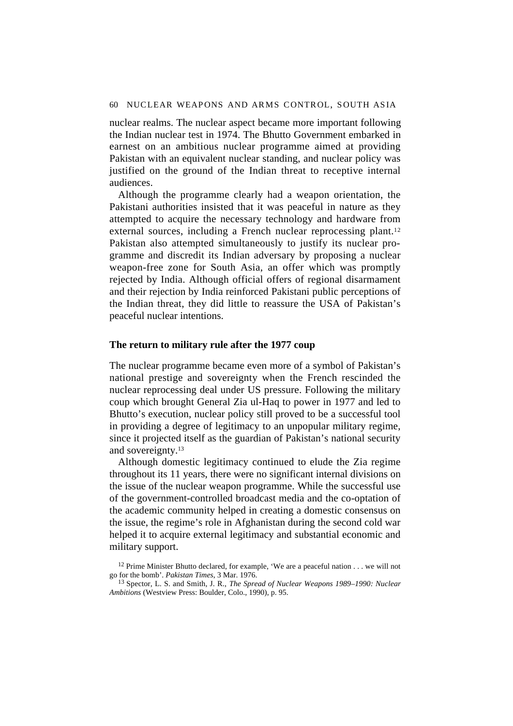nuclear realms. The nuclear aspect became more important following the Indian nuclear test in 1974. The Bhutto Government embarked in earnest on an ambitious nuclear programme aimed at providing Pakistan with an equivalent nuclear standing, and nuclear policy was justified on the ground of the Indian threat to receptive internal audiences.

Although the programme clearly had a weapon orientation, the Pakistani authorities insisted that it was peaceful in nature as they attempted to acquire the necessary technology and hardware from external sources, including a French nuclear reprocessing plant.12 Pakistan also attempted simultaneously to justify its nuclear programme and discredit its Indian adversary by proposing a nuclear weapon-free zone for South Asia, an offer which was promptly rejected by India. Although official offers of regional disarmament and their rejection by India reinforced Pakistani public perceptions of the Indian threat, they did little to reassure the USA of Pakistan's peaceful nuclear intentions.

# **The return to military rule after the 1977 coup**

The nuclear programme became even more of a symbol of Pakistan's national prestige and sovereignty when the French rescinded the nuclear reprocessing deal under US pressure. Following the military coup which brought General Zia ul-Haq to power in 1977 and led to Bhutto's execution, nuclear policy still proved to be a successful tool in providing a degree of legitimacy to an unpopular military regime, since it projected itself as the guardian of Pakistan's national security and sovereignty.13

Although domestic legitimacy continued to elude the Zia regime throughout its 11 years, there were no significant internal divisions on the issue of the nuclear weapon programme. While the successful use of the government-controlled broadcast media and the co-optation of the academic community helped in creating a domestic consensus on the issue, the regime's role in Afghanistan during the second cold war helped it to acquire external legitimacy and substantial economic and military support.

<sup>&</sup>lt;sup>12</sup> Prime Minister Bhutto declared, for example, 'We are a peaceful nation  $\dots$  we will not go for the bomb'. *Pakistan Times*, 3 Mar. 1976.

<sup>13</sup> Spector, L. S. and Smith, J. R., *The Spread of Nuclear Weapons 1989–1990: Nuclear Ambitions* (Westview Press: Boulder, Colo., 1990), p. 95.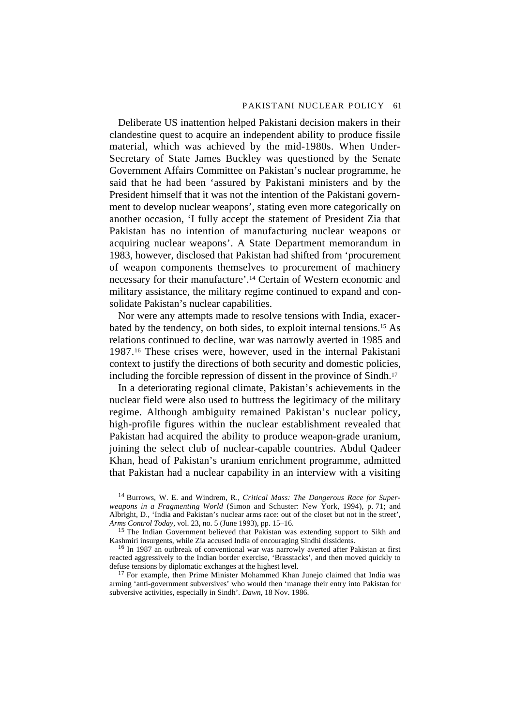Deliberate US inattention helped Pakistani decision makers in their clandestine quest to acquire an independent ability to produce fissile material, which was achieved by the mid-1980s. When Under-Secretary of State James Buckley was questioned by the Senate Government Affairs Committee on Pakistan's nuclear programme, he said that he had been 'assured by Pakistani ministers and by the President himself that it was not the intention of the Pakistani government to develop nuclear weapons', stating even more categorically on another occasion, 'I fully accept the statement of President Zia that Pakistan has no intention of manufacturing nuclear weapons or acquiring nuclear weapons'. A State Department memorandum in 1983, however, disclosed that Pakistan had shifted from 'procurement of weapon components themselves to procurement of machinery necessary for their manufacture'.14 Certain of Western economic and military assistance, the military regime continued to expand and consolidate Pakistan's nuclear capabilities.

Nor were any attempts made to resolve tensions with India, exacerbated by the tendency, on both sides, to exploit internal tensions.15 As relations continued to decline, war was narrowly averted in 1985 and 1987.16 These crises were, however, used in the internal Pakistani context to justify the directions of both security and domestic policies, including the forcible repression of dissent in the province of Sindh.17

In a deteriorating regional climate, Pakistan's achievements in the nuclear field were also used to buttress the legitimacy of the military regime. Although ambiguity remained Pakistan's nuclear policy, high-profile figures within the nuclear establishment revealed that Pakistan had acquired the ability to produce weapon-grade uranium, joining the select club of nuclear-capable countries. Abdul Qadeer Khan, head of Pakistan's uranium enrichment programme, admitted that Pakistan had a nuclear capability in an interview with a visiting

14 Burrows, W. E. and Windrem, R., *Critical Mass: The Dangerous Race for Superweapons in a Fragmenting World* (Simon and Schuster: New York, 1994), p. 71; and Albright, D., 'India and Pakistan's nuclear arms race: out of the closet but not in the street', *Arms Control Today,* vol. 23, no. 5 (June 1993), pp. 15–16.

<sup>15</sup> The Indian Government believed that Pakistan was extending support to Sikh and Kashmiri insurgents, while Zia accused India of encouraging Sindhi dissidents.

<sup>16</sup> In 1987 an outbreak of conventional war was narrowly averted after Pakistan at first reacted aggressively to the Indian border exercise, 'Brasstacks', and then moved quickly to defuse tensions by diplomatic exchanges at the highest level.

<sup>17</sup> For example, then Prime Minister Mohammed Khan Junejo claimed that India was arming 'anti-government subversives' who would then 'manage their entry into Pakistan for subversive activities, especially in Sindh'. *Dawn*, 18 Nov. 1986.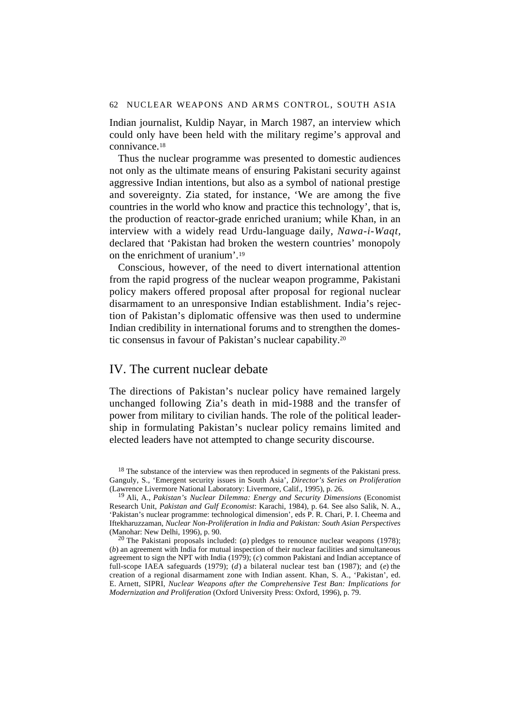Indian journalist, Kuldip Nayar, in March 1987, an interview which could only have been held with the military regime's approval and connivance.18

Thus the nuclear programme was presented to domestic audiences not only as the ultimate means of ensuring Pakistani security against aggressive Indian intentions, but also as a symbol of national prestige and sovereignty. Zia stated, for instance, 'We are among the five countries in the world who know and practice this technology', that is, the production of reactor-grade enriched uranium; while Khan, in an interview with a widely read Urdu-language daily, *Nawa-i-Waqt,* declared that 'Pakistan had broken the western countries' monopoly on the enrichment of uranium'.19

Conscious, however, of the need to divert international attention from the rapid progress of the nuclear weapon programme, Pakistani policy makers offered proposal after proposal for regional nuclear disarmament to an unresponsive Indian establishment. India's rejection of Pakistan's diplomatic offensive was then used to undermine Indian credibility in international forums and to strengthen the domestic consensus in favour of Pakistan's nuclear capability.20

# IV. The current nuclear debate

The directions of Pakistan's nuclear policy have remained largely unchanged following Zia's death in mid-1988 and the transfer of power from military to civilian hands. The role of the political leadership in formulating Pakistan's nuclear policy remains limited and elected leaders have not attempted to change security discourse.

<sup>&</sup>lt;sup>18</sup> The substance of the interview was then reproduced in segments of the Pakistani press. Ganguly, S., 'Emergent security issues in South Asia', *Director's Series on Proliferation* (Lawrence Livermore National Laboratory: Livermore, Calif., 1995), p. 26.

<sup>19</sup> Ali, A., *Pakistan's Nuclear Dilemma: Energy and Security Dimensions* (Economist Research Unit, *Pakistan and Gulf Economist*: Karachi, 1984), p. 64. See also Salik, N. A., 'Pakistan's nuclear programme: technological dimension', eds P. R. Chari, P. I. Cheema and Iftekharuzzaman, *Nuclear Non-Proliferation in India and Pakistan: South Asian Perspectives* (Manohar: New Delhi, 1996), p. 90.

<sup>20</sup> The Pakistani proposals included: (*a*) pledges to renounce nuclear weapons (1978); (*b*) an agreement with India for mutual inspection of their nuclear facilities and simultaneous agreement to sign the NPT with India (1979); (*c*) common Pakistani and Indian acceptance of full-scope IAEA safeguards (1979); (*d*) a bilateral nuclear test ban (1987); and (*e*) the creation of a regional disarmament zone with Indian assent. Khan, S. A., 'Pakistan', ed. E. Arnett, SIPRI, *Nuclear Weapons after the Comprehensive Test Ban: Implications for Modernization and Proliferation* (Oxford University Press: Oxford, 1996), p. 79.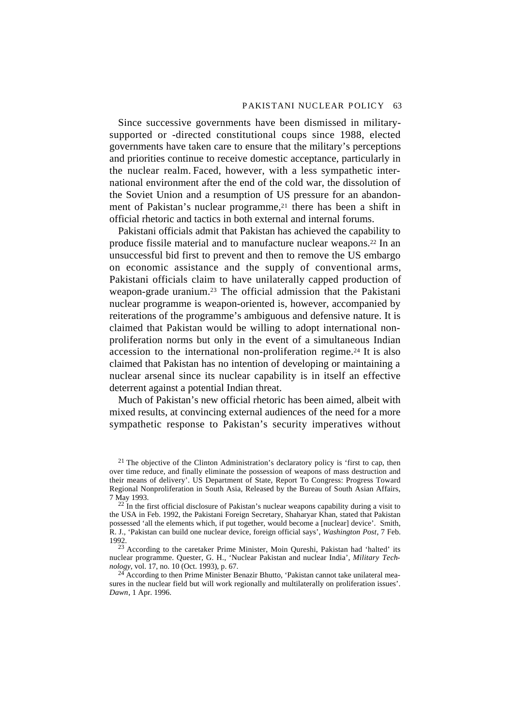Since successive governments have been dismissed in militarysupported or -directed constitutional coups since 1988, elected governments have taken care to ensure that the military's perceptions and priorities continue to receive domestic acceptance, particularly in the nuclear realm. Faced, however, with a less sympathetic international environment after the end of the cold war, the dissolution of the Soviet Union and a resumption of US pressure for an abandonment of Pakistan's nuclear programme,<sup>21</sup> there has been a shift in official rhetoric and tactics in both external and internal forums.

Pakistani officials admit that Pakistan has achieved the capability to produce fissile material and to manufacture nuclear weapons.22 In an unsuccessful bid first to prevent and then to remove the US embargo on economic assistance and the supply of conventional arms, Pakistani officials claim to have unilaterally capped production of weapon-grade uranium.23 The official admission that the Pakistani nuclear programme is weapon-oriented is, however, accompanied by reiterations of the programme's ambiguous and defensive nature. It is claimed that Pakistan would be willing to adopt international nonproliferation norms but only in the event of a simultaneous Indian accession to the international non-proliferation regime.24 It is also claimed that Pakistan has no intention of developing or maintaining a nuclear arsenal since its nuclear capability is in itself an effective deterrent against a potential Indian threat.

Much of Pakistan's new official rhetoric has been aimed, albeit with mixed results, at convincing external audiences of the need for a more sympathetic response to Pakistan's security imperatives without

<sup>21</sup> The objective of the Clinton Administration's declaratory policy is 'first to cap, then over time reduce, and finally eliminate the possession of weapons of mass destruction and their means of delivery'. US Department of State, Report To Congress: Progress Toward Regional Nonproliferation in South Asia, Released by the Bureau of South Asian Affairs, 7 May 1993.

 $^{22}$  In the first official disclosure of Pakistan's nuclear weapons capability during a visit to the USA in Feb. 1992, the Pakistani Foreign Secretary, Shaharyar Khan, stated that Pakistan possessed 'all the elements which, if put together, would become a [nuclear] device'. Smith, R. J., 'Pakistan can build one nuclear device, foreign official says', *Washington Post*, 7 Feb. 1992.

23 According to the caretaker Prime Minister, Moin Qureshi, Pakistan had 'halted' its nuclear programme. Quester, G. H., 'Nuclear Pakistan and nuclear India', *Military Technology*, vol. 17, no. 10 (Oct. 1993), p. 67.

 $^{24}$  According to then Prime Minister Benazir Bhutto, 'Pakistan cannot take unilateral measures in the nuclear field but will work regionally and multilaterally on proliferation issues'. *Dawn*, 1 Apr. 1996.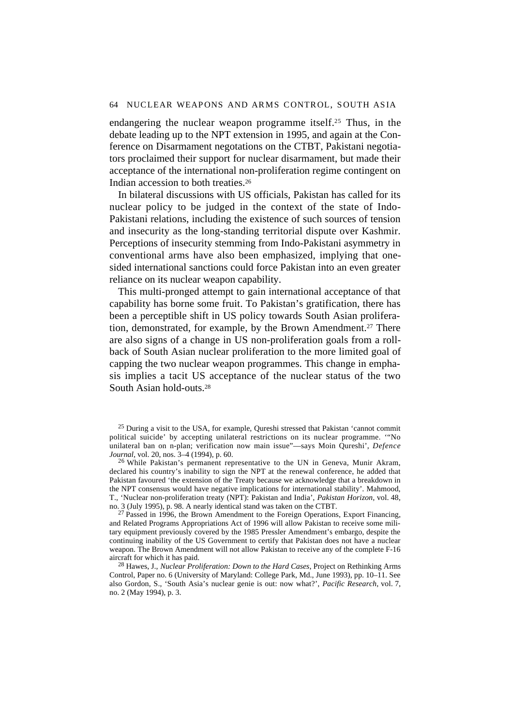endangering the nuclear weapon programme itself.25 Thus, in the debate leading up to the NPT extension in 1995, and again at the Conference on Disarmament negotations on the CTBT, Pakistani negotiators proclaimed their support for nuclear disarmament, but made their acceptance of the international non-proliferation regime contingent on Indian accession to both treaties.26

In bilateral discussions with US officials, Pakistan has called for its nuclear policy to be judged in the context of the state of Indo-Pakistani relations, including the existence of such sources of tension and insecurity as the long-standing territorial dispute over Kashmir. Perceptions of insecurity stemming from Indo-Pakistani asymmetry in conventional arms have also been emphasized, implying that onesided international sanctions could force Pakistan into an even greater reliance on its nuclear weapon capability.

This multi-pronged attempt to gain international acceptance of that capability has borne some fruit. To Pakistan's gratification, there has been a perceptible shift in US policy towards South Asian proliferation, demonstrated, for example, by the Brown Amendment.<sup>27</sup> There are also signs of a change in US non-proliferation goals from a rollback of South Asian nuclear proliferation to the more limited goal of capping the two nuclear weapon programmes. This change in emphasis implies a tacit US acceptance of the nuclear status of the two South Asian hold-outs.28

 $25$  During a visit to the USA, for example, Oureshi stressed that Pakistan 'cannot commit political suicide' by accepting unilateral restrictions on its nuclear programme. '"No unilateral ban on n-plan; verification now main issue"—says Moin Qureshi', *Defence Journal*, vol. 20, nos. 3–4 (1994), p. 60.

<sup>26</sup> While Pakistan's permanent representative to the UN in Geneva, Munir Akram, declared his country's inability to sign the NPT at the renewal conference, he added that Pakistan favoured 'the extension of the Treaty because we acknowledge that a breakdown in the NPT consensus would have negative implications for international stability'. Mahmood, T., 'Nuclear non-proliferation treaty (NPT): Pakistan and India', *Pakistan Horizon,* vol. 48, no. 3 (July 1995), p. 98. A nearly identical stand was taken on the CTBT.

 $27$  Passed in 1996, the Brown Amendment to the Foreign Operations, Export Financing, and Related Programs Appropriations Act of 1996 will allow Pakistan to receive some military equipment previously covered by the 1985 Pressler Amendment's embargo, despite the continuing inability of the US Government to certify that Pakistan does not have a nuclear weapon. The Brown Amendment will not allow Pakistan to receive any of the complete F-16 aircraft for which it has paid.

28 Hawes, J., *Nuclear Proliferation: Down to the Hard Cases*, Project on Rethinking Arms Control, Paper no. 6 (University of Maryland: College Park, Md., June 1993), pp. 10–11. See also Gordon, S., 'South Asia's nuclear genie is out: now what?', *Pacific Research*, vol. 7, no. 2 (May 1994), p. 3.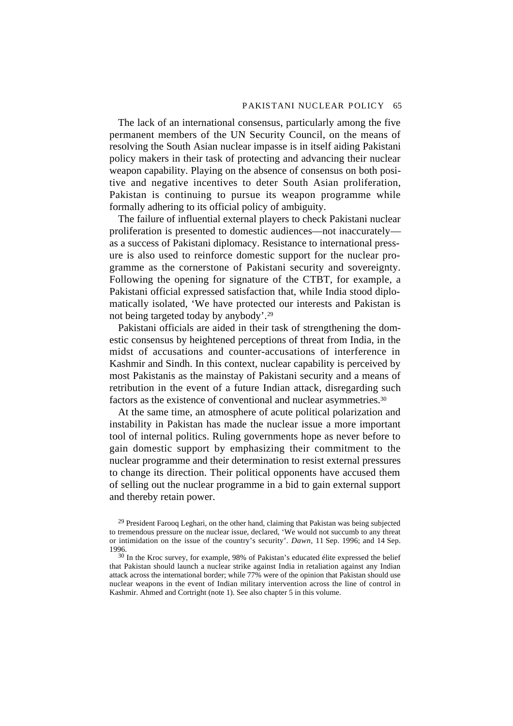The lack of an international consensus, particularly among the five permanent members of the UN Security Council, on the means of resolving the South Asian nuclear impasse is in itself aiding Pakistani policy makers in their task of protecting and advancing their nuclear weapon capability. Playing on the absence of consensus on both positive and negative incentives to deter South Asian proliferation, Pakistan is continuing to pursue its weapon programme while formally adhering to its official policy of ambiguity.

The failure of influential external players to check Pakistani nuclear proliferation is presented to domestic audiences—not inaccurately as a success of Pakistani diplomacy. Resistance to international pressure is also used to reinforce domestic support for the nuclear programme as the cornerstone of Pakistani security and sovereignty. Following the opening for signature of the CTBT, for example, a Pakistani official expressed satisfaction that, while India stood diplomatically isolated, 'We have protected our interests and Pakistan is not being targeted today by anybody'.29

Pakistani officials are aided in their task of strengthening the domestic consensus by heightened perceptions of threat from India, in the midst of accusations and counter-accusations of interference in Kashmir and Sindh. In this context, nuclear capability is perceived by most Pakistanis as the mainstay of Pakistani security and a means of retribution in the event of a future Indian attack, disregarding such factors as the existence of conventional and nuclear asymmetries.30

At the same time, an atmosphere of acute political polarization and instability in Pakistan has made the nuclear issue a more important tool of internal politics. Ruling governments hope as never before to gain domestic support by emphasizing their commitment to the nuclear programme and their determination to resist external pressures to change its direction. Their political opponents have accused them of selling out the nuclear programme in a bid to gain external support and thereby retain power.

 $^{29}$  President Farooq Leghari, on the other hand, claiming that Pakistan was being subjected to tremendous pressure on the nuclear issue, declared, 'We would not succumb to any threat or intimidation on the issue of the country's security'. *Dawn,* 11 Sep. 1996; and 14 Sep. 1996.

 $30$  In the Kroc survey, for example, 98% of Pakistan's educated élite expressed the belief that Pakistan should launch a nuclear strike against India in retaliation against any Indian attack across the international border; while 77% were of the opinion that Pakistan should use nuclear weapons in the event of Indian military intervention across the line of control in Kashmir. Ahmed and Cortright (note 1). See also chapter 5 in this volume.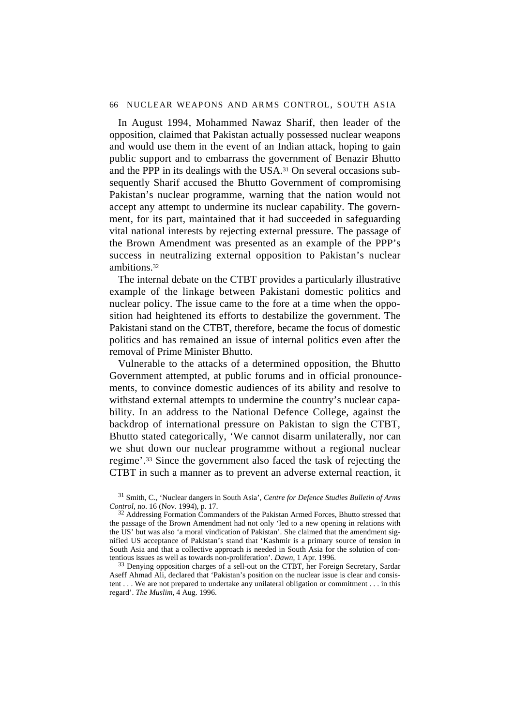#### 66 NUCLEAR WEAPONS AND ARMS CONTROL, SOUTH ASIA

In August 1994, Mohammed Nawaz Sharif, then leader of the opposition, claimed that Pakistan actually possessed nuclear weapons and would use them in the event of an Indian attack, hoping to gain public support and to embarrass the government of Benazir Bhutto and the PPP in its dealings with the USA.31 On several occasions subsequently Sharif accused the Bhutto Government of compromising Pakistan's nuclear programme, warning that the nation would not accept any attempt to undermine its nuclear capability. The government, for its part, maintained that it had succeeded in safeguarding vital national interests by rejecting external pressure. The passage of the Brown Amendment was presented as an example of the PPP's success in neutralizing external opposition to Pakistan's nuclear ambitions.32

The internal debate on the CTBT provides a particularly illustrative example of the linkage between Pakistani domestic politics and nuclear policy. The issue came to the fore at a time when the opposition had heightened its efforts to destabilize the government. The Pakistani stand on the CTBT, therefore, became the focus of domestic politics and has remained an issue of internal politics even after the removal of Prime Minister Bhutto.

Vulnerable to the attacks of a determined opposition, the Bhutto Government attempted, at public forums and in official pronouncements, to convince domestic audiences of its ability and resolve to withstand external attempts to undermine the country's nuclear capability. In an address to the National Defence College, against the backdrop of international pressure on Pakistan to sign the CTBT, Bhutto stated categorically, 'We cannot disarm unilaterally, nor can we shut down our nuclear programme without a regional nuclear regime'.33 Since the government also faced the task of rejecting the CTBT in such a manner as to prevent an adverse external reaction, it

31 Smith, C., 'Nuclear dangers in South Asia', *Centre for Defence Studies Bulletin of Arms Control,* no. 16 (Nov. 1994), p. 17.

<sup>32</sup> Addressing Formation Commanders of the Pakistan Armed Forces, Bhutto stressed that the passage of the Brown Amendment had not only 'led to a new opening in relations with the US' but was also 'a moral vindication of Pakistan'. She claimed that the amendment signified US acceptance of Pakistan's stand that 'Kashmir is a primary source of tension in South Asia and that a collective approach is needed in South Asia for the solution of contentious issues as well as towards non-proliferation'. *Dawn,* 1 Apr. 1996.

<sup>33</sup> Denying opposition charges of a sell-out on the CTBT, her Foreign Secretary, Sardar Aseff Ahmad Ali, declared that 'Pakistan's position on the nuclear issue is clear and consistent . . . We are not prepared to undertake any unilateral obligation or commitment . . . in this regard'. *The Muslim*, 4 Aug. 1996.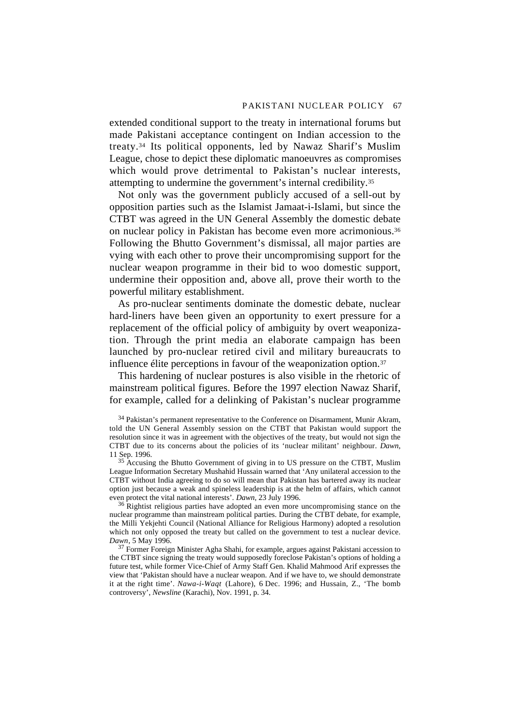extended conditional support to the treaty in international forums but made Pakistani acceptance contingent on Indian accession to the treaty.34 Its political opponents, led by Nawaz Sharif's Muslim League, chose to depict these diplomatic manoeuvres as compromises which would prove detrimental to Pakistan's nuclear interests, attempting to undermine the government's internal credibility.35

Not only was the government publicly accused of a sell-out by opposition parties such as the Islamist Jamaat-i-Islami, but since the CTBT was agreed in the UN General Assembly the domestic debate on nuclear policy in Pakistan has become even more acrimonious.36 Following the Bhutto Government's dismissal, all major parties are vying with each other to prove their uncompromising support for the nuclear weapon programme in their bid to woo domestic support, undermine their opposition and, above all, prove their worth to the powerful military establishment.

As pro-nuclear sentiments dominate the domestic debate, nuclear hard-liners have been given an opportunity to exert pressure for a replacement of the official policy of ambiguity by overt weaponization. Through the print media an elaborate campaign has been launched by pro-nuclear retired civil and military bureaucrats to influence élite perceptions in favour of the weaponization option.37

This hardening of nuclear postures is also visible in the rhetoric of mainstream political figures. Before the 1997 election Nawaz Sharif, for example, called for a delinking of Pakistan's nuclear programme

<sup>34</sup> Pakistan's permanent representative to the Conference on Disarmament, Munir Akram, told the UN General Assembly session on the CTBT that Pakistan would support the resolution since it was in agreement with the objectives of the treaty, but would not sign the CTBT due to its concerns about the policies of its 'nuclear militant' neighbour. *Dawn*, 11 Sep. 1996.

<sup>35</sup> Accusing the Bhutto Government of giving in to US pressure on the CTBT, Muslim League Information Secretary Mushahid Hussain warned that 'Any unilateral accession to the CTBT without India agreeing to do so will mean that Pakistan has bartered away its nuclear option just because a weak and spineless leadership is at the helm of affairs, which cannot even protect the vital national interests'. *Dawn,* 23 July 1996.

 $36$  Rightist religious parties have adopted an even more uncompromising stance on the nuclear programme than mainstream political parties. During the CTBT debate, for example, the Milli Yekjehti Council (National Alliance for Religious Harmony) adopted a resolution which not only opposed the treaty but called on the government to test a nuclear device. *Dawn*, 5 May 1996.

 $37$  Former Foreign Minister Agha Shahi, for example, argues against Pakistani accession to the CTBT since signing the treaty would supposedly foreclose Pakistan's options of holding a future test, while former Vice-Chief of Army Staff Gen. Khalid Mahmood Arif expresses the view that 'Pakistan should have a nuclear weapon. And if we have to, we should demonstrate it at the right time'. *Nawa-i-Waqt* (Lahore), 6 Dec. 1996; and Hussain, Z., 'The bomb controversy', *Newsline* (Karachi), Nov. 1991, p. 34.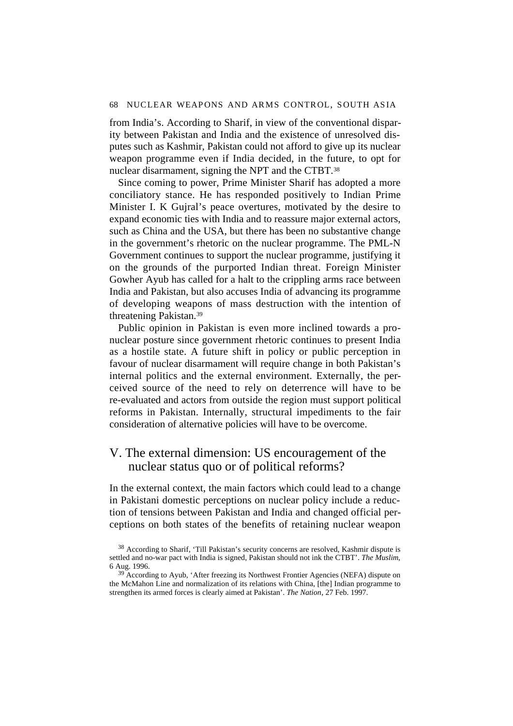#### 68 NUCLEAR WEAPONS AND ARMS CONTROL, SOUTH ASIA

from India's. According to Sharif, in view of the conventional disparity between Pakistan and India and the existence of unresolved disputes such as Kashmir, Pakistan could not afford to give up its nuclear weapon programme even if India decided, in the future, to opt for nuclear disarmament, signing the NPT and the CTBT.38

Since coming to power, Prime Minister Sharif has adopted a more conciliatory stance. He has responded positively to Indian Prime Minister I. K Gujral's peace overtures, motivated by the desire to expand economic ties with India and to reassure major external actors, such as China and the USA, but there has been no substantive change in the government's rhetoric on the nuclear programme. The PML-N Government continues to support the nuclear programme, justifying it on the grounds of the purported Indian threat. Foreign Minister Gowher Ayub has called for a halt to the crippling arms race between India and Pakistan, but also accuses India of advancing its programme of developing weapons of mass destruction with the intention of threatening Pakistan.39

Public opinion in Pakistan is even more inclined towards a pronuclear posture since government rhetoric continues to present India as a hostile state. A future shift in policy or public perception in favour of nuclear disarmament will require change in both Pakistan's internal politics and the external environment. Externally, the perceived source of the need to rely on deterrence will have to be re-evaluated and actors from outside the region must support political reforms in Pakistan. Internally, structural impediments to the fair consideration of alternative policies will have to be overcome.

## V. The external dimension: US encouragement of the nuclear status quo or of political reforms?

In the external context, the main factors which could lead to a change in Pakistani domestic perceptions on nuclear policy include a reduction of tensions between Pakistan and India and changed official perceptions on both states of the benefits of retaining nuclear weapon

<sup>38</sup> According to Sharif, 'Till Pakistan's security concerns are resolved, Kashmir dispute is settled and no-war pact with India is signed, Pakistan should not ink the CTBT'. *The Muslim*, 6 Aug. 1996.

 $39$  According to Ayub, 'After freezing its Northwest Frontier Agencies (NEFA) dispute on the McMahon Line and normalization of its relations with China, [the] Indian programme to strengthen its armed forces is clearly aimed at Pakistan'. *The Nation*, 27 Feb. 1997.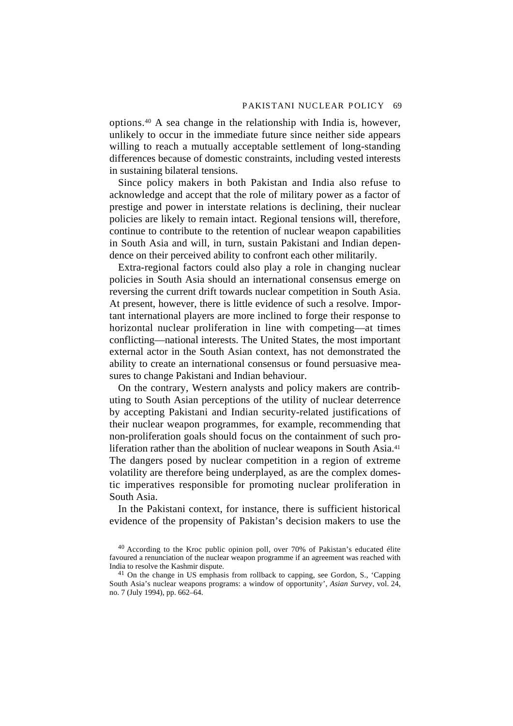options.40 A sea change in the relationship with India is, however, unlikely to occur in the immediate future since neither side appears willing to reach a mutually acceptable settlement of long-standing differences because of domestic constraints, including vested interests in sustaining bilateral tensions.

Since policy makers in both Pakistan and India also refuse to acknowledge and accept that the role of military power as a factor of prestige and power in interstate relations is declining, their nuclear policies are likely to remain intact. Regional tensions will, therefore, continue to contribute to the retention of nuclear weapon capabilities in South Asia and will, in turn, sustain Pakistani and Indian dependence on their perceived ability to confront each other militarily.

Extra-regional factors could also play a role in changing nuclear policies in South Asia should an international consensus emerge on reversing the current drift towards nuclear competition in South Asia. At present, however, there is little evidence of such a resolve. Important international players are more inclined to forge their response to horizontal nuclear proliferation in line with competing—at times conflicting—national interests. The United States, the most important external actor in the South Asian context, has not demonstrated the ability to create an international consensus or found persuasive measures to change Pakistani and Indian behaviour.

On the contrary, Western analysts and policy makers are contributing to South Asian perceptions of the utility of nuclear deterrence by accepting Pakistani and Indian security-related justifications of their nuclear weapon programmes, for example, recommending that non-proliferation goals should focus on the containment of such proliferation rather than the abolition of nuclear weapons in South Asia.<sup>41</sup> The dangers posed by nuclear competition in a region of extreme volatility are therefore being underplayed, as are the complex domestic imperatives responsible for promoting nuclear proliferation in South Asia.

In the Pakistani context, for instance, there is sufficient historical evidence of the propensity of Pakistan's decision makers to use the

 $40$  According to the Kroc public opinion poll, over 70% of Pakistan's educated élite favoured a renunciation of the nuclear weapon programme if an agreement was reached with India to resolve the Kashmir dispute.

<sup>&</sup>lt;sup>41</sup> On the change in US emphasis from rollback to capping, see Gordon, S., 'Capping South Asia's nuclear weapons programs: a window of opportunity', *Asian Survey*, vol. 24, no. 7 (July 1994), pp. 662–64.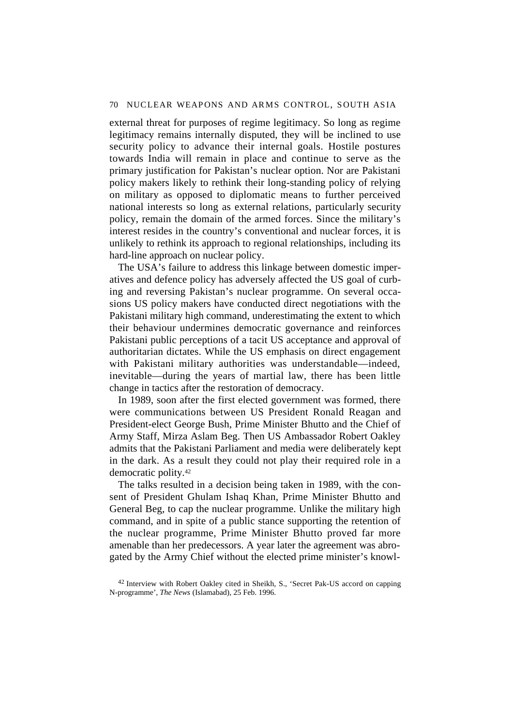external threat for purposes of regime legitimacy. So long as regime legitimacy remains internally disputed, they will be inclined to use security policy to advance their internal goals. Hostile postures towards India will remain in place and continue to serve as the primary justification for Pakistan's nuclear option. Nor are Pakistani policy makers likely to rethink their long-standing policy of relying on military as opposed to diplomatic means to further perceived national interests so long as external relations, particularly security policy, remain the domain of the armed forces. Since the military's interest resides in the country's conventional and nuclear forces, it is unlikely to rethink its approach to regional relationships, including its hard-line approach on nuclear policy.

The USA's failure to address this linkage between domestic imperatives and defence policy has adversely affected the US goal of curbing and reversing Pakistan's nuclear programme. On several occasions US policy makers have conducted direct negotiations with the Pakistani military high command, underestimating the extent to which their behaviour undermines democratic governance and reinforces Pakistani public perceptions of a tacit US acceptance and approval of authoritarian dictates. While the US emphasis on direct engagement with Pakistani military authorities was understandable—indeed, inevitable—during the years of martial law, there has been little change in tactics after the restoration of democracy.

In 1989, soon after the first elected government was formed, there were communications between US President Ronald Reagan and President-elect George Bush, Prime Minister Bhutto and the Chief of Army Staff, Mirza Aslam Beg. Then US Ambassador Robert Oakley admits that the Pakistani Parliament and media were deliberately kept in the dark. As a result they could not play their required role in a democratic polity.42

The talks resulted in a decision being taken in 1989, with the consent of President Ghulam Ishaq Khan, Prime Minister Bhutto and General Beg, to cap the nuclear programme. Unlike the military high command, and in spite of a public stance supporting the retention of the nuclear programme, Prime Minister Bhutto proved far more amenable than her predecessors. A year later the agreement was abrogated by the Army Chief without the elected prime minister's knowl-

<sup>&</sup>lt;sup>42</sup> Interview with Robert Oakley cited in Sheikh, S., 'Secret Pak-US accord on capping N-programme', *The News* (Islamabad), 25 Feb. 1996.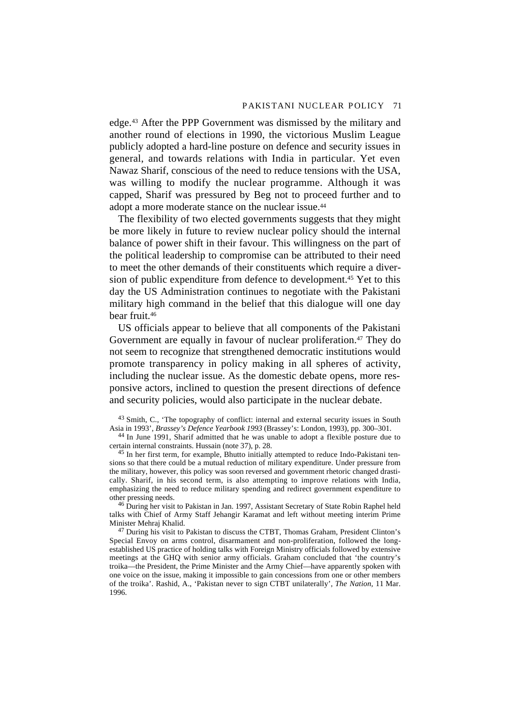edge.43 After the PPP Government was dismissed by the military and another round of elections in 1990, the victorious Muslim League publicly adopted a hard-line posture on defence and security issues in general, and towards relations with India in particular. Yet even Nawaz Sharif, conscious of the need to reduce tensions with the USA, was willing to modify the nuclear programme. Although it was capped, Sharif was pressured by Beg not to proceed further and to adopt a more moderate stance on the nuclear issue.<sup>44</sup>

The flexibility of two elected governments suggests that they might be more likely in future to review nuclear policy should the internal balance of power shift in their favour. This willingness on the part of the political leadership to compromise can be attributed to their need to meet the other demands of their constituents which require a diversion of public expenditure from defence to development.45 Yet to this day the US Administration continues to negotiate with the Pakistani military high command in the belief that this dialogue will one day bear fruit.46

US officials appear to believe that all components of the Pakistani Government are equally in favour of nuclear proliferation.47 They do not seem to recognize that strengthened democratic institutions would promote transparency in policy making in all spheres of activity, including the nuclear issue. As the domestic debate opens, more responsive actors, inclined to question the present directions of defence and security policies, would also participate in the nuclear debate.

<sup>43</sup> Smith, C., 'The topography of conflict: internal and external security issues in South Asia in 1993', *Brassey's Defence Yearbook 1993* (Brassey's: London, 1993), pp. 300–301.

45 In her first term, for example, Bhutto initially attempted to reduce Indo-Pakistani tensions so that there could be a mutual reduction of military expenditure. Under pressure from the military, however, this policy was soon reversed and government rhetoric changed drastically. Sharif, in his second term, is also attempting to improve relations with India, emphasizing the need to reduce military spending and redirect government expenditure to other pressing needs.

46 During her visit to Pakistan in Jan. 1997, Assistant Secretary of State Robin Raphel held talks with Chief of Army Staff Jehangir Karamat and left without meeting interim Prime Minister Mehraj Khalid.

<sup>47</sup> During his visit to Pakistan to discuss the CTBT, Thomas Graham, President Clinton's Special Envoy on arms control, disarmament and non-proliferation, followed the longestablished US practice of holding talks with Foreign Ministry officials followed by extensive meetings at the GHQ with senior army officials. Graham concluded that 'the country's troika—the President, the Prime Minister and the Army Chief—have apparently spoken with one voice on the issue, making it impossible to gain concessions from one or other members of the troika'. Rashid, A., 'Pakistan never to sign CTBT unilaterally', *The Nation,* 11 Mar. 1996.

<sup>44</sup> In June 1991, Sharif admitted that he was unable to adopt a flexible posture due to certain internal constraints. Hussain (note 37), p. 28.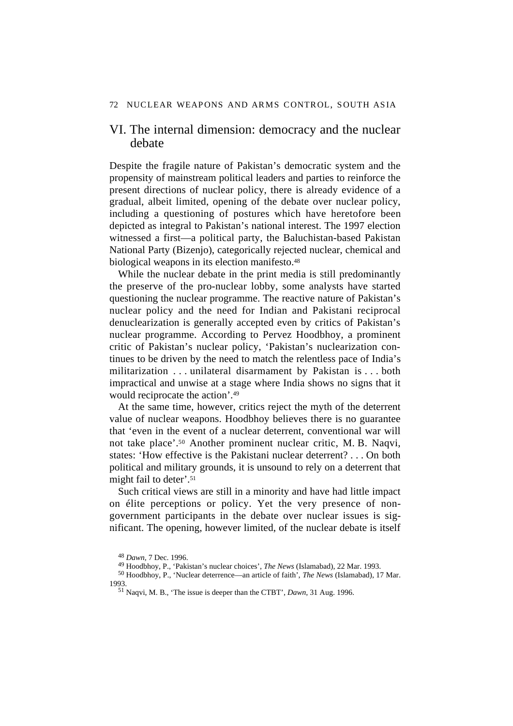## VI. The internal dimension: democracy and the nuclear debate

Despite the fragile nature of Pakistan's democratic system and the propensity of mainstream political leaders and parties to reinforce the present directions of nuclear policy, there is already evidence of a gradual, albeit limited, opening of the debate over nuclear policy, including a questioning of postures which have heretofore been depicted as integral to Pakistan's national interest. The 1997 election witnessed a first—a political party, the Baluchistan-based Pakistan National Party (Bizenjo), categorically rejected nuclear, chemical and biological weapons in its election manifesto.<sup>48</sup>

While the nuclear debate in the print media is still predominantly the preserve of the pro-nuclear lobby, some analysts have started questioning the nuclear programme. The reactive nature of Pakistan's nuclear policy and the need for Indian and Pakistani reciprocal denuclearization is generally accepted even by critics of Pakistan's nuclear programme. According to Pervez Hoodbhoy, a prominent critic of Pakistan's nuclear policy, 'Pakistan's nuclearization continues to be driven by the need to match the relentless pace of India's militarization . . . unilateral disarmament by Pakistan is . . . both impractical and unwise at a stage where India shows no signs that it would reciprocate the action'.49

At the same time, however, critics reject the myth of the deterrent value of nuclear weapons. Hoodbhoy believes there is no guarantee that 'even in the event of a nuclear deterrent, conventional war will not take place'.50 Another prominent nuclear critic, M. B. Naqvi, states: 'How effective is the Pakistani nuclear deterrent? . . . On both political and military grounds, it is unsound to rely on a deterrent that might fail to deter'.51

Such critical views are still in a minority and have had little impact on élite perceptions or policy. Yet the very presence of nongovernment participants in the debate over nuclear issues is significant. The opening, however limited, of the nuclear debate is itself

<sup>48</sup> *Dawn,* 7 Dec. 1996.

<sup>49</sup> Hoodbhoy, P., 'Pakistan's nuclear choices', *The News* (Islamabad), 22 Mar. 1993.

<sup>50</sup> Hoodbhoy, P., 'Nuclear deterrence—an article of faith', *The News* (Islamabad), 17 Mar. 1993.

<sup>51</sup> Naqvi, M. B., 'The issue is deeper than the CTBT', *Dawn*, 31 Aug. 1996.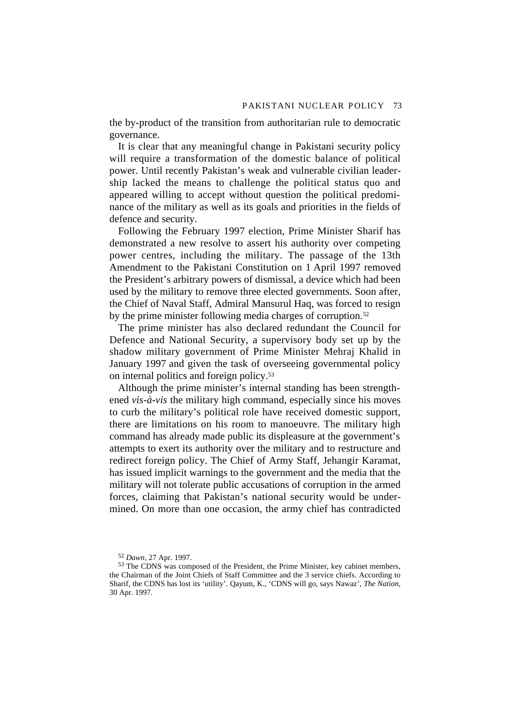the by-product of the transition from authoritarian rule to democratic governance.

It is clear that any meaningful change in Pakistani security policy will require a transformation of the domestic balance of political power. Until recently Pakistan's weak and vulnerable civilian leadership lacked the means to challenge the political status quo and appeared willing to accept without question the political predominance of the military as well as its goals and priorities in the fields of defence and security.

Following the February 1997 election, Prime Minister Sharif has demonstrated a new resolve to assert his authority over competing power centres, including the military. The passage of the 13th Amendment to the Pakistani Constitution on 1 April 1997 removed the President's arbitrary powers of dismissal, a device which had been used by the military to remove three elected governments. Soon after, the Chief of Naval Staff, Admiral Mansurul Haq, was forced to resign by the prime minister following media charges of corruption.<sup>52</sup>

The prime minister has also declared redundant the Council for Defence and National Security, a supervisory body set up by the shadow military government of Prime Minister Mehraj Khalid in January 1997 and given the task of overseeing governmental policy on internal politics and foreign policy.53

Although the prime minister's internal standing has been strengthened *vis-à-vis* the military high command, especially since his moves to curb the military's political role have received domestic support, there are limitations on his room to manoeuvre. The military high command has already made public its displeasure at the government's attempts to exert its authority over the military and to restructure and redirect foreign policy. The Chief of Army Staff, Jehangir Karamat, has issued implicit warnings to the government and the media that the military will not tolerate public accusations of corruption in the armed forces, claiming that Pakistan's national security would be undermined. On more than one occasion, the army chief has contradicted

<sup>52</sup> *Dawn*, 27 Apr. 1997.

<sup>53</sup> The CDNS was composed of the President, the Prime Minister, key cabinet members, the Chairman of the Joint Chiefs of Staff Committee and the 3 service chiefs. According to Sharif, the CDNS has lost its 'utility'. Qayum, K., 'CDNS will go, says Nawaz', *The Nation*, 30 Apr. 1997.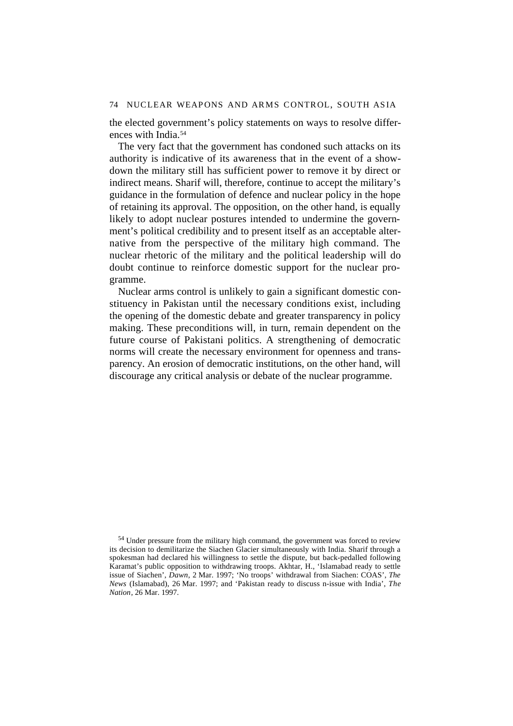74 NUCLEAR WEAPONS AND ARMS CONTROL, SOUTH ASIA

the elected government's policy statements on ways to resolve differences with India.54

The very fact that the government has condoned such attacks on its authority is indicative of its awareness that in the event of a showdown the military still has sufficient power to remove it by direct or indirect means. Sharif will, therefore, continue to accept the military's guidance in the formulation of defence and nuclear policy in the hope of retaining its approval. The opposition, on the other hand, is equally likely to adopt nuclear postures intended to undermine the government's political credibility and to present itself as an acceptable alternative from the perspective of the military high command. The nuclear rhetoric of the military and the political leadership will do doubt continue to reinforce domestic support for the nuclear programme.

Nuclear arms control is unlikely to gain a significant domestic constituency in Pakistan until the necessary conditions exist, including the opening of the domestic debate and greater transparency in policy making. These preconditions will, in turn, remain dependent on the future course of Pakistani politics. A strengthening of democratic norms will create the necessary environment for openness and transparency. An erosion of democratic institutions, on the other hand, will discourage any critical analysis or debate of the nuclear programme.

<sup>&</sup>lt;sup>54</sup> Under pressure from the military high command, the government was forced to review its decision to demilitarize the Siachen Glacier simultaneously with India. Sharif through a spokesman had declared his willingness to settle the dispute, but back-pedalled following Karamat's public opposition to withdrawing troops. Akhtar, H., 'Islamabad ready to settle issue of Siachen', *Dawn*, 2 Mar. 1997; 'No troops' withdrawal from Siachen: COAS', *The News* (Islamabad), 26 Mar. 1997; and 'Pakistan ready to discuss n-issue with India', *The Nation*, 26 Mar. 1997.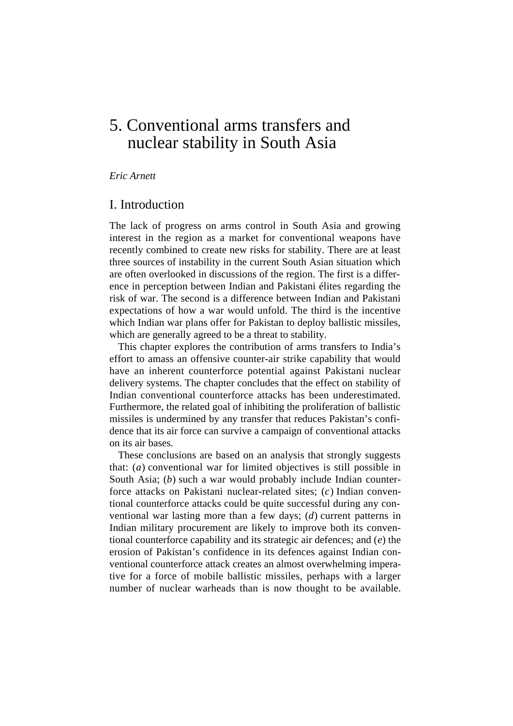# 5. Conventional arms transfers and nuclear stability in South Asia

#### *Eric Arnett*

## I. Introduction

The lack of progress on arms control in South Asia and growing interest in the region as a market for conventional weapons have recently combined to create new risks for stability. There are at least three sources of instability in the current South Asian situation which are often overlooked in discussions of the region. The first is a difference in perception between Indian and Pakistani élites regarding the risk of war. The second is a difference between Indian and Pakistani expectations of how a war would unfold. The third is the incentive which Indian war plans offer for Pakistan to deploy ballistic missiles, which are generally agreed to be a threat to stability.

This chapter explores the contribution of arms transfers to India's effort to amass an offensive counter-air strike capability that would have an inherent counterforce potential against Pakistani nuclear delivery systems. The chapter concludes that the effect on stability of Indian conventional counterforce attacks has been underestimated. Furthermore, the related goal of inhibiting the proliferation of ballistic missiles is undermined by any transfer that reduces Pakistan's confidence that its air force can survive a campaign of conventional attacks on its air bases.

These conclusions are based on an analysis that strongly suggests that: (*a*) conventional war for limited objectives is still possible in South Asia; (*b*) such a war would probably include Indian counterforce attacks on Pakistani nuclear-related sites; (*c*) Indian conventional counterforce attacks could be quite successful during any conventional war lasting more than a few days; (*d*) current patterns in Indian military procurement are likely to improve both its conventional counterforce capability and its strategic air defences; and (*e*) the erosion of Pakistan's confidence in its defences against Indian conventional counterforce attack creates an almost overwhelming imperative for a force of mobile ballistic missiles, perhaps with a larger number of nuclear warheads than is now thought to be available.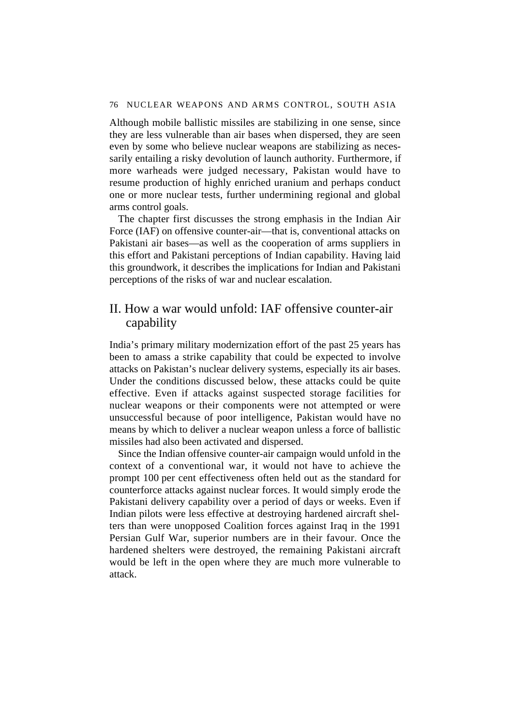Although mobile ballistic missiles are stabilizing in one sense, since they are less vulnerable than air bases when dispersed, they are seen even by some who believe nuclear weapons are stabilizing as necessarily entailing a risky devolution of launch authority. Furthermore, if more warheads were judged necessary, Pakistan would have to resume production of highly enriched uranium and perhaps conduct one or more nuclear tests, further undermining regional and global arms control goals.

The chapter first discusses the strong emphasis in the Indian Air Force (IAF) on offensive counter-air—that is, conventional attacks on Pakistani air bases—as well as the cooperation of arms suppliers in this effort and Pakistani perceptions of Indian capability. Having laid this groundwork, it describes the implications for Indian and Pakistani perceptions of the risks of war and nuclear escalation.

## II. How a war would unfold: IAF offensive counter-air capability

India's primary military modernization effort of the past 25 years has been to amass a strike capability that could be expected to involve attacks on Pakistan's nuclear delivery systems, especially its air bases. Under the conditions discussed below, these attacks could be quite effective. Even if attacks against suspected storage facilities for nuclear weapons or their components were not attempted or were unsuccessful because of poor intelligence, Pakistan would have no means by which to deliver a nuclear weapon unless a force of ballistic missiles had also been activated and dispersed.

Since the Indian offensive counter-air campaign would unfold in the context of a conventional war, it would not have to achieve the prompt 100 per cent effectiveness often held out as the standard for counterforce attacks against nuclear forces. It would simply erode the Pakistani delivery capability over a period of days or weeks. Even if Indian pilots were less effective at destroying hardened aircraft shelters than were unopposed Coalition forces against Iraq in the 1991 Persian Gulf War, superior numbers are in their favour. Once the hardened shelters were destroyed, the remaining Pakistani aircraft would be left in the open where they are much more vulnerable to attack.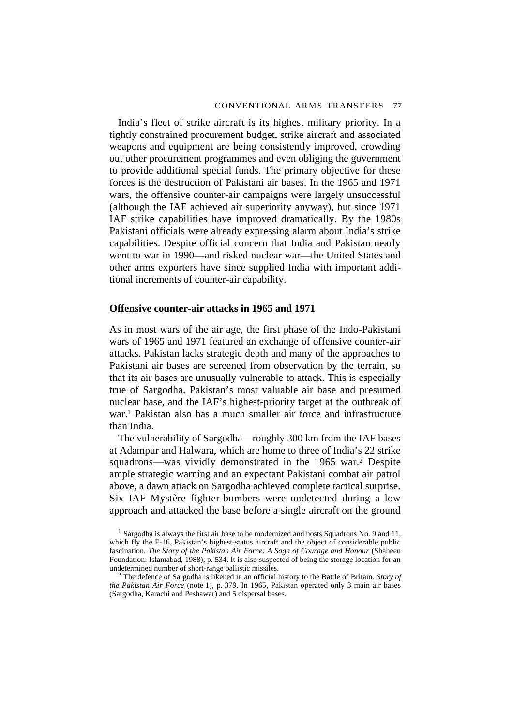India's fleet of strike aircraft is its highest military priority. In a tightly constrained procurement budget, strike aircraft and associated weapons and equipment are being consistently improved, crowding out other procurement programmes and even obliging the government to provide additional special funds. The primary objective for these forces is the destruction of Pakistani air bases. In the 1965 and 1971 wars, the offensive counter-air campaigns were largely unsuccessful (although the IAF achieved air superiority anyway), but since 1971 IAF strike capabilities have improved dramatically. By the 1980s Pakistani officials were already expressing alarm about India's strike capabilities. Despite official concern that India and Pakistan nearly went to war in 1990—and risked nuclear war—the United States and other arms exporters have since supplied India with important additional increments of counter-air capability.

#### **Offensive counter-air attacks in 1965 and 1971**

As in most wars of the air age, the first phase of the Indo-Pakistani wars of 1965 and 1971 featured an exchange of offensive counter-air attacks. Pakistan lacks strategic depth and many of the approaches to Pakistani air bases are screened from observation by the terrain, so that its air bases are unusually vulnerable to attack. This is especially true of Sargodha, Pakistan's most valuable air base and presumed nuclear base, and the IAF's highest-priority target at the outbreak of war.1 Pakistan also has a much smaller air force and infrastructure than India.

The vulnerability of Sargodha—roughly 300 km from the IAF bases at Adampur and Halwara, which are home to three of India's 22 strike squadrons—was vividly demonstrated in the 1965 war.2 Despite ample strategic warning and an expectant Pakistani combat air patrol above, a dawn attack on Sargodha achieved complete tactical surprise. Six IAF Mystère fighter-bombers were undetected during a low approach and attacked the base before a single aircraft on the ground

 $<sup>1</sup>$  Sargodha is always the first air base to be modernized and hosts Squadrons No. 9 and 11,</sup> which fly the F-16, Pakistan's highest-status aircraft and the object of considerable public fascination. *The Story of the Pakistan Air Force: A Saga of Courage and Honour* (Shaheen Foundation: Islamabad, 1988), p. 534. It is also suspected of being the storage location for an undetermined number of short-range ballistic missiles.

<sup>2</sup> The defence of Sargodha is likened in an official history to the Battle of Britain. *Story of the Pakistan Air Force* (note 1), p. 379. In 1965, Pakistan operated only 3 main air bases (Sargodha, Karachi and Peshawar) and 5 dispersal bases.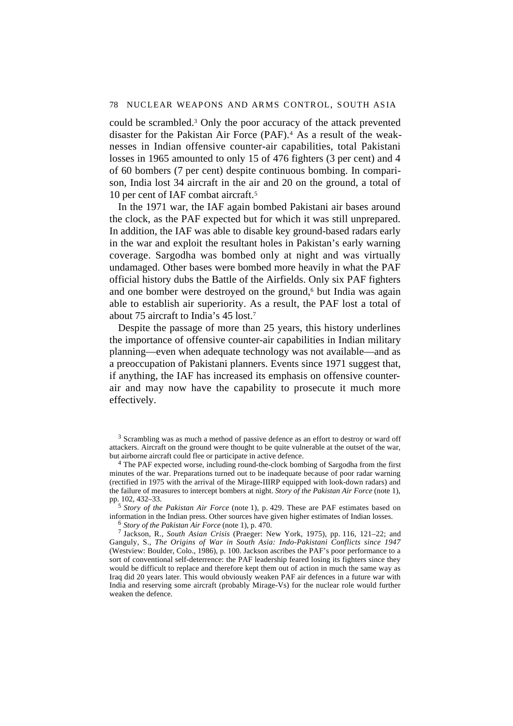could be scrambled.3 Only the poor accuracy of the attack prevented disaster for the Pakistan Air Force (PAF).4 As a result of the weaknesses in Indian offensive counter-air capabilities, total Pakistani losses in 1965 amounted to only 15 of 476 fighters (3 per cent) and 4 of 60 bombers (7 per cent) despite continuous bombing. In comparison, India lost 34 aircraft in the air and 20 on the ground, a total of 10 per cent of IAF combat aircraft.5

In the 1971 war, the IAF again bombed Pakistani air bases around the clock, as the PAF expected but for which it was still unprepared. In addition, the IAF was able to disable key ground-based radars early in the war and exploit the resultant holes in Pakistan's early warning coverage. Sargodha was bombed only at night and was virtually undamaged. Other bases were bombed more heavily in what the PAF official history dubs the Battle of the Airfields. Only six PAF fighters and one bomber were destroyed on the ground, $6$  but India was again able to establish air superiority. As a result, the PAF lost a total of about 75 aircraft to India's 45 lost.7

Despite the passage of more than 25 years, this history underlines the importance of offensive counter-air capabilities in Indian military planning—even when adequate technology was not available—and as a preoccupation of Pakistani planners. Events since 1971 suggest that, if anything, the IAF has increased its emphasis on offensive counterair and may now have the capability to prosecute it much more effectively.

<sup>3</sup> Scrambling was as much a method of passive defence as an effort to destroy or ward off attackers. Aircraft on the ground were thought to be quite vulnerable at the outset of the war, but airborne aircraft could flee or participate in active defence.

<sup>4</sup> The PAF expected worse, including round-the-clock bombing of Sargodha from the first minutes of the war. Preparations turned out to be inadequate because of poor radar warning (rectified in 1975 with the arrival of the Mirage-IIIRP equipped with look-down radars) and the failure of measures to intercept bombers at night. *Story of the Pakistan Air Force* (note 1), pp. 102, 432–33.

<sup>5</sup> *Story of the Pakistan Air Force* (note 1), p. 429. These are PAF estimates based on information in the Indian press. Other sources have given higher estimates of Indian losses.

<sup>6</sup> *Story of the Pakistan Air Force* (note 1), p. 470.

7 Jackson, R., *South Asian Crisis* (Praeger: New York, 1975), pp. 116, 121–22; and Ganguly, S., *The Origins of War in South Asia: Indo-Pakistani Conflicts since 1947* (Westview: Boulder, Colo., 1986), p. 100. Jackson ascribes the PAF's poor performance to a sort of conventional self-deterrence: the PAF leadership feared losing its fighters since they would be difficult to replace and therefore kept them out of action in much the same way as Iraq did 20 years later. This would obviously weaken PAF air defences in a future war with India and reserving some aircraft (probably Mirage-Vs) for the nuclear role would further weaken the defence.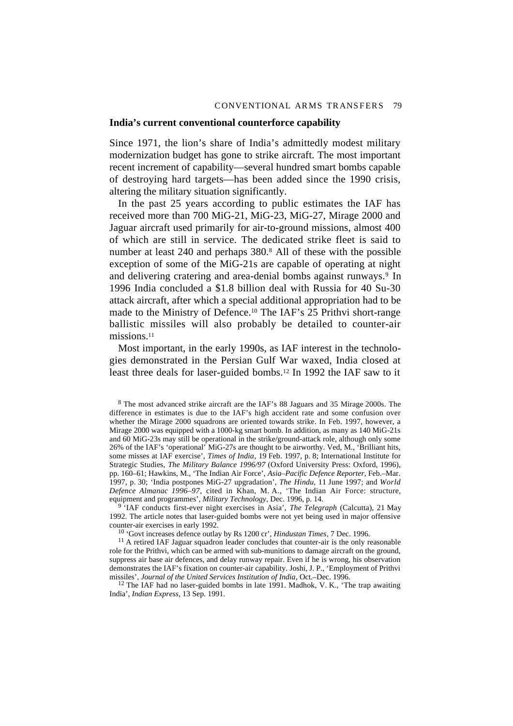#### **India's current conventional counterforce capability**

Since 1971, the lion's share of India's admittedly modest military modernization budget has gone to strike aircraft. The most important recent increment of capability—several hundred smart bombs capable of destroying hard targets—has been added since the 1990 crisis, altering the military situation significantly.

In the past 25 years according to public estimates the IAF has received more than 700 MiG-21, MiG-23, MiG-27, Mirage 2000 and Jaguar aircraft used primarily for air-to-ground missions, almost 400 of which are still in service. The dedicated strike fleet is said to number at least 240 and perhaps 380.8 All of these with the possible exception of some of the MiG-21s are capable of operating at night and delivering cratering and area-denial bombs against runways.<sup>9</sup> In 1996 India concluded a \$1.8 billion deal with Russia for 40 Su-30 attack aircraft, after which a special additional appropriation had to be made to the Ministry of Defence.10 The IAF's 25 Prithvi short-range ballistic missiles will also probably be detailed to counter-air missions.<sup>11</sup>

Most important, in the early 1990s, as IAF interest in the technologies demonstrated in the Persian Gulf War waxed, India closed at least three deals for laser-guided bombs.12 In 1992 the IAF saw to it

8 The most advanced strike aircraft are the IAF's 88 Jaguars and 35 Mirage 2000s. The difference in estimates is due to the IAF's high accident rate and some confusion over whether the Mirage 2000 squadrons are oriented towards strike. In Feb. 1997, however, a Mirage 2000 was equipped with a 1000-kg smart bomb. In addition, as many as 140 MiG-21s and 60 MiG-23s may still be operational in the strike/ground-attack role, although only some 26% of the IAF's 'operational' MiG-27s are thought to be airworthy. Ved, M., 'Brilliant hits, some misses at IAF exercise', *Times of India*, 19 Feb. 1997, p. 8; International Institute for Strategic Studies, *The Military Balance 1996/97* (Oxford University Press: Oxford, 1996), pp. 160–61; Hawkins, M., 'The Indian Air Force', *Asia–Pacific Defence Reporter*, Feb.–Mar. 1997, p. 30; 'India postpones MiG-27 upgradation', *The Hindu*, 11 June 1997; and *World Defence Almanac 1996–97*, cited in Khan, M. A., 'The Indian Air Force: structure, equipment and programmes', *Military Technology*, Dec. 1996, p. 14.

9 'IAF conducts first-ever night exercises in Asia', *The Telegraph* (Calcutta), 21 May 1992. The article notes that laser-guided bombs were not yet being used in major offensive counter-air exercises in early 1992.

10 'Govt increases defence outlay by Rs 1200 cr', *Hindustan Times*, 7 Dec. 1996.

 $11$  A retired IAF Jaguar squadron leader concludes that counter-air is the only reasonable role for the Prithvi, which can be armed with sub-munitions to damage aircraft on the ground, suppress air base air defences, and delay runway repair. Even if he is wrong, his observation demonstrates the IAF's fixation on counter-air capability. Joshi, J. P., 'Employment of Prithvi missiles', *Journal of the United Services Institution of India*, Oct.–Dec. 1996.

<sup>12</sup> The IAF had no laser-guided bombs in late 1991. Madhok, V. K., 'The trap awaiting India', *Indian Express*, 13 Sep. 1991.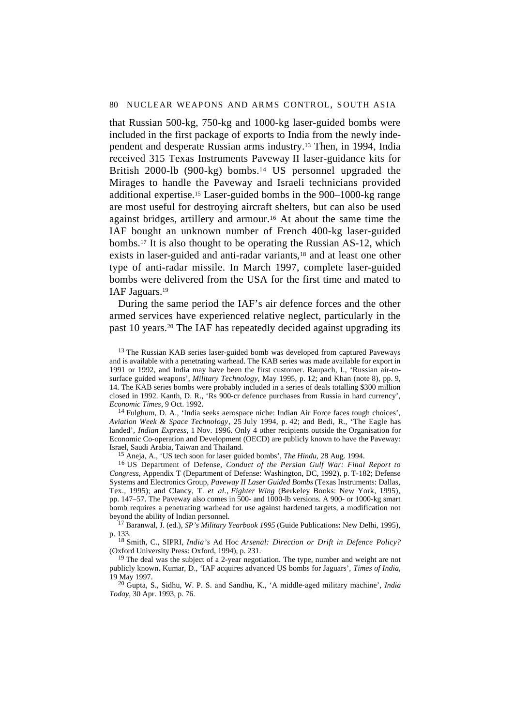that Russian 500-kg, 750-kg and 1000-kg laser-guided bombs were included in the first package of exports to India from the newly independent and desperate Russian arms industry.13 Then, in 1994, India received 315 Texas Instruments Paveway II laser-guidance kits for British 2000-lb (900-kg) bombs.<sup>14</sup> US personnel upgraded the Mirages to handle the Paveway and Israeli technicians provided additional expertise.15 Laser-guided bombs in the 900–1000-kg range are most useful for destroying aircraft shelters, but can also be used against bridges, artillery and armour.16 At about the same time the IAF bought an unknown number of French 400-kg laser-guided bombs.17 It is also thought to be operating the Russian AS-12, which exists in laser-guided and anti-radar variants,<sup>18</sup> and at least one other type of anti-radar missile. In March 1997, complete laser-guided bombs were delivered from the USA for the first time and mated to IAF Jaguars.19

During the same period the IAF's air defence forces and the other armed services have experienced relative neglect, particularly in the past 10 years.20 The IAF has repeatedly decided against upgrading its

<sup>13</sup> The Russian KAB series laser-guided bomb was developed from captured Paveways and is available with a penetrating warhead. The KAB series was made available for export in 1991 or 1992, and India may have been the first customer. Raupach, I., 'Russian air-tosurface guided weapons', *Military Technology*, May 1995, p. 12; and Khan (note 8), pp. 9, 14. The KAB series bombs were probably included in a series of deals totalling \$300 million closed in 1992. Kanth, D. R., 'Rs 900-cr defence purchases from Russia in hard currency', *Economic Times*, 9 Oct. 1992.

<sup>14</sup> Fulghum, D. A., 'India seeks aerospace niche: Indian Air Force faces tough choices', *Aviation Week & Space Technology*, 25 July 1994, p. 42; and Bedi, R., 'The Eagle has landed', *Indian Express*, 1 Nov. 1996. Only 4 other recipients outside the Organisation for Economic Co-operation and Development (OECD) are publicly known to have the Paveway: Israel, Saudi Arabia, Taiwan and Thailand.

15 Aneja, A., 'US tech soon for laser guided bombs', *The Hindu*, 28 Aug. 1994.

16 US Department of Defense, *Conduct of the Persian Gulf War: Final Report to Congress*, Appendix T (Department of Defense: Washington, DC, 1992), p. T-182; Defense Systems and Electronics Group, *Paveway II Laser Guided Bombs* (Texas Instruments: Dallas, Tex., 1995); and Clancy, T. *et al.*, *Fighter Wing* (Berkeley Books: New York, 1995), pp. 147–57. The Paveway also comes in 500- and 1000-lb versions. A 900- or 1000-kg smart bomb requires a penetrating warhead for use against hardened targets, a modification not beyond the ability of Indian personnel.

17 Baranwal, J. (ed.), *SP's Military Yearbook 1995* (Guide Publications: New Delhi, 1995), p. 133.

18 Smith, C., SIPRI, *India's* Ad Hoc *Arsenal: Direction or Drift in Defence Policy?* (Oxford University Press: Oxford, 1994), p. 231.

<sup>19</sup> The deal was the subject of a 2-year negotiation. The type, number and weight are not publicly known. Kumar, D., 'IAF acquires advanced US bombs for Jaguars', *Times of India*, 19 May 1997.

20 Gupta, S., Sidhu, W. P. S. and Sandhu, K., 'A middle-aged military machine', *India Today*, 30 Apr. 1993, p. 76.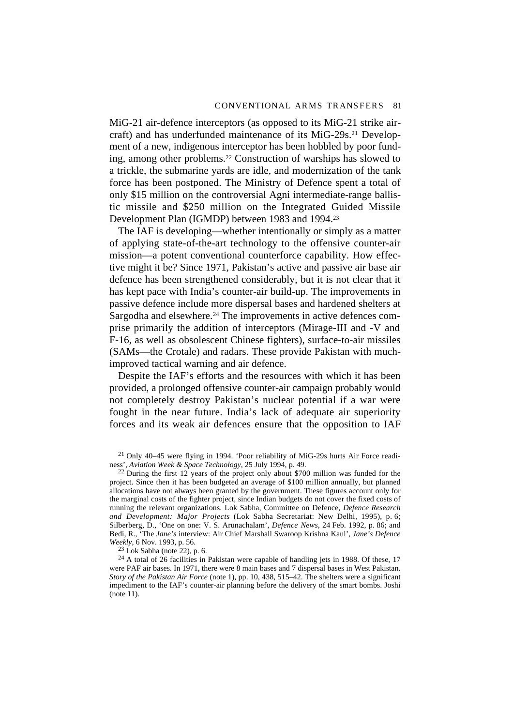MiG-21 air-defence interceptors (as opposed to its MiG-21 strike aircraft) and has underfunded maintenance of its MiG-29s.21 Development of a new, indigenous interceptor has been hobbled by poor funding, among other problems.22 Construction of warships has slowed to a trickle, the submarine yards are idle, and modernization of the tank force has been postponed. The Ministry of Defence spent a total of only \$15 million on the controversial Agni intermediate-range ballistic missile and \$250 million on the Integrated Guided Missile Development Plan (IGMDP) between 1983 and 1994.23

The IAF is developing—whether intentionally or simply as a matter of applying state-of-the-art technology to the offensive counter-air mission—a potent conventional counterforce capability. How effective might it be? Since 1971, Pakistan's active and passive air base air defence has been strengthened considerably, but it is not clear that it has kept pace with India's counter-air build-up. The improvements in passive defence include more dispersal bases and hardened shelters at Sargodha and elsewhere.<sup>24</sup> The improvements in active defences comprise primarily the addition of interceptors (Mirage-III and -V and F-16, as well as obsolescent Chinese fighters), surface-to-air missiles (SAMs—the Crotale) and radars. These provide Pakistan with muchimproved tactical warning and air defence.

Despite the IAF's efforts and the resources with which it has been provided, a prolonged offensive counter-air campaign probably would not completely destroy Pakistan's nuclear potential if a war were fought in the near future. India's lack of adequate air superiority forces and its weak air defences ensure that the opposition to IAF

21 Only 40–45 were flying in 1994. 'Poor reliability of MiG-29s hurts Air Force readiness', *Aviation Week & Space Technology*, 25 July 1994, p. 49.

<sup>22</sup> During the first 12 years of the project only about \$700 million was funded for the project. Since then it has been budgeted an average of \$100 million annually, but planned allocations have not always been granted by the government. These figures account only for the marginal costs of the fighter project, since Indian budgets do not cover the fixed costs of running the relevant organizations. Lok Sabha, Committee on Defence, *Defence Research and Development: Major Projects* (Lok Sabha Secretariat: New Delhi, 1995), p. 6; Silberberg, D., 'One on one: V. S. Arunachalam', *Defence News*, 24 Feb. 1992, p. 86; and Bedi, R., 'The *Jane's* interview: Air Chief Marshall Swaroop Krishna Kaul', *Jane's Defence Weekly*, 6 Nov. 1993, p. 56.

 $23$  Lok Sabha (note 22), p. 6.

<sup>24</sup> A total of 26 facilities in Pakistan were capable of handling jets in 1988. Of these, 17 were PAF air bases. In 1971, there were 8 main bases and 7 dispersal bases in West Pakistan. *Story of the Pakistan Air Force* (note 1), pp. 10, 438, 515–42. The shelters were a significant impediment to the IAF's counter-air planning before the delivery of the smart bombs. Joshi (note 11).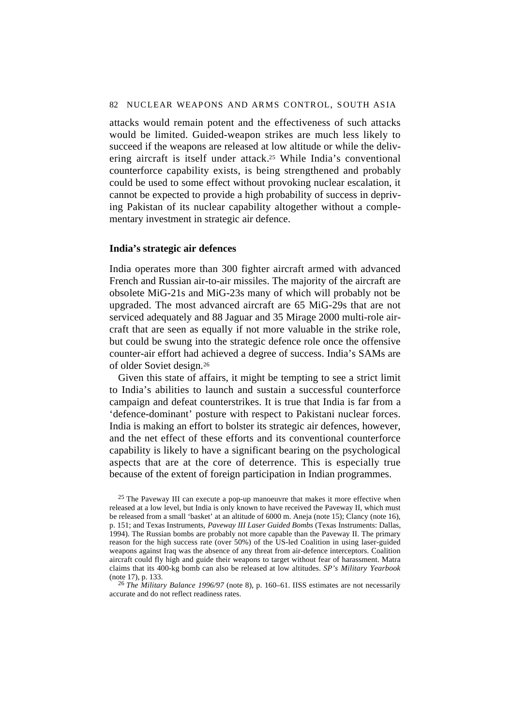attacks would remain potent and the effectiveness of such attacks would be limited. Guided-weapon strikes are much less likely to succeed if the weapons are released at low altitude or while the delivering aircraft is itself under attack.25 While India's conventional counterforce capability exists, is being strengthened and probably could be used to some effect without provoking nuclear escalation, it cannot be expected to provide a high probability of success in depriving Pakistan of its nuclear capability altogether without a complementary investment in strategic air defence.

#### **India's strategic air defences**

India operates more than 300 fighter aircraft armed with advanced French and Russian air-to-air missiles. The majority of the aircraft are obsolete MiG-21s and MiG-23s many of which will probably not be upgraded. The most advanced aircraft are 65 MiG-29s that are not serviced adequately and 88 Jaguar and 35 Mirage 2000 multi-role aircraft that are seen as equally if not more valuable in the strike role, but could be swung into the strategic defence role once the offensive counter-air effort had achieved a degree of success. India's SAMs are of older Soviet design.26

Given this state of affairs, it might be tempting to see a strict limit to India's abilities to launch and sustain a successful counterforce campaign and defeat counterstrikes. It is true that India is far from a 'defence-dominant' posture with respect to Pakistani nuclear forces. India is making an effort to bolster its strategic air defences, however, and the net effect of these efforts and its conventional counterforce capability is likely to have a significant bearing on the psychological aspects that are at the core of deterrence. This is especially true because of the extent of foreign participation in Indian programmes.

<sup>25</sup> The Paveway III can execute a pop-up manoeuvre that makes it more effective when released at a low level, but India is only known to have received the Paveway II, which must be released from a small 'basket' at an altitude of 6000 m. Aneja (note 15); Clancy (note 16), p. 151; and Texas Instruments, *Paveway III Laser Guided Bombs* (Texas Instruments: Dallas, 1994). The Russian bombs are probably not more capable than the Paveway II. The primary reason for the high success rate (over 50%) of the US-led Coalition in using laser-guided weapons against Iraq was the absence of any threat from air-defence interceptors. Coalition aircraft could fly high and guide their weapons to target without fear of harassment. Matra claims that its 400-kg bomb can also be released at low altitudes. *SP's Military Yearbook* (note 17), p. 133.

<sup>26</sup> *The Military Balance 1996/97* (note 8), p. 160–61. IISS estimates are not necessarily accurate and do not reflect readiness rates.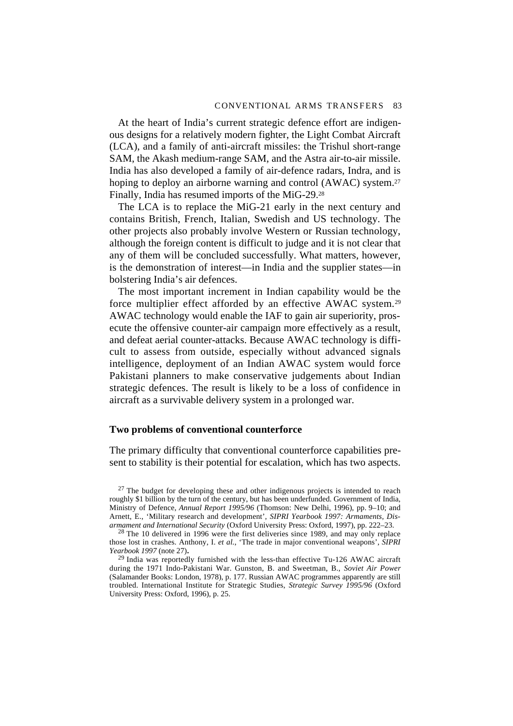At the heart of India's current strategic defence effort are indigenous designs for a relatively modern fighter, the Light Combat Aircraft (LCA), and a family of anti-aircraft missiles: the Trishul short-range SAM, the Akash medium-range SAM, and the Astra air-to-air missile. India has also developed a family of air-defence radars, Indra, and is hoping to deploy an airborne warning and control (AWAC) system.<sup>27</sup> Finally, India has resumed imports of the MiG-29.28

The LCA is to replace the MiG-21 early in the next century and contains British, French, Italian, Swedish and US technology. The other projects also probably involve Western or Russian technology, although the foreign content is difficult to judge and it is not clear that any of them will be concluded successfully. What matters, however, is the demonstration of interest—in India and the supplier states—in bolstering India's air defences.

The most important increment in Indian capability would be the force multiplier effect afforded by an effective AWAC system.29 AWAC technology would enable the IAF to gain air superiority, prosecute the offensive counter-air campaign more effectively as a result, and defeat aerial counter-attacks. Because AWAC technology is difficult to assess from outside, especially without advanced signals intelligence, deployment of an Indian AWAC system would force Pakistani planners to make conservative judgements about Indian strategic defences. The result is likely to be a loss of confidence in aircraft as a survivable delivery system in a prolonged war.

#### **Two problems of conventional counterforce**

The primary difficulty that conventional counterforce capabilities present to stability is their potential for escalation, which has two aspects.

 $27$  The budget for developing these and other indigenous projects is intended to reach roughly \$1 billion by the turn of the century, but has been underfunded. Government of India, Ministry of Defence, *Annual Report 1995/96* (Thomson: New Delhi, 1996), pp. 9–10; and Arnett, E., 'Military research and development', *SIPRI Yearbook 1997: Armaments, Disarmament and International Security* (Oxford University Press: Oxford, 1997), pp. 222–23.

 $28$  The 10 delivered in 1996 were the first deliveries since 1989, and may only replace those lost in crashes. Anthony, I. *et al.*, 'The trade in major conventional weapons', *SIPRI*

<sup>29</sup> India was reportedly furnished with the less-than effective Tu-126 AWAC aircraft during the 1971 Indo-Pakistani War. Gunston, B. and Sweetman, B., *Soviet Air Power* (Salamander Books: London, 1978), p. 177. Russian AWAC programmes apparently are still troubled. International Institute for Strategic Studies, *Strategic Survey 1995/96* (Oxford University Press: Oxford, 1996), p. 25.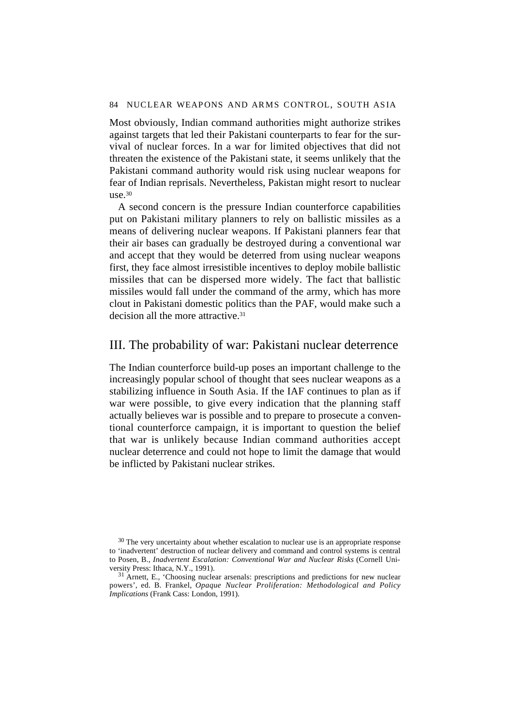Most obviously, Indian command authorities might authorize strikes against targets that led their Pakistani counterparts to fear for the survival of nuclear forces. In a war for limited objectives that did not threaten the existence of the Pakistani state, it seems unlikely that the Pakistani command authority would risk using nuclear weapons for fear of Indian reprisals. Nevertheless, Pakistan might resort to nuclear use.30

A second concern is the pressure Indian counterforce capabilities put on Pakistani military planners to rely on ballistic missiles as a means of delivering nuclear weapons. If Pakistani planners fear that their air bases can gradually be destroyed during a conventional war and accept that they would be deterred from using nuclear weapons first, they face almost irresistible incentives to deploy mobile ballistic missiles that can be dispersed more widely. The fact that ballistic missiles would fall under the command of the army, which has more clout in Pakistani domestic politics than the PAF, would make such a decision all the more attractive.<sup>31</sup>

## III. The probability of war: Pakistani nuclear deterrence

The Indian counterforce build-up poses an important challenge to the increasingly popular school of thought that sees nuclear weapons as a stabilizing influence in South Asia. If the IAF continues to plan as if war were possible, to give every indication that the planning staff actually believes war is possible and to prepare to prosecute a conventional counterforce campaign, it is important to question the belief that war is unlikely because Indian command authorities accept nuclear deterrence and could not hope to limit the damage that would be inflicted by Pakistani nuclear strikes.

 $30$  The very uncertainty about whether escalation to nuclear use is an appropriate response to 'inadvertent' destruction of nuclear delivery and command and control systems is central to Posen, B., *Inadvertent Escalation: Conventional War and Nuclear Risks* (Cornell University Press: Ithaca, N.Y., 1991).

<sup>&</sup>lt;sup>31</sup> Arnett, E., 'Choosing nuclear arsenals: prescriptions and predictions for new nuclear powers', ed. B. Frankel, *Opaque Nuclear Proliferation: Methodological and Policy Implications* (Frank Cass: London, 1991).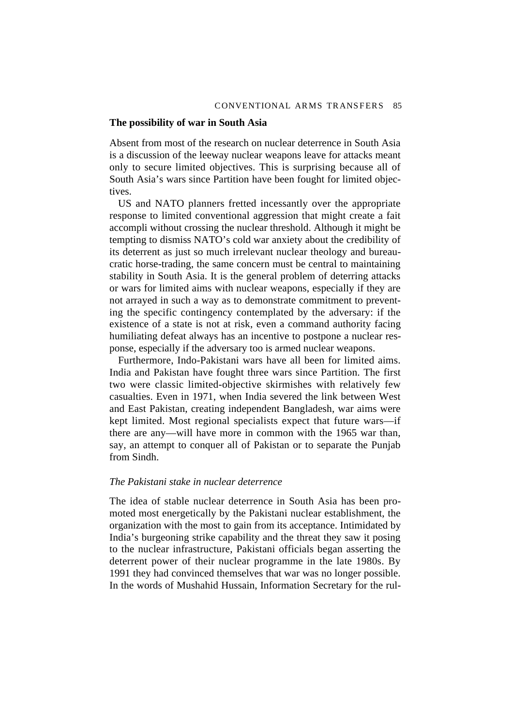#### **The possibility of war in South Asia**

Absent from most of the research on nuclear deterrence in South Asia is a discussion of the leeway nuclear weapons leave for attacks meant only to secure limited objectives. This is surprising because all of South Asia's wars since Partition have been fought for limited objectives.

US and NATO planners fretted incessantly over the appropriate response to limited conventional aggression that might create a fait accompli without crossing the nuclear threshold. Although it might be tempting to dismiss NATO's cold war anxiety about the credibility of its deterrent as just so much irrelevant nuclear theology and bureaucratic horse-trading, the same concern must be central to maintaining stability in South Asia. It is the general problem of deterring attacks or wars for limited aims with nuclear weapons, especially if they are not arrayed in such a way as to demonstrate commitment to preventing the specific contingency contemplated by the adversary: if the existence of a state is not at risk, even a command authority facing humiliating defeat always has an incentive to postpone a nuclear response, especially if the adversary too is armed nuclear weapons.

Furthermore, Indo-Pakistani wars have all been for limited aims. India and Pakistan have fought three wars since Partition. The first two were classic limited-objective skirmishes with relatively few casualties. Even in 1971, when India severed the link between West and East Pakistan, creating independent Bangladesh, war aims were kept limited. Most regional specialists expect that future wars—if there are any—will have more in common with the 1965 war than, say, an attempt to conquer all of Pakistan or to separate the Punjab from Sindh.

#### *The Pakistani stake in nuclear deterrence*

The idea of stable nuclear deterrence in South Asia has been promoted most energetically by the Pakistani nuclear establishment, the organization with the most to gain from its acceptance. Intimidated by India's burgeoning strike capability and the threat they saw it posing to the nuclear infrastructure, Pakistani officials began asserting the deterrent power of their nuclear programme in the late 1980s. By 1991 they had convinced themselves that war was no longer possible. In the words of Mushahid Hussain, Information Secretary for the rul-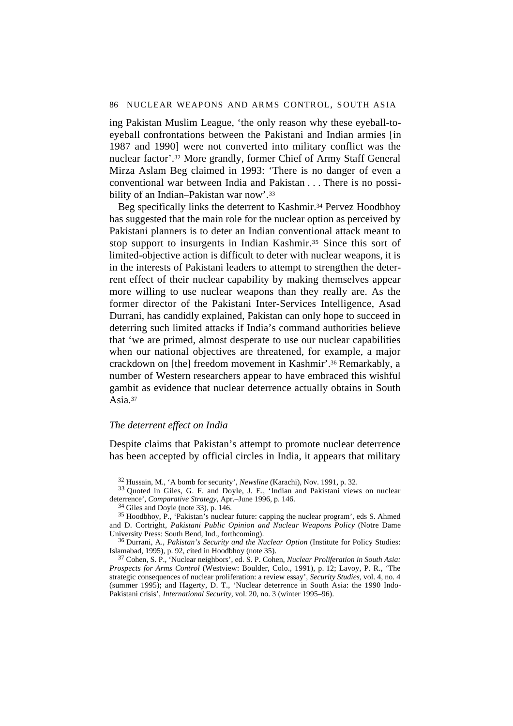ing Pakistan Muslim League, 'the only reason why these eyeball-toeyeball confrontations between the Pakistani and Indian armies [in 1987 and 1990] were not converted into military conflict was the nuclear factor'.32 More grandly, former Chief of Army Staff General Mirza Aslam Beg claimed in 1993: 'There is no danger of even a conventional war between India and Pakistan . . . There is no possibility of an Indian–Pakistan war now'.33

Beg specifically links the deterrent to Kashmir.<sup>34</sup> Pervez Hoodbhoy has suggested that the main role for the nuclear option as perceived by Pakistani planners is to deter an Indian conventional attack meant to stop support to insurgents in Indian Kashmir.35 Since this sort of limited-objective action is difficult to deter with nuclear weapons, it is in the interests of Pakistani leaders to attempt to strengthen the deterrent effect of their nuclear capability by making themselves appear more willing to use nuclear weapons than they really are. As the former director of the Pakistani Inter-Services Intelligence, Asad Durrani, has candidly explained, Pakistan can only hope to succeed in deterring such limited attacks if India's command authorities believe that 'we are primed, almost desperate to use our nuclear capabilities when our national objectives are threatened, for example, a major crackdown on [the] freedom movement in Kashmir'.36 Remarkably, a number of Western researchers appear to have embraced this wishful gambit as evidence that nuclear deterrence actually obtains in South Asia.37

#### *The deterrent effect on India*

Despite claims that Pakistan's attempt to promote nuclear deterrence has been accepted by official circles in India, it appears that military

34 Giles and Doyle (note 33), p. 146.

<sup>32</sup> Hussain, M., 'A bomb for security', *Newsline* (Karachi), Nov. 1991, p. 32.

<sup>33</sup> Quoted in Giles, G. F. and Doyle, J. E., 'Indian and Pakistani views on nuclear deterrence', *Comparative Strategy*, Apr.–June 1996, p. 146.

<sup>35</sup> Hoodbhoy, P., 'Pakistan's nuclear future: capping the nuclear program', eds S. Ahmed and D. Cortright, *Pakistani Public Opinion and Nuclear Weapons Policy* (Notre Dame University Press: South Bend, Ind., forthcoming).

<sup>36</sup> Durrani, A., *Pakistan's Security and the Nuclear Option* (Institute for Policy Studies: Islamabad, 1995), p. 92, cited in Hoodbhoy (note 35).

<sup>37</sup> Cohen, S. P., 'Nuclear neighbors', ed. S. P. Cohen, *Nuclear Proliferation in South Asia: Prospects for Arms Control* (Westview: Boulder, Colo., 1991), p. 12; Lavoy, P. R., 'The strategic consequences of nuclear proliferation: a review essay', *Security Studies*, vol. 4, no. 4 (summer 1995); and Hagerty, D. T., 'Nuclear deterrence in South Asia: the 1990 Indo-Pakistani crisis', *International Security*, vol. 20, no. 3 (winter 1995–96).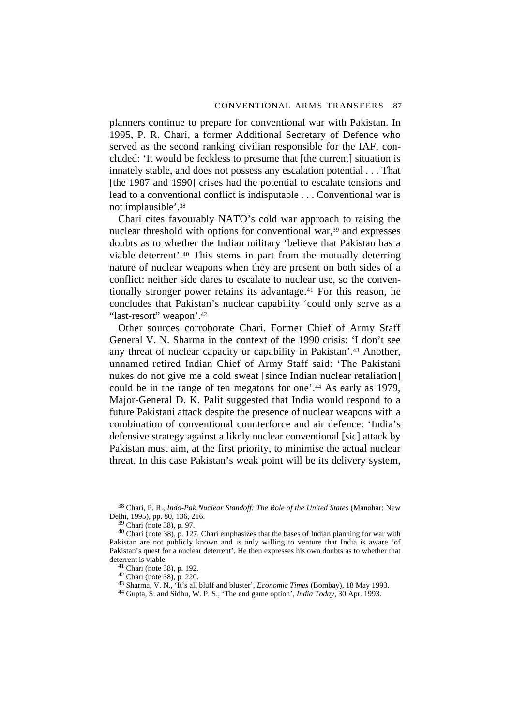planners continue to prepare for conventional war with Pakistan. In 1995, P. R. Chari, a former Additional Secretary of Defence who served as the second ranking civilian responsible for the IAF, concluded: 'It would be feckless to presume that [the current] situation is innately stable, and does not possess any escalation potential . . . That [the 1987 and 1990] crises had the potential to escalate tensions and lead to a conventional conflict is indisputable . . . Conventional war is not implausible'.38

Chari cites favourably NATO's cold war approach to raising the nuclear threshold with options for conventional war,<sup>39</sup> and expresses doubts as to whether the Indian military 'believe that Pakistan has a viable deterrent'.40 This stems in part from the mutually deterring nature of nuclear weapons when they are present on both sides of a conflict: neither side dares to escalate to nuclear use, so the conventionally stronger power retains its advantage.41 For this reason, he concludes that Pakistan's nuclear capability 'could only serve as a "last-resort" weapon'.<sup>42</sup>

Other sources corroborate Chari. Former Chief of Army Staff General V. N. Sharma in the context of the 1990 crisis: 'I don't see any threat of nuclear capacity or capability in Pakistan'.43 Another, unnamed retired Indian Chief of Army Staff said: 'The Pakistani nukes do not give me a cold sweat [since Indian nuclear retaliation] could be in the range of ten megatons for one'.44 As early as 1979, Major-General D. K. Palit suggested that India would respond to a future Pakistani attack despite the presence of nuclear weapons with a combination of conventional counterforce and air defence: 'India's defensive strategy against a likely nuclear conventional [sic] attack by Pakistan must aim, at the first priority, to minimise the actual nuclear threat. In this case Pakistan's weak point will be its delivery system,

38 Chari, P. R., *Indo-Pak Nuclear Standoff: The Role of the United States* (Manohar: New Delhi, 1995), pp. 80, 136, 216.

39 Chari (note 38), p. 97.

 $40$  Chari (note 38), p. 127. Chari emphasizes that the bases of Indian planning for war with Pakistan are not publicly known and is only willing to venture that India is aware 'of Pakistan's quest for a nuclear deterrent'. He then expresses his own doubts as to whether that deterrent is viable.

41 Chari (note 38), p. 192.

42 Chari (note 38), p. 220.

43 Sharma, V. N., 'It's all bluff and bluster', *Economic Times* (Bombay), 18 May 1993.

44 Gupta, S. and Sidhu, W. P. S., 'The end game option', *India Today*, 30 Apr. 1993.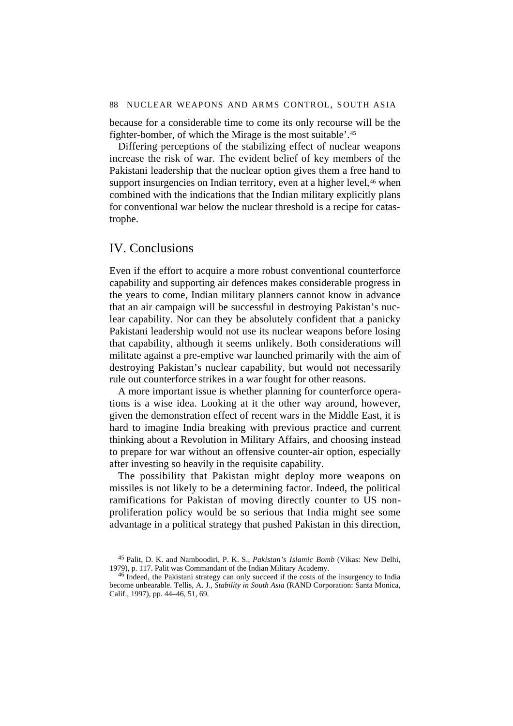because for a considerable time to come its only recourse will be the fighter-bomber, of which the Mirage is the most suitable'.45

Differing perceptions of the stabilizing effect of nuclear weapons increase the risk of war. The evident belief of key members of the Pakistani leadership that the nuclear option gives them a free hand to support insurgencies on Indian territory, even at a higher level,<sup>46</sup> when combined with the indications that the Indian military explicitly plans for conventional war below the nuclear threshold is a recipe for catastrophe.

### IV. Conclusions

Even if the effort to acquire a more robust conventional counterforce capability and supporting air defences makes considerable progress in the years to come, Indian military planners cannot know in advance that an air campaign will be successful in destroying Pakistan's nuclear capability. Nor can they be absolutely confident that a panicky Pakistani leadership would not use its nuclear weapons before losing that capability, although it seems unlikely. Both considerations will militate against a pre-emptive war launched primarily with the aim of destroying Pakistan's nuclear capability, but would not necessarily rule out counterforce strikes in a war fought for other reasons.

A more important issue is whether planning for counterforce operations is a wise idea. Looking at it the other way around, however, given the demonstration effect of recent wars in the Middle East, it is hard to imagine India breaking with previous practice and current thinking about a Revolution in Military Affairs, and choosing instead to prepare for war without an offensive counter-air option, especially after investing so heavily in the requisite capability.

The possibility that Pakistan might deploy more weapons on missiles is not likely to be a determining factor. Indeed, the political ramifications for Pakistan of moving directly counter to US nonproliferation policy would be so serious that India might see some advantage in a political strategy that pushed Pakistan in this direction,

<sup>45</sup> Palit, D. K. and Namboodiri, P. K. S., *Pakistan's Islamic Bomb* (Vikas: New Delhi, 1979), p. 117. Palit was Commandant of the Indian Military Academy.

<sup>46</sup> Indeed, the Pakistani strategy can only succeed if the costs of the insurgency to India become unbearable. Tellis, A. J., *Stability in South Asia* (RAND Corporation: Santa Monica, Calif., 1997), pp. 44–46, 51, 69.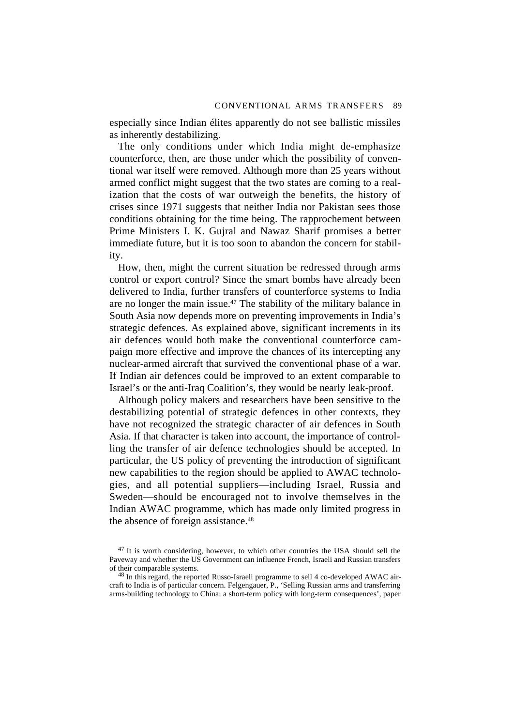especially since Indian élites apparently do not see ballistic missiles as inherently destabilizing.

The only conditions under which India might de-emphasize counterforce, then, are those under which the possibility of conventional war itself were removed. Although more than 25 years without armed conflict might suggest that the two states are coming to a realization that the costs of war outweigh the benefits, the history of crises since 1971 suggests that neither India nor Pakistan sees those conditions obtaining for the time being. The rapprochement between Prime Ministers I. K. Gujral and Nawaz Sharif promises a better immediate future, but it is too soon to abandon the concern for stability.

How, then, might the current situation be redressed through arms control or export control? Since the smart bombs have already been delivered to India, further transfers of counterforce systems to India are no longer the main issue.<sup>47</sup> The stability of the military balance in South Asia now depends more on preventing improvements in India's strategic defences. As explained above, significant increments in its air defences would both make the conventional counterforce campaign more effective and improve the chances of its intercepting any nuclear-armed aircraft that survived the conventional phase of a war. If Indian air defences could be improved to an extent comparable to Israel's or the anti-Iraq Coalition's, they would be nearly leak-proof.

Although policy makers and researchers have been sensitive to the destabilizing potential of strategic defences in other contexts, they have not recognized the strategic character of air defences in South Asia. If that character is taken into account, the importance of controlling the transfer of air defence technologies should be accepted. In particular, the US policy of preventing the introduction of significant new capabilities to the region should be applied to AWAC technologies, and all potential suppliers—including Israel, Russia and Sweden—should be encouraged not to involve themselves in the Indian AWAC programme, which has made only limited progress in the absence of foreign assistance.<sup>48</sup>

 $47$  It is worth considering, however, to which other countries the USA should sell the Paveway and whether the US Government can influence French, Israeli and Russian transfers of their comparable systems.

<sup>&</sup>lt;sup>48</sup> In this regard, the reported Russo-Israeli programme to sell 4 co-developed AWAC aircraft to India is of particular concern. Felgengauer, P., 'Selling Russian arms and transferring arms-building technology to China: a short-term policy with long-term consequences', paper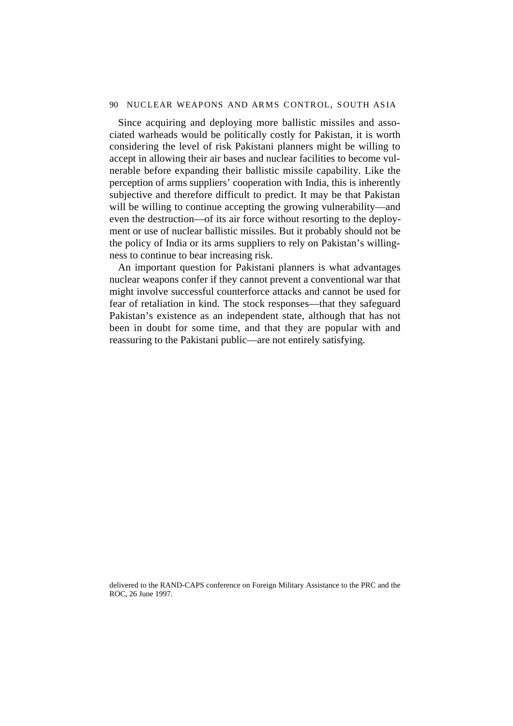#### 90 NUCLEAR WEAPONS AND ARMS CONTROL, SOUTH ASIA

Since acquiring and deploying more ballistic missiles and associated warheads would be politically costly for Pakistan, it is worth considering the level of risk Pakistani planners might be willing to accept in allowing their air bases and nuclear facilities to become vulnerable before expanding their ballistic missile capability. Like the perception of arms suppliers' cooperation with India, this is inherently subjective and therefore difficult to predict. It may be that Pakistan will be willing to continue accepting the growing vulnerability—and even the destruction—of its air force without resorting to the deployment or use of nuclear ballistic missiles. But it probably should not be the policy of India or its arms suppliers to rely on Pakistan's willingness to continue to bear increasing risk.

An important question for Pakistani planners is what advantages nuclear weapons confer if they cannot prevent a conventional war that might involve successful counterforce attacks and cannot be used for fear of retaliation in kind. The stock responses—that they safeguard Pakistan's existence as an independent state, although that has not been in doubt for some time, and that they are popular with and reassuring to the Pakistani public—are not entirely satisfying.

delivered to the RAND-CAPS conference on Foreign Military Assistance to the PRC and the ROC, 26 June 1997.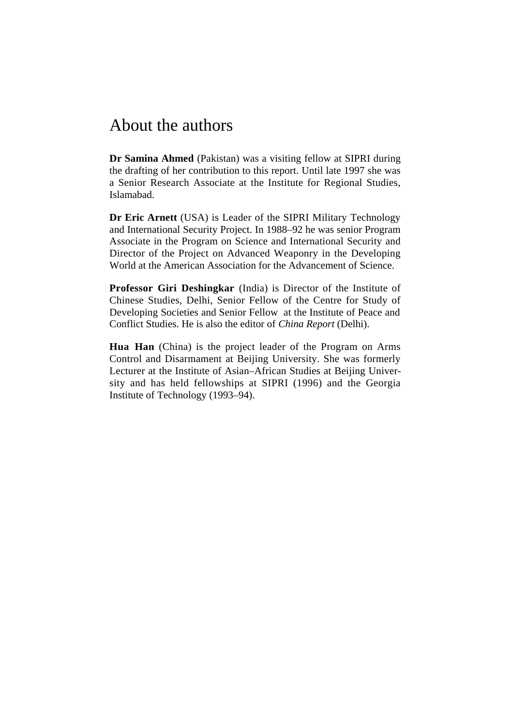# About the authors

**Dr Samina Ahmed** (Pakistan) was a visiting fellow at SIPRI during the drafting of her contribution to this report. Until late 1997 she was a Senior Research Associate at the Institute for Regional Studies, Islamabad.

**Dr Eric Arnett** (USA) is Leader of the SIPRI Military Technology and International Security Project. In 1988–92 he was senior Program Associate in the Program on Science and International Security and Director of the Project on Advanced Weaponry in the Developing World at the American Association for the Advancement of Science.

**Professor Giri Deshingkar** (India) is Director of the Institute of Chinese Studies, Delhi, Senior Fellow of the Centre for Study of Developing Societies and Senior Fellow at the Institute of Peace and Conflict Studies. He is also the editor of *China Report* (Delhi).

**Hua Han** (China) is the project leader of the Program on Arms Control and Disarmament at Beijing University. She was formerly Lecturer at the Institute of Asian–African Studies at Beijing University and has held fellowships at SIPRI (1996) and the Georgia Institute of Technology (1993–94).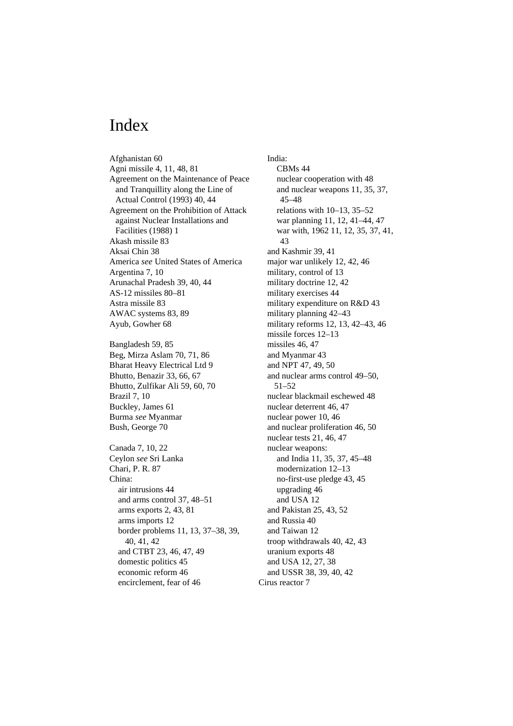## Index

Afghanistan 60 Agni missile 4, 11, 48, 81 Agreement on the Maintenance of Peace and Tranquillity along the Line of Actual Control (1993) 40, 44 Agreement on the Prohibition of Attack against Nuclear Installations and Facilities (1988) 1 Akash missile 83 Aksai Chin 38 America *see* United States of America Argentina 7, 10 Arunachal Pradesh 39, 40, 44 AS-12 missiles 80–81 Astra missile 83 AWAC systems 83, 89 Ayub, Gowher 68

Bangladesh 59, 85 Beg, Mirza Aslam 70, 71, 86 Bharat Heavy Electrical Ltd 9 Bhutto, Benazir 33, 66, 67 Bhutto, Zulfikar Ali 59, 60, 70 Brazil 7, 10 Buckley, James 61 Burma *see* Myanmar Bush, George 70

Canada 7, 10, 22 Ceylon *see* Sri Lanka Chari, P. R. 87 China: air intrusions 44 and arms control 37, 48–51 arms exports 2, 43, 81 arms imports 12 border problems 11, 13, 37–38, 39, 40, 41, 42 and CTBT 23, 46, 47, 49 domestic politics 45 economic reform 46 encirclement, fear of 46

India: CBMs 44 nuclear cooperation with 48 and nuclear weapons 11, 35, 37, 45–48 relations with 10–13, 35–52 war planning 11, 12, 41–44, 47 war with, 1962 11, 12, 35, 37, 41, 43 and Kashmir 39, 41 major war unlikely 12, 42, 46 military, control of 13 military doctrine 12, 42 military exercises 44 military expenditure on R&D 43 military planning 42–43 military reforms 12, 13, 42–43, 46 missile forces 12–13 missiles 46, 47 and Myanmar 43 and NPT 47, 49, 50 and nuclear arms control 49–50, 51–52 nuclear blackmail eschewed 48 nuclear deterrent 46, 47 nuclear power 10, 46 and nuclear proliferation 46, 50 nuclear tests 21, 46, 47 nuclear weapons: and India 11, 35, 37, 45–48 modernization 12–13 no-first-use pledge 43, 45 upgrading 46 and USA 12 and Pakistan 25, 43, 52 and Russia 40 and Taiwan 12 troop withdrawals 40, 42, 43 uranium exports 48 and USA 12, 27, 38 and USSR 38, 39, 40, 42 Cirus reactor 7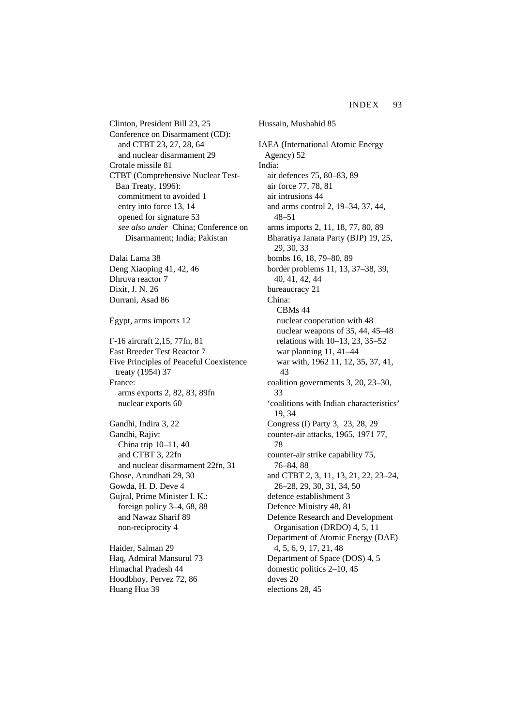Clinton, President Bill 23, 25 Conference on Disarmament (CD): and CTBT 23, 27, 28, 64 and nuclear disarmament 29 Crotale missile 81 CTBT (Comprehensive Nuclear Test-Ban Treaty, 1996): commitment to avoided 1 entry into force 13, 14 opened for signature 53 *see also under* China; Conference on Disarmament; India; Pakistan

Dalai Lama 38 Deng Xiaoping 41, 42, 46 Dhruva reactor 7 Dixit, J. N. 26 Durrani, Asad 86

Egypt, arms imports 12

F-16 aircraft 2,15, 77fn, 81 Fast Breeder Test Reactor 7 Five Principles of Peaceful Coexistence treaty (1954) 37 France: arms exports 2, 82, 83, 89fn nuclear exports 60

Gandhi, Indira 3, 22 Gandhi, Rajiv: China trip 10–11, 40 and CTBT 3, 22fn and nuclear disarmament 22fn, 31 Ghose, Arundhati 29, 30 Gowda, H. D. Deve 4 Gujral, Prime Minister I. K.: foreign policy 3–4, 68, 88 and Nawaz Sharif 89 non-reciprocity 4

Haider, Salman 29 Haq, Admiral Mansurul 73 Himachal Pradesh 44 Hoodbhoy, Pervez 72, 86 Huang Hua 39

Hussain, Mushahid 85 IAEA (International Atomic Energy Agency) 52 India: air defences 75, 80–83, 89 air force 77, 78, 81 air intrusions 44 and arms control 2, 19–34, 37, 44, 48–51 arms imports 2, 11, 18, 77, 80, 89 Bharatiya Janata Party (BJP) 19, 25, 29, 30, 33 bombs 16, 18, 79–80, 89 border problems 11, 13, 37–38, 39, 40, 41, 42, 44 bureaucracy 21 China: CBMs 44 nuclear cooperation with 48 nuclear weapons of 35, 44, 45–48 relations with 10–13, 23, 35–52 war planning 11, 41–44 war with, 1962 11, 12, 35, 37, 41, 43 coalition governments 3, 20, 23–30, 33 'coalitions with Indian characteristics' 19, 34 Congress (I) Party 3, 23, 28, 29 counter-air attacks, 1965, 1971 77, 78 counter-air strike capability 75, 76–84, 88 and CTBT 2, 3, 11, 13, 21, 22, 23–24, 26–28, 29, 30, 31, 34, 50 defence establishment 3 Defence Ministry 48, 81 Defence Research and Development Organisation (DRDO) 4, 5, 11 Department of Atomic Energy (DAE) 4, 5, 6, 9, 17, 21, 48 Department of Space (DOS) 4, 5 domestic politics 2–10, 45 doves 20 elections 28, 45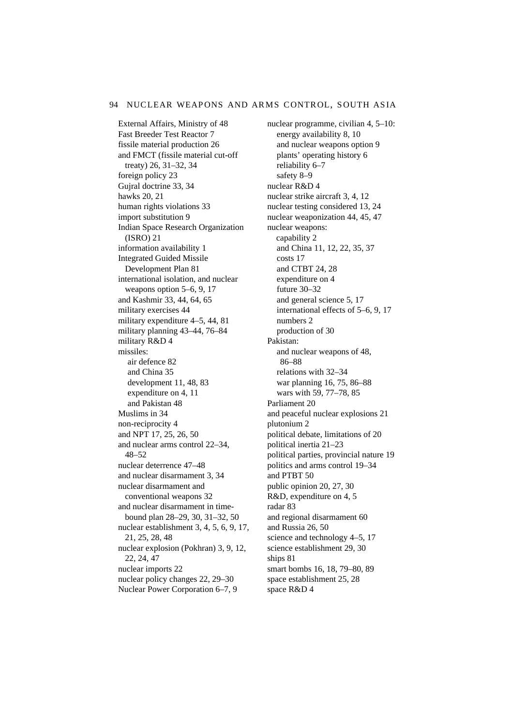External Affairs, Ministry of 48 Fast Breeder Test Reactor 7 fissile material production 26 and FMCT (fissile material cut-off treaty) 26, 31–32, 34 foreign policy 23 Gujral doctrine 33, 34 hawks 20, 21 human rights violations 33 import substitution 9 Indian Space Research Organization (ISRO) 21 information availability 1 Integrated Guided Missile Development Plan 81 international isolation, and nuclear weapons option 5–6, 9, 17 and Kashmir 33, 44, 64, 65 military exercises 44 military expenditure 4–5, 44, 81 military planning 43–44, 76–84 military R&D 4 missiles: air defence 82 and China 35 development 11, 48, 83 expenditure on 4, 11 and Pakistan 48 Muslims in 34 non-reciprocity 4 and NPT 17, 25, 26, 50 and nuclear arms control 22–34, 48–52 nuclear deterrence 47–48 and nuclear disarmament 3, 34 nuclear disarmament and conventional weapons 32 and nuclear disarmament in timebound plan 28–29, 30, 31–32, 50 nuclear establishment 3, 4, 5, 6, 9, 17, 21, 25, 28, 48 nuclear explosion (Pokhran) 3, 9, 12, 22, 24, 47 nuclear imports 22 nuclear policy changes 22, 29–30 Nuclear Power Corporation 6–7, 9

nuclear programme, civilian 4, 5–10: energy availability 8, 10 and nuclear weapons option 9 plants' operating history 6 reliability 6–7 safety 8–9 nuclear R&D 4 nuclear strike aircraft 3, 4, 12 nuclear testing considered 13, 24 nuclear weaponization 44, 45, 47 nuclear weapons: capability 2 and China 11, 12, 22, 35, 37 costs 17 and CTBT 24, 28 expenditure on 4 future 30–32 and general science 5, 17 international effects of 5–6, 9, 17 numbers 2 production of 30 Pakistan: and nuclear weapons of 48, 86–88 relations with 32–34 war planning 16, 75, 86–88 wars with 59, 77–78, 85 Parliament 20 and peaceful nuclear explosions 21 plutonium 2 political debate, limitations of 20 political inertia 21–23 political parties, provincial nature 19 politics and arms control 19–34 and PTBT 50 public opinion 20, 27, 30 R&D, expenditure on 4, 5 radar 83 and regional disarmament 60 and Russia 26, 50 science and technology 4–5, 17 science establishment 29, 30 ships 81 smart bombs 16, 18, 79–80, 89 space establishment 25, 28 space R&D 4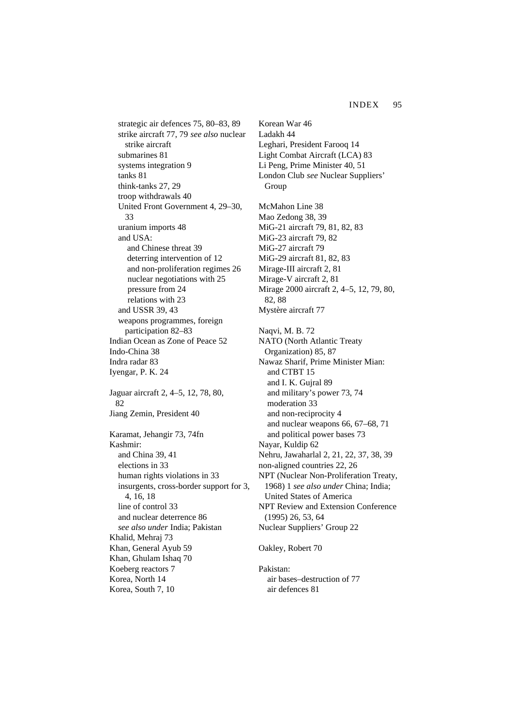strategic air defences 75, 80–83, 89 strike aircraft 77, 79 *see also* nuclear strike aircraft submarines 81 systems integration 9 tanks 81 think-tanks 27, 29 troop withdrawals 40 United Front Government 4, 29–30, 33 uranium imports 48 and USA: and Chinese threat 39 deterring intervention of 12 and non-proliferation regimes 26 nuclear negotiations with 25 pressure from 24 relations with 23 and USSR 39, 43 weapons programmes, foreign participation 82–83 Indian Ocean as Zone of Peace 52 Indo-China 38 Indra radar 83 Iyengar, P. K. 24 Jaguar aircraft 2, 4–5, 12, 78, 80, 82 Jiang Zemin, President 40 Karamat, Jehangir 73, 74fn Kashmir: and China 39, 41 elections in 33 human rights violations in 33 insurgents, cross-border support for 3, 4, 16, 18 line of control 33 and nuclear deterrence 86 *see also under* India; Pakistan Khalid, Mehraj 73 Khan, General Ayub 59 Khan, Ghulam Ishaq 70 Koeberg reactors 7 Korea, North 14 Korea, South 7, 10

Korean War 46 Ladakh 44 Leghari, President Farooq 14 Light Combat Aircraft (LCA) 83 Li Peng, Prime Minister 40, 51 London Club *see* Nuclear Suppliers' Group McMahon Line 38 Mao Zedong 38, 39 MiG-21 aircraft 79, 81, 82, 83 MiG-23 aircraft 79, 82 MiG-27 aircraft 79 MiG-29 aircraft 81, 82, 83 Mirage-III aircraft 2, 81 Mirage-V aircraft 2, 81 Mirage 2000 aircraft 2, 4–5, 12, 79, 80, 82, 88 Mystère aircraft 77 Naqvi, M. B. 72 NATO (North Atlantic Treaty Organization) 85, 87 Nawaz Sharif, Prime Minister Mian: and CTBT 15 and I. K. Gujral 89 and military's power 73, 74 moderation 33 and non-reciprocity 4 and nuclear weapons 66, 67–68, 71 and political power bases 73 Nayar, Kuldip 62 Nehru, Jawaharlal 2, 21, 22, 37, 38, 39 non-aligned countries 22, 26 NPT (Nuclear Non-Proliferation Treaty, 1968) 1 *see also under* China; India; United States of America NPT Review and Extension Conference (1995) 26, 53, 64 Nuclear Suppliers' Group 22 Oakley, Robert 70 Pakistan:

air bases–destruction of 77 air defences 81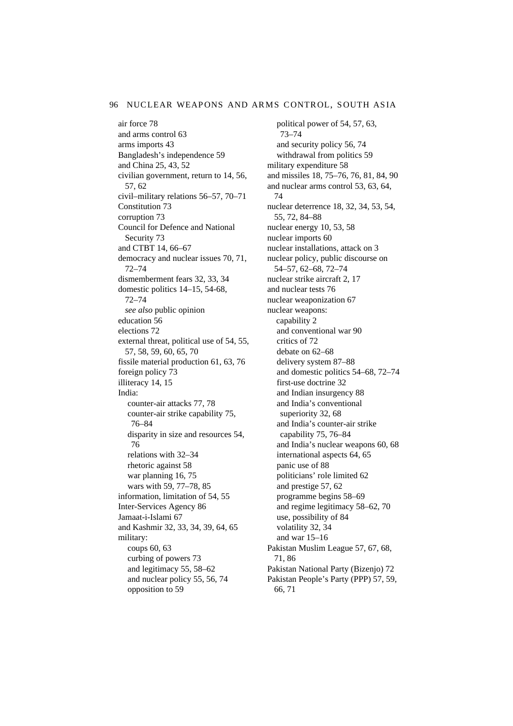air force 78 and arms control 63 arms imports 43 Bangladesh's independence 59 and China 25, 43, 52 civilian government, return to 14, 56, 57, 62 civil–military relations 56–57, 70–71 Constitution 73 corruption 73 Council for Defence and National Security 73 and CTBT 14, 66–67 democracy and nuclear issues 70, 71, 72–74 dismemberment fears 32, 33, 34 domestic politics 14–15, 54-68, 72–74 *see also* public opinion education 56 elections 72 external threat, political use of 54, 55, 57, 58, 59, 60, 65, 70 fissile material production 61, 63, 76 foreign policy 73 illiteracy 14, 15 India: counter-air attacks 77, 78 counter-air strike capability 75, 76–84 disparity in size and resources 54, 76 relations with 32–34 rhetoric against 58 war planning 16, 75 wars with 59, 77–78, 85 information, limitation of 54, 55 Inter-Services Agency 86 Jamaat-i-Islami 67 and Kashmir 32, 33, 34, 39, 64, 65 military: coups 60, 63 curbing of powers 73 and legitimacy 55, 58–62 and nuclear policy 55, 56, 74 opposition to 59

political power of 54, 57, 63, 73–74 and security policy 56, 74 withdrawal from politics 59 military expenditure 58 and missiles 18, 75–76, 76, 81, 84, 90 and nuclear arms control 53, 63, 64, 74 nuclear deterrence 18, 32, 34, 53, 54, 55, 72, 84–88 nuclear energy 10, 53, 58 nuclear imports 60 nuclear installations, attack on 3 nuclear policy, public discourse on 54–57, 62–68, 72–74 nuclear strike aircraft 2, 17 and nuclear tests 76 nuclear weaponization 67 nuclear weapons: capability 2 and conventional war 90 critics of 72 debate on 62–68 delivery system 87–88 and domestic politics 54–68, 72–74 first-use doctrine 32 and Indian insurgency 88 and India's conventional superiority 32, 68 and India's counter-air strike capability 75, 76–84 and India's nuclear weapons 60, 68 international aspects 64, 65 panic use of 88 politicians' role limited 62 and prestige 57, 62 programme begins 58–69 and regime legitimacy 58–62, 70 use, possibility of 84 volatility 32, 34 and war 15–16 Pakistan Muslim League 57, 67, 68, 71, 86 Pakistan National Party (Bizenjo) 72 Pakistan People's Party (PPP) 57, 59, 66, 71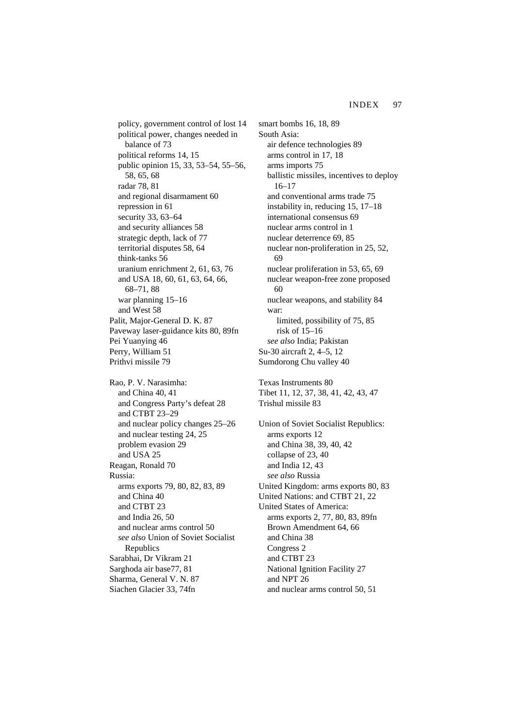policy, government control of lost 14 political power, changes needed in balance of 73 political reforms 14, 15 public opinion 15, 33, 53–54, 55–56, 58, 65, 68 radar 78, 81 and regional disarmament 60 repression in 61 security 33, 63–64 and security alliances 58 strategic depth, lack of 77 territorial disputes 58, 64 think-tanks 56 uranium enrichment 2, 61, 63, 76 and USA 18, 60, 61, 63, 64, 66, 68–71, 88 war planning 15–16 and West 58 Palit, Major-General D. K. 87 Paveway laser-guidance kits 80, 89fn Pei Yuanying 46 Perry, William 51 Prithvi missile 79 Rao, P. V. Narasimha: and China 40, 41 and Congress Party's defeat 28 and CTBT 23–29 and nuclear policy changes 25–26 and nuclear testing 24, 25 problem evasion 29 and USA 25 Reagan, Ronald 70 Russia: arms exports 79, 80, 82, 83, 89 and China 40 and CTBT 23 and India 26, 50 and nuclear arms control 50 *see also* Union of Soviet Socialist **Republics** 

Sarabhai, Dr Vikram 21 Sarghoda air base77, 81 Sharma, General V. N. 87

Siachen Glacier 33, 74fn

smart bombs 16, 18, 89 South Asia: air defence technologies 89 arms control in 17, 18 arms imports 75 ballistic missiles, incentives to deploy 16–17 and conventional arms trade 75 instability in, reducing 15, 17–18 international consensus 69 nuclear arms control in 1 nuclear deterrence 69, 85 nuclear non-proliferation in 25, 52, 69 nuclear proliferation in 53, 65, 69 nuclear weapon-free zone proposed 60 nuclear weapons, and stability 84 war: limited, possibility of 75, 85 risk of 15–16 *see also* India; Pakistan Su-30 aircraft 2, 4–5, 12 Sumdorong Chu valley 40

Texas Instruments 80 Tibet 11, 12, 37, 38, 41, 42, 43, 47 Trishul missile 83

Union of Soviet Socialist Republics: arms exports 12 and China 38, 39, 40, 42 collapse of 23, 40 and India 12, 43 *see also* Russia United Kingdom: arms exports 80, 83 United Nations: and CTBT 21, 22 United States of America: arms exports 2, 77, 80, 83, 89fn Brown Amendment 64, 66 and China 38 Congress 2 and CTBT 23 National Ignition Facility 27 and NPT 26 and nuclear arms control 50, 51